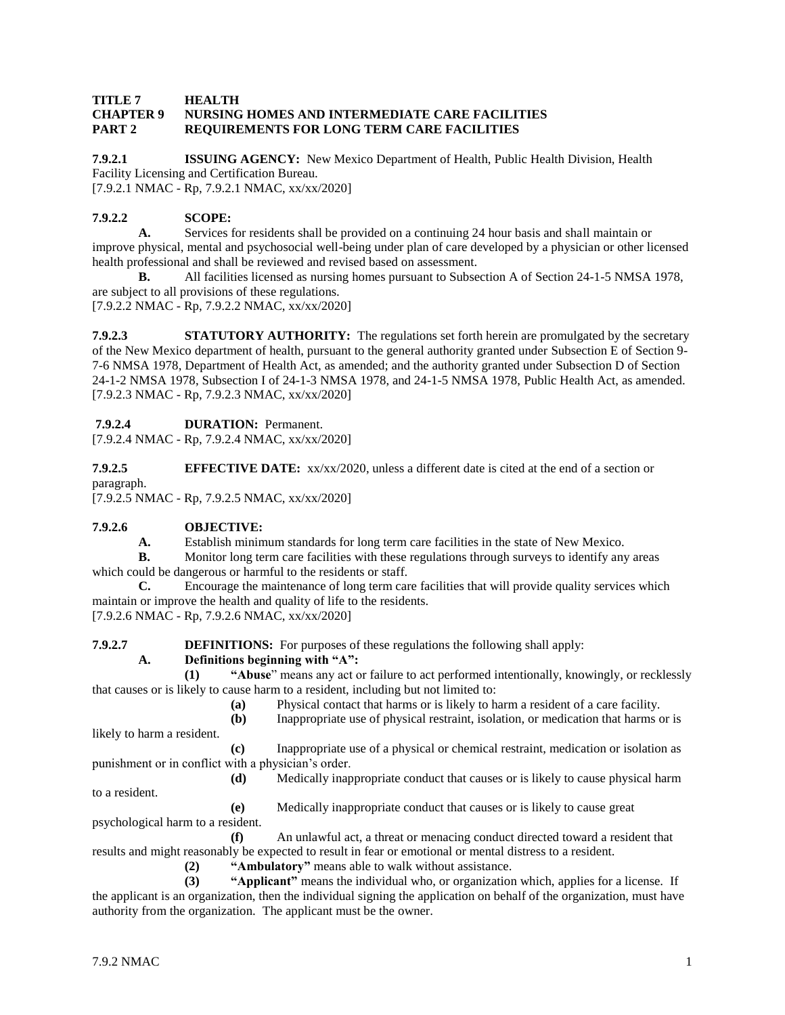#### **TITLE 7 HEALTH CHAPTER 9 NURSING HOMES AND INTERMEDIATE CARE FACILITIES PART 2 REQUIREMENTS FOR LONG TERM CARE FACILITIES**

**7.9.2.1 ISSUING AGENCY:** New Mexico Department of Health, Public Health Division, Health Facility Licensing and Certification Bureau. [7.9.2.1 NMAC - Rp, 7.9.2.1 NMAC, xx/xx/2020]

**7.9.2.2 SCOPE:**

**A.** Services for residents shall be provided on a continuing 24 hour basis and shall maintain or improve physical, mental and psychosocial well-being under plan of care developed by a physician or other licensed health professional and shall be reviewed and revised based on assessment.

**B.** All facilities licensed as nursing homes pursuant to Subsection A of Section 24-1-5 NMSA 1978, are subject to all provisions of these regulations.

[7.9.2.2 NMAC - Rp, 7.9.2.2 NMAC, xx/xx/2020]

**7.9.2.3 STATUTORY AUTHORITY:** The regulations set forth herein are promulgated by the secretary of the New Mexico department of health, pursuant to the general authority granted under Subsection E of Section 9- 7-6 NMSA 1978, Department of Health Act, as amended; and the authority granted under Subsection D of Section 24-1-2 NMSA 1978, Subsection I of 24-1-3 NMSA 1978, and 24-1-5 NMSA 1978, Public Health Act, as amended. [7.9.2.3 NMAC - Rp, 7.9.2.3 NMAC, xx/xx/2020]

**7.9.2.4 DURATION:** Permanent.

[7.9.2.4 NMAC - Rp, 7.9.2.4 NMAC, xx/xx/2020]

**7.9.2.5 EFFECTIVE DATE:** xx/xx/2020, unless a different date is cited at the end of a section or paragraph.

[7.9.2.5 NMAC - Rp, 7.9.2.5 NMAC, xx/xx/2020]

# **7.9.2.6 OBJECTIVE:**

**A.** Establish minimum standards for long term care facilities in the state of New Mexico.

**B.** Monitor long term care facilities with these regulations through surveys to identify any areas which could be dangerous or harmful to the residents or staff.

**C.** Encourage the maintenance of long term care facilities that will provide quality services which maintain or improve the health and quality of life to the residents.

[7.9.2.6 NMAC - Rp, 7.9.2.6 NMAC, xx/xx/2020]

**7.9.2.7 DEFINITIONS:** For purposes of these regulations the following shall apply:

# **A. Definitions beginning with "A":**

**(1) "Abuse**" means any act or failure to act performed intentionally, knowingly, or recklessly that causes or is likely to cause harm to a resident, including but not limited to:

- **(a)** Physical contact that harms or is likely to harm a resident of a care facility.
- **(b)** Inappropriate use of physical restraint, isolation, or medication that harms or is likely to harm a resident.

**(c)** Inappropriate use of a physical or chemical restraint, medication or isolation as punishment or in conflict with a physician's order.

**(d)** Medically inappropriate conduct that causes or is likely to cause physical harm to a resident.

**(e)** Medically inappropriate conduct that causes or is likely to cause great

psychological harm to a resident.

**(f)** An unlawful act, a threat or menacing conduct directed toward a resident that results and might reasonably be expected to result in fear or emotional or mental distress to a resident.

**(2) "Ambulatory"** means able to walk without assistance.

**(3) "Applicant"** means the individual who, or organization which, applies for a license. If the applicant is an organization, then the individual signing the application on behalf of the organization, must have authority from the organization. The applicant must be the owner.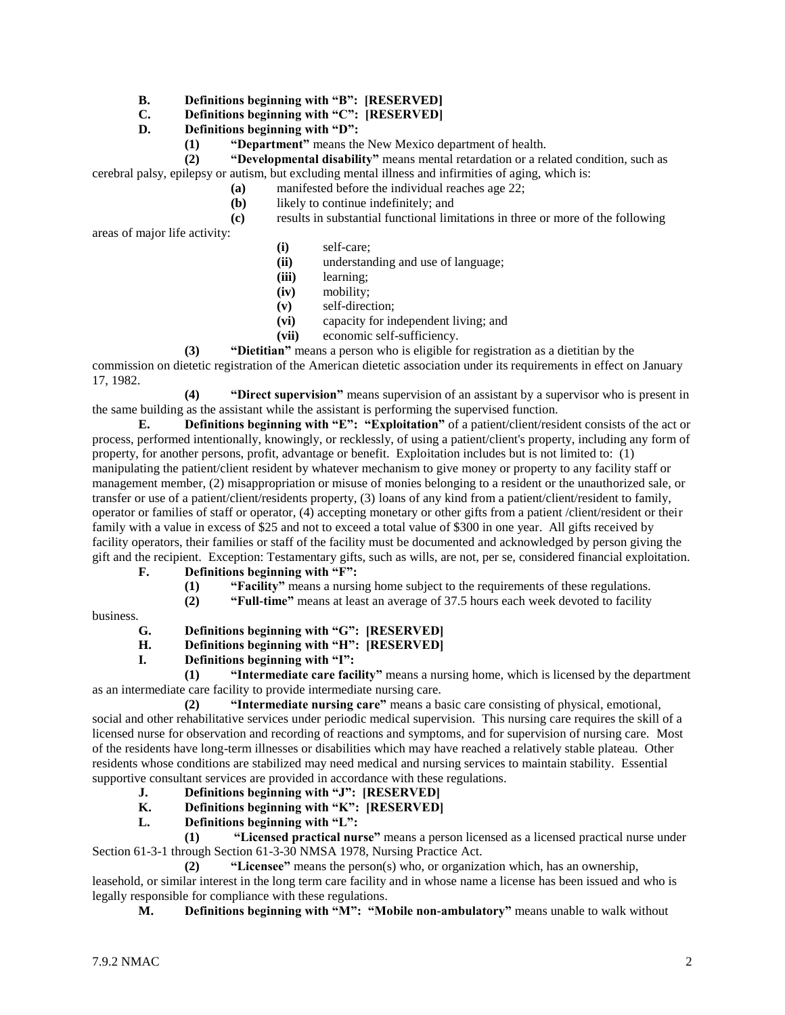#### **B. Definitions beginning with "B": [RESERVED]**

- **C. Definitions beginning with "C": [RESERVED]**
- **D. Definitions beginning with "D":**
	- **(1) "Department"** means the New Mexico department of health.

**(2) "Developmental disability"** means mental retardation or a related condition, such as cerebral palsy, epilepsy or autism, but excluding mental illness and infirmities of aging, which is:

- **(a)** manifested before the individual reaches age 22;
- **(b)** likely to continue indefinitely; and

**(c)** results in substantial functional limitations in three or more of the following

areas of major life activity:

- **(i)** self-care;
- **(ii)** understanding and use of language;
- **(iii)** learning;
- **(iv)** mobility;
- **(v)** self-direction;
- **(vi)** capacity for independent living; and
- **(vii)** economic self-sufficiency.

**(3) "Dietitian"** means a person who is eligible for registration as a dietitian by the

commission on dietetic registration of the American dietetic association under its requirements in effect on January 17, 1982.

**(4) "Direct supervision"** means supervision of an assistant by a supervisor who is present in the same building as the assistant while the assistant is performing the supervised function.

**E. Definitions beginning with "E": "Exploitation"** of a patient/client/resident consists of the act or process, performed intentionally, knowingly, or recklessly, of using a patient/client's property, including any form of property, for another persons, profit, advantage or benefit. Exploitation includes but is not limited to: (1) manipulating the patient/client resident by whatever mechanism to give money or property to any facility staff or management member, (2) misappropriation or misuse of monies belonging to a resident or the unauthorized sale, or transfer or use of a patient/client/residents property, (3) loans of any kind from a patient/client/resident to family, operator or families of staff or operator, (4) accepting monetary or other gifts from a patient /client/resident or their family with a value in excess of \$25 and not to exceed a total value of \$300 in one year. All gifts received by facility operators, their families or staff of the facility must be documented and acknowledged by person giving the gift and the recipient. Exception: Testamentary gifts, such as wills, are not, per se, considered financial exploitation.

**F. Definitions beginning with "F":**

- **(1) "Facility"** means a nursing home subject to the requirements of these regulations.
	- **(2) "Full-time"** means at least an average of 37.5 hours each week devoted to facility

business.

- **G. Definitions beginning with "G": [RESERVED]**
- **H. Definitions beginning with "H": [RESERVED]**
- **I. Definitions beginning with "I":**

**(1) "Intermediate care facility"** means a nursing home, which is licensed by the department as an intermediate care facility to provide intermediate nursing care.

**(2) "Intermediate nursing care"** means a basic care consisting of physical, emotional, social and other rehabilitative services under periodic medical supervision. This nursing care requires the skill of a licensed nurse for observation and recording of reactions and symptoms, and for supervision of nursing care. Most of the residents have long-term illnesses or disabilities which may have reached a relatively stable plateau. Other residents whose conditions are stabilized may need medical and nursing services to maintain stability. Essential supportive consultant services are provided in accordance with these regulations.

- **J. Definitions beginning with "J": [RESERVED]**
- **K. Definitions beginning with "K": [RESERVED]**
- **L. Definitions beginning with "L":**

**(1) "Licensed practical nurse"** means a person licensed as a licensed practical nurse under Section 61-3-1 through Section 61-3-30 NMSA 1978, Nursing Practice Act.

**(2) "Licensee"** means the person(s) who, or organization which, has an ownership, leasehold, or similar interest in the long term care facility and in whose name a license has been issued and who is legally responsible for compliance with these regulations.

**M. Definitions beginning with "M": "Mobile non-ambulatory"** means unable to walk without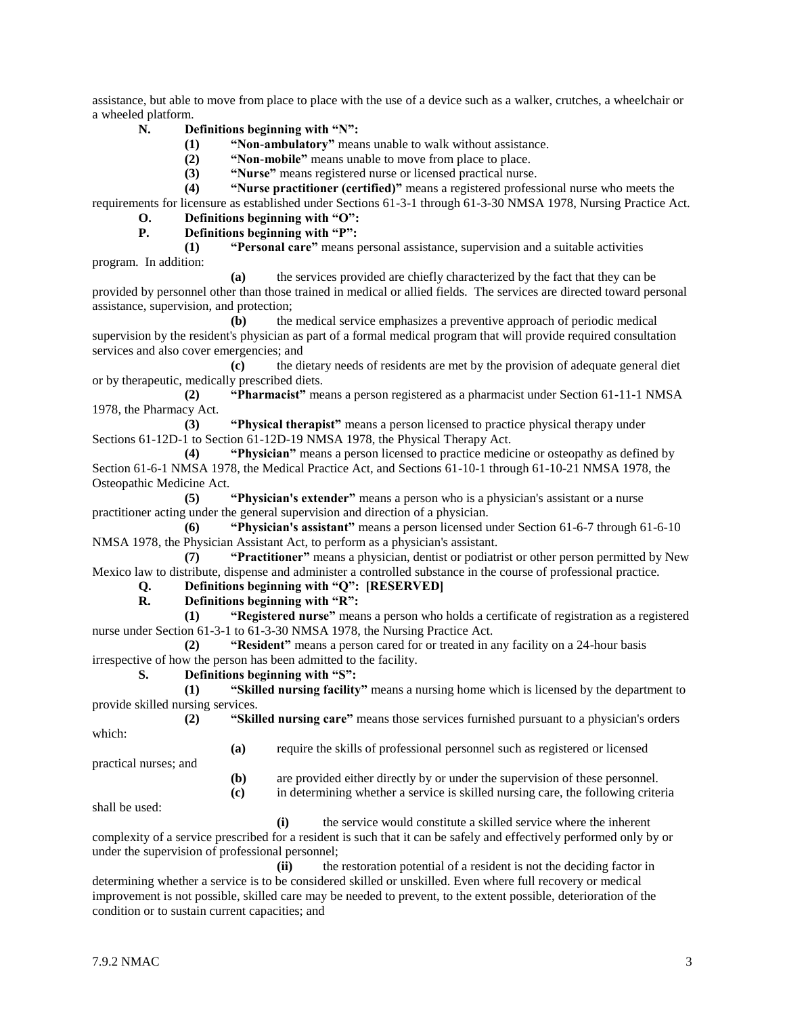assistance, but able to move from place to place with the use of a device such as a walker, crutches, a wheelchair or a wheeled platform.

- **N. Definitions beginning with "N":**
	- **(1) "Non-ambulatory"** means unable to walk without assistance.
	- **(2) "Non-mobile"** means unable to move from place to place.
	- **(3) "Nurse"** means registered nurse or licensed practical nurse.

**(4) "Nurse practitioner (certified)"** means a registered professional nurse who meets the requirements for licensure as established under Sections 61-3-1 through 61-3-30 NMSA 1978, Nursing Practice Act.

**O. Definitions beginning with "O": P. Definitions beginning with "P":**

**(1) "Personal care"** means personal assistance, supervision and a suitable activities program. In addition:

**(a)** the services provided are chiefly characterized by the fact that they can be provided by personnel other than those trained in medical or allied fields. The services are directed toward personal assistance, supervision, and protection;

**(b)** the medical service emphasizes a preventive approach of periodic medical supervision by the resident's physician as part of a formal medical program that will provide required consultation services and also cover emergencies; and

**(c)** the dietary needs of residents are met by the provision of adequate general diet or by therapeutic, medically prescribed diets.

**(2) "Pharmacist"** means a person registered as a pharmacist under Section 61-11-1 NMSA 1978, the Pharmacy Act.

**(3) "Physical therapist"** means a person licensed to practice physical therapy under Sections 61-12D-1 to Section 61-12D-19 NMSA 1978, the Physical Therapy Act.

**(4) "Physician"** means a person licensed to practice medicine or osteopathy as defined by Section 61-6-1 NMSA 1978, the Medical Practice Act, and Sections 61-10-1 through 61-10-21 NMSA 1978, the Osteopathic Medicine Act.

**(5) "Physician's extender"** means a person who is a physician's assistant or a nurse practitioner acting under the general supervision and direction of a physician.

**(6) "Physician's assistant"** means a person licensed under Section 61-6-7 through 61-6-10 NMSA 1978, the Physician Assistant Act, to perform as a physician's assistant.

**(7) "Practitioner"** means a physician, dentist or podiatrist or other person permitted by New Mexico law to distribute, dispense and administer a controlled substance in the course of professional practice.

# **Q. Definitions beginning with "Q": [RESERVED]**

**R. Definitions beginning with "R":**

**(1) "Registered nurse"** means a person who holds a certificate of registration as a registered nurse under Section 61-3-1 to 61-3-30 NMSA 1978, the Nursing Practice Act.

**(2) "Resident"** means a person cared for or treated in any facility on a 24-hour basis irrespective of how the person has been admitted to the facility.

#### **S. Definitions beginning with "S":**

**(1) "Skilled nursing facility"** means a nursing home which is licensed by the department to provide skilled nursing services.

**(2) "Skilled nursing care"** means those services furnished pursuant to a physician's orders

**(a)** require the skills of professional personnel such as registered or licensed

practical nurses; and

**(b)** are provided either directly by or under the supervision of these personnel.

**(c)** in determining whether a service is skilled nursing care, the following criteria

shall be used:

which:

**(i)** the service would constitute a skilled service where the inherent complexity of a service prescribed for a resident is such that it can be safely and effectively performed only by or under the supervision of professional personnel;

**(ii)** the restoration potential of a resident is not the deciding factor in determining whether a service is to be considered skilled or unskilled. Even where full recovery or medical improvement is not possible, skilled care may be needed to prevent, to the extent possible, deterioration of the condition or to sustain current capacities; and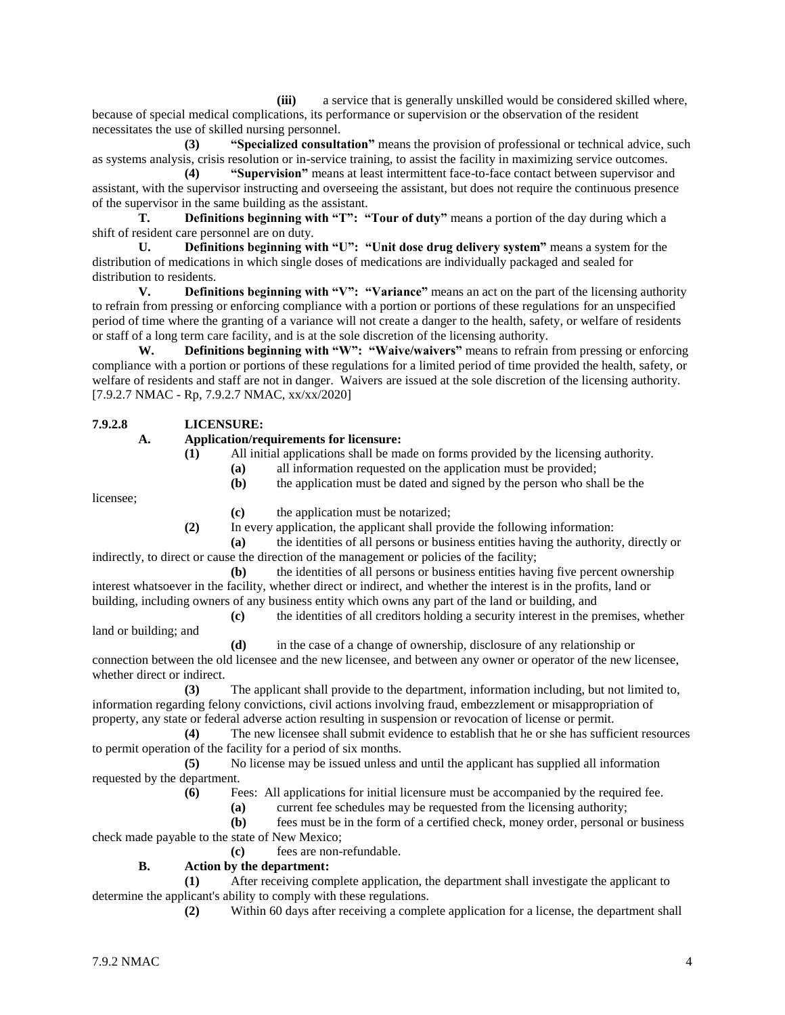**(iii)** a service that is generally unskilled would be considered skilled where, because of special medical complications, its performance or supervision or the observation of the resident necessitates the use of skilled nursing personnel.

**(3) "Specialized consultation"** means the provision of professional or technical advice, such as systems analysis, crisis resolution or in-service training, to assist the facility in maximizing service outcomes.

**(4) "Supervision"** means at least intermittent face-to-face contact between supervisor and assistant, with the supervisor instructing and overseeing the assistant, but does not require the continuous presence of the supervisor in the same building as the assistant.

**T. Definitions beginning with "T": "Tour of duty"** means a portion of the day during which a shift of resident care personnel are on duty.

**U. Definitions beginning with "U": "Unit dose drug delivery system"** means a system for the distribution of medications in which single doses of medications are individually packaged and sealed for distribution to residents.

**V. Definitions beginning with "V": "Variance"** means an act on the part of the licensing authority to refrain from pressing or enforcing compliance with a portion or portions of these regulations for an unspecified period of time where the granting of a variance will not create a danger to the health, safety, or welfare of residents or staff of a long term care facility, and is at the sole discretion of the licensing authority.

**W. Definitions beginning with "W": "Waive/waivers"** means to refrain from pressing or enforcing compliance with a portion or portions of these regulations for a limited period of time provided the health, safety, or welfare of residents and staff are not in danger. Waivers are issued at the sole discretion of the licensing authority. [7.9.2.7 NMAC - Rp, 7.9.2.7 NMAC, xx/xx/2020]

**7.9.2.8 LICENSURE:**

#### **A. Application/requirements for licensure:**

**(1)** All initial applications shall be made on forms provided by the licensing authority.

**(a)** all information requested on the application must be provided;

**(b)** the application must be dated and signed by the person who shall be the

licensee;

**(c)** the application must be notarized;

**(2)** In every application, the applicant shall provide the following information:

**(a)** the identities of all persons or business entities having the authority, directly or indirectly, to direct or cause the direction of the management or policies of the facility;

**(b)** the identities of all persons or business entities having five percent ownership interest whatsoever in the facility, whether direct or indirect, and whether the interest is in the profits, land or building, including owners of any business entity which owns any part of the land or building, and

**(c)** the identities of all creditors holding a security interest in the premises, whether land or building; and

**(d)** in the case of a change of ownership, disclosure of any relationship or connection between the old licensee and the new licensee, and between any owner or operator of the new licensee, whether direct or indirect.

**(3)** The applicant shall provide to the department, information including, but not limited to, information regarding felony convictions, civil actions involving fraud, embezzlement or misappropriation of property, any state or federal adverse action resulting in suspension or revocation of license or permit.

**(4)** The new licensee shall submit evidence to establish that he or she has sufficient resources to permit operation of the facility for a period of six months.

**(5)** No license may be issued unless and until the applicant has supplied all information requested by the department.

**(6)** Fees: All applications for initial licensure must be accompanied by the required fee.

**(a)** current fee schedules may be requested from the licensing authority;

**(b)** fees must be in the form of a certified check, money order, personal or business check made payable to the state of New Mexico;

**(c)** fees are non-refundable.

# **B. Action by the department:**

**(1)** After receiving complete application, the department shall investigate the applicant to determine the applicant's ability to comply with these regulations.

**(2)** Within 60 days after receiving a complete application for a license, the department shall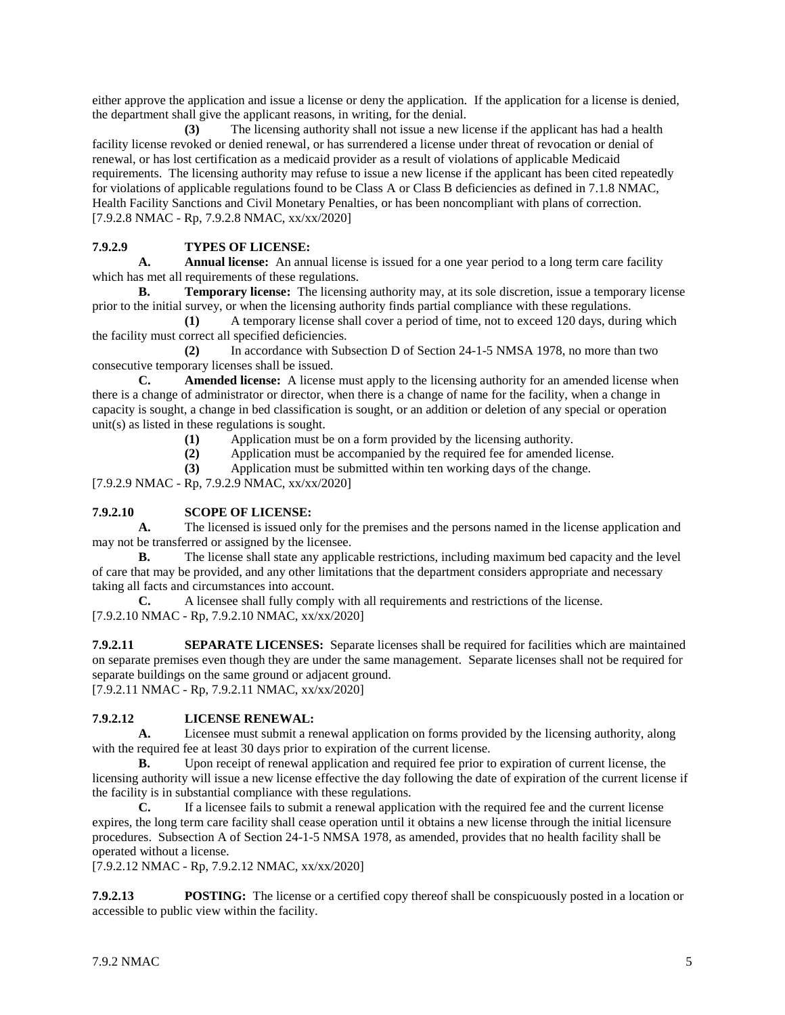either approve the application and issue a license or deny the application. If the application for a license is denied, the department shall give the applicant reasons, in writing, for the denial.

**(3)** The licensing authority shall not issue a new license if the applicant has had a health facility license revoked or denied renewal, or has surrendered a license under threat of revocation or denial of renewal, or has lost certification as a medicaid provider as a result of violations of applicable Medicaid requirements. The licensing authority may refuse to issue a new license if the applicant has been cited repeatedly for violations of applicable regulations found to be Class A or Class B deficiencies as defined in 7.1.8 NMAC, Health Facility Sanctions and Civil Monetary Penalties, or has been noncompliant with plans of correction. [7.9.2.8 NMAC - Rp, 7.9.2.8 NMAC, xx/xx/2020]

# **7.9.2.9 TYPES OF LICENSE:**

**A. Annual license:** An annual license is issued for a one year period to a long term care facility which has met all requirements of these regulations.

**B. Temporary license:** The licensing authority may, at its sole discretion, issue a temporary license prior to the initial survey, or when the licensing authority finds partial compliance with these regulations.

**(1)** A temporary license shall cover a period of time, not to exceed 120 days, during which the facility must correct all specified deficiencies.

**(2)** In accordance with Subsection D of Section 24-1-5 NMSA 1978, no more than two consecutive temporary licenses shall be issued.

**C. Amended license:** A license must apply to the licensing authority for an amended license when there is a change of administrator or director, when there is a change of name for the facility, when a change in capacity is sought, a change in bed classification is sought, or an addition or deletion of any special or operation unit(s) as listed in these regulations is sought.

- **(1)** Application must be on a form provided by the licensing authority.
- **(2)** Application must be accompanied by the required fee for amended license.
- **(3)** Application must be submitted within ten working days of the change.

[7.9.2.9 NMAC - Rp, 7.9.2.9 NMAC, xx/xx/2020]

#### **7.9.2.10 SCOPE OF LICENSE:**

**A.** The licensed is issued only for the premises and the persons named in the license application and may not be transferred or assigned by the licensee.

**B.** The license shall state any applicable restrictions, including maximum bed capacity and the level of care that may be provided, and any other limitations that the department considers appropriate and necessary taking all facts and circumstances into account.

**C.** A licensee shall fully comply with all requirements and restrictions of the license. [7.9.2.10 NMAC - Rp, 7.9.2.10 NMAC, xx/xx/2020]

**7.9.2.11 SEPARATE LICENSES:** Separate licenses shall be required for facilities which are maintained on separate premises even though they are under the same management. Separate licenses shall not be required for separate buildings on the same ground or adjacent ground. [7.9.2.11 NMAC - Rp, 7.9.2.11 NMAC, xx/xx/2020]

#### **7.9.2.12 LICENSE RENEWAL:**

**A.** Licensee must submit a renewal application on forms provided by the licensing authority, along with the required fee at least 30 days prior to expiration of the current license.

**B.** Upon receipt of renewal application and required fee prior to expiration of current license, the licensing authority will issue a new license effective the day following the date of expiration of the current license if the facility is in substantial compliance with these regulations.

**C.** If a licensee fails to submit a renewal application with the required fee and the current license expires, the long term care facility shall cease operation until it obtains a new license through the initial licensure procedures. Subsection A of Section 24-1-5 NMSA 1978, as amended, provides that no health facility shall be operated without a license.

[7.9.2.12 NMAC - Rp, 7.9.2.12 NMAC, xx/xx/2020]

**7.9.2.13 POSTING:** The license or a certified copy thereof shall be conspicuously posted in a location or accessible to public view within the facility.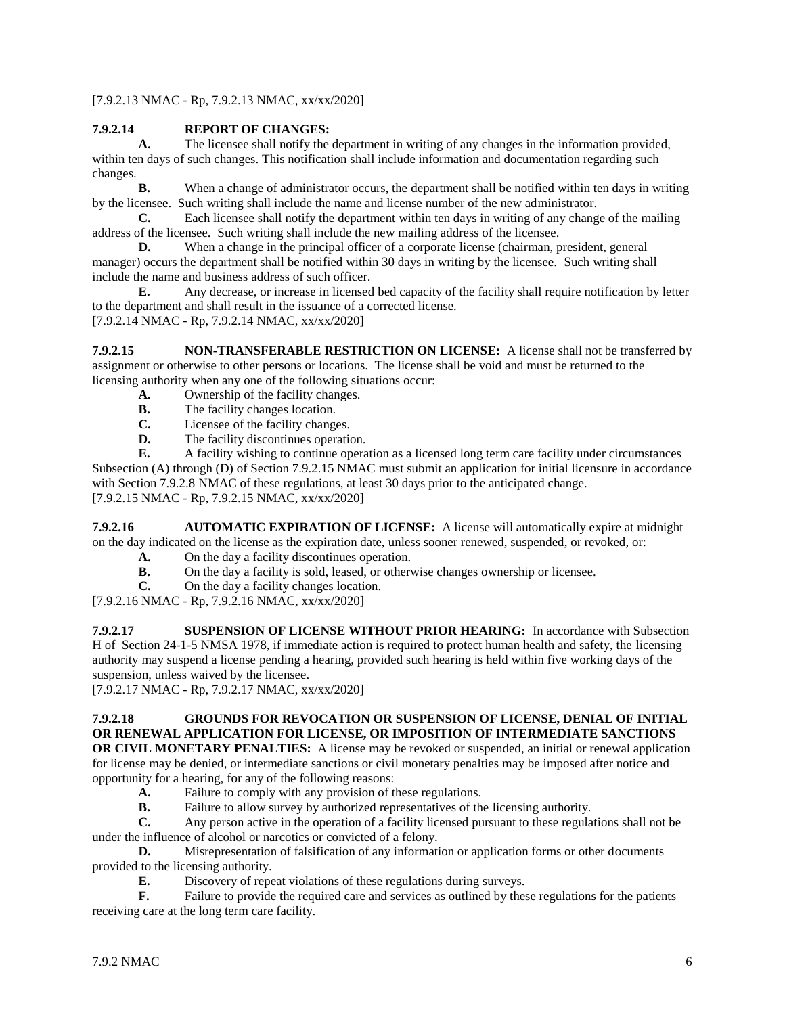[7.9.2.13 NMAC - Rp, 7.9.2.13 NMAC, xx/xx/2020]

# **7.9.2.14 REPORT OF CHANGES:**

**A.** The licensee shall notify the department in writing of any changes in the information provided, within ten days of such changes. This notification shall include information and documentation regarding such changes.

**B.** When a change of administrator occurs, the department shall be notified within ten days in writing by the licensee. Such writing shall include the name and license number of the new administrator.

**C.** Each licensee shall notify the department within ten days in writing of any change of the mailing address of the licensee. Such writing shall include the new mailing address of the licensee.

**D.** When a change in the principal officer of a corporate license (chairman, president, general manager) occurs the department shall be notified within 30 days in writing by the licensee. Such writing shall include the name and business address of such officer.

**E.** Any decrease, or increase in licensed bed capacity of the facility shall require notification by letter to the department and shall result in the issuance of a corrected license. [7.9.2.14 NMAC - Rp, 7.9.2.14 NMAC, xx/xx/2020]

**7.9.2.15 NON-TRANSFERABLE RESTRICTION ON LICENSE:** A license shall not be transferred by assignment or otherwise to other persons or locations. The license shall be void and must be returned to the licensing authority when any one of the following situations occur:

- **A.** Ownership of the facility changes.<br>**B.** The facility changes location.
- **B.** The facility changes location.<br>**C.** Licensee of the facility change
- **C.** Licensee of the facility changes.<br>**D.** The facility discontinues operation
- The facility discontinues operation.

**E.** A facility wishing to continue operation as a licensed long term care facility under circumstances Subsection (A) through (D) of Section 7.9.2.15 NMAC must submit an application for initial licensure in accordance with Section 7.9.2.8 NMAC of these regulations, at least 30 days prior to the anticipated change. [7.9.2.15 NMAC - Rp, 7.9.2.15 NMAC, xx/xx/2020]

**7.9.2.16 AUTOMATIC EXPIRATION OF LICENSE:** A license will automatically expire at midnight on the day indicated on the license as the expiration date, unless sooner renewed, suspended, or revoked, or:

- **A.** On the day a facility discontinues operation.
- **B.** On the day a facility is sold, leased, or otherwise changes ownership or licensee.
- **C.** On the day a facility changes location.

[7.9.2.16 NMAC - Rp, 7.9.2.16 NMAC, xx/xx/2020]

**7.9.2.17 SUSPENSION OF LICENSE WITHOUT PRIOR HEARING:** In accordance with Subsection H of Section 24-1-5 NMSA 1978, if immediate action is required to protect human health and safety, the licensing authority may suspend a license pending a hearing, provided such hearing is held within five working days of the suspension, unless waived by the licensee.

[7.9.2.17 NMAC - Rp, 7.9.2.17 NMAC, xx/xx/2020]

# **7.9.2.18 GROUNDS FOR REVOCATION OR SUSPENSION OF LICENSE, DENIAL OF INITIAL OR RENEWAL APPLICATION FOR LICENSE, OR IMPOSITION OF INTERMEDIATE SANCTIONS**

**OR CIVIL MONETARY PENALTIES:** A license may be revoked or suspended, an initial or renewal application for license may be denied, or intermediate sanctions or civil monetary penalties may be imposed after notice and opportunity for a hearing, for any of the following reasons:

- **A.** Failure to comply with any provision of these regulations.
- **B.** Failure to allow survey by authorized representatives of the licensing authority.

**C.** Any person active in the operation of a facility licensed pursuant to these regulations shall not be under the influence of alcohol or narcotics or convicted of a felony.

**D.** Misrepresentation of falsification of any information or application forms or other documents provided to the licensing authority.

**E.** Discovery of repeat violations of these regulations during surveys.<br> **F.** Failure to provide the required care and services as outlined by the

Failure to provide the required care and services as outlined by these regulations for the patients receiving care at the long term care facility.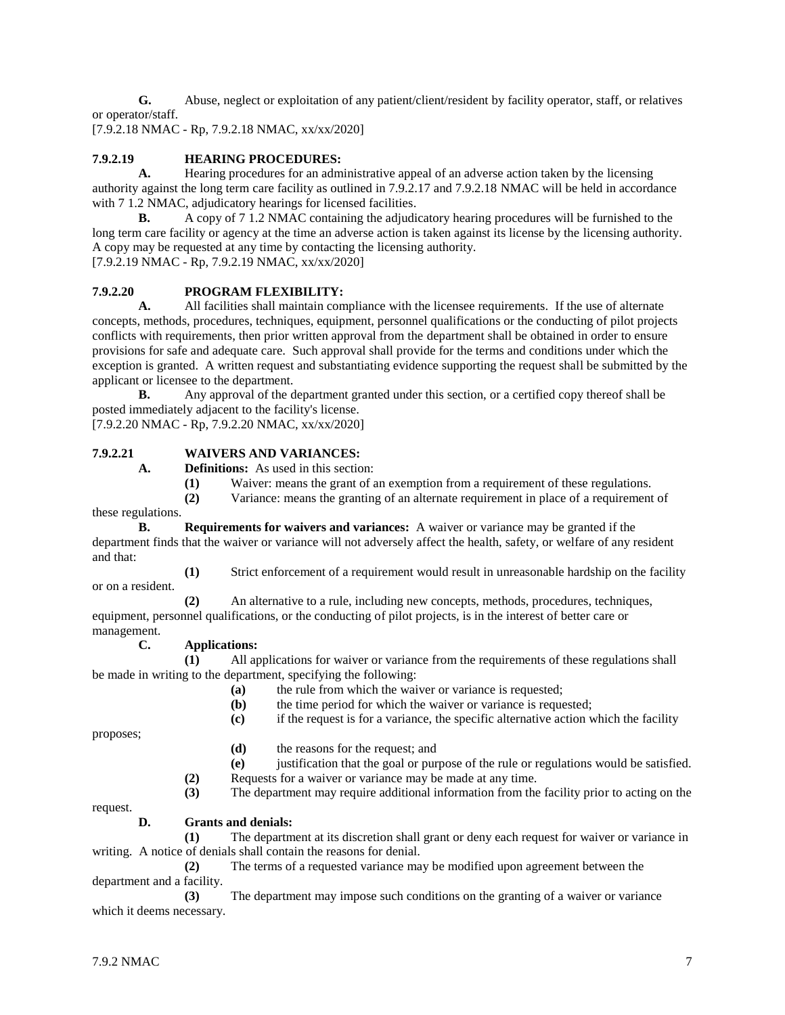**G.** Abuse, neglect or exploitation of any patient/client/resident by facility operator, staff, or relatives or operator/staff.

[7.9.2.18 NMAC - Rp, 7.9.2.18 NMAC, xx/xx/2020]

# **7.9.2.19 HEARING PROCEDURES:**

**A.** Hearing procedures for an administrative appeal of an adverse action taken by the licensing authority against the long term care facility as outlined in 7.9.2.17 and 7.9.2.18 NMAC will be held in accordance with 7 1.2 NMAC, adjudicatory hearings for licensed facilities.

**B.** A copy of 7 1.2 NMAC containing the adjudicatory hearing procedures will be furnished to the long term care facility or agency at the time an adverse action is taken against its license by the licensing authority. A copy may be requested at any time by contacting the licensing authority. [7.9.2.19 NMAC - Rp, 7.9.2.19 NMAC, xx/xx/2020]

# **7.9.2.20 PROGRAM FLEXIBILITY:**

**A.** All facilities shall maintain compliance with the licensee requirements. If the use of alternate concepts, methods, procedures, techniques, equipment, personnel qualifications or the conducting of pilot projects conflicts with requirements, then prior written approval from the department shall be obtained in order to ensure provisions for safe and adequate care. Such approval shall provide for the terms and conditions under which the exception is granted. A written request and substantiating evidence supporting the request shall be submitted by the applicant or licensee to the department.

**B.** Any approval of the department granted under this section, or a certified copy thereof shall be posted immediately adjacent to the facility's license.

[7.9.2.20 NMAC - Rp, 7.9.2.20 NMAC, xx/xx/2020]

#### **7.9.2.21 WAIVERS AND VARIANCES:**

**A. Definitions:** As used in this section:

**(1)** Waiver: means the grant of an exemption from a requirement of these regulations.

**(2)** Variance: means the granting of an alternate requirement in place of a requirement of these regulations.

**B. Requirements for waivers and variances:** A waiver or variance may be granted if the department finds that the waiver or variance will not adversely affect the health, safety, or welfare of any resident and that:

**(1)** Strict enforcement of a requirement would result in unreasonable hardship on the facility

**(2)** An alternative to a rule, including new concepts, methods, procedures, techniques, equipment, personnel qualifications, or the conducting of pilot projects, is in the interest of better care or management.

#### **C. Applications:**

**(1)** All applications for waiver or variance from the requirements of these regulations shall be made in writing to the department, specifying the following:

- **(a)** the rule from which the waiver or variance is requested;
- **(b)** the time period for which the waiver or variance is requested;
- **(c)** if the request is for a variance, the specific alternative action which the facility

proposes;

or on a resident.

- **(d)** the reasons for the request; and
- **(e)** justification that the goal or purpose of the rule or regulations would be satisfied.
- **(2)** Requests for a waiver or variance may be made at any time.

**(3)** The department may require additional information from the facility prior to acting on the

request.

#### **D. Grants and denials:**

**(1)** The department at its discretion shall grant or deny each request for waiver or variance in writing. A notice of denials shall contain the reasons for denial.

**(2)** The terms of a requested variance may be modified upon agreement between the department and a facility.

**(3)** The department may impose such conditions on the granting of a waiver or variance which it deems necessary.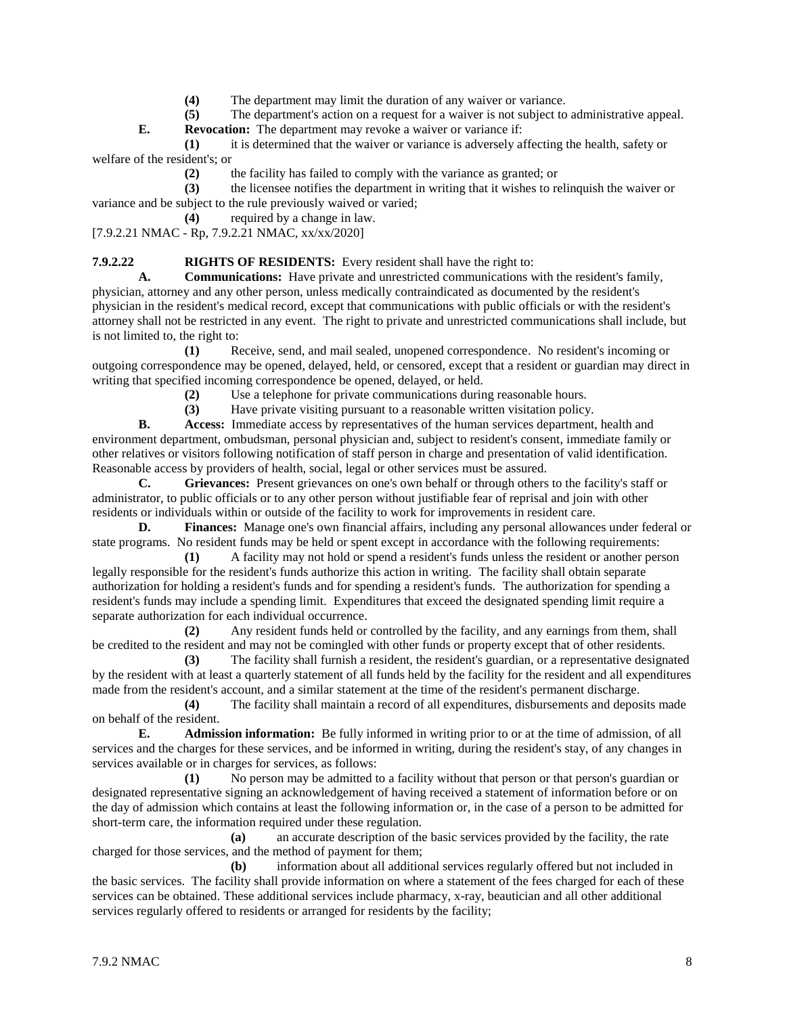- **(4)** The department may limit the duration of any waiver or variance.
- **(5)** The department's action on a request for a waiver is not subject to administrative appeal.

**E. Revocation:** The department may revoke a waiver or variance if:

**(1)** it is determined that the waiver or variance is adversely affecting the health, safety or welfare of the resident's; or

**(2)** the facility has failed to comply with the variance as granted; or

**(3)** the licensee notifies the department in writing that it wishes to relinquish the waiver or variance and be subject to the rule previously waived or varied;

**(4)** required by a change in law.

[7.9.2.21 NMAC - Rp, 7.9.2.21 NMAC, xx/xx/2020]

#### **7.9.2.22 RIGHTS OF RESIDENTS:** Every resident shall have the right to:

**A. Communications:** Have private and unrestricted communications with the resident's family, physician, attorney and any other person, unless medically contraindicated as documented by the resident's physician in the resident's medical record, except that communications with public officials or with the resident's attorney shall not be restricted in any event. The right to private and unrestricted communications shall include, but is not limited to, the right to:

**(1)** Receive, send, and mail sealed, unopened correspondence. No resident's incoming or outgoing correspondence may be opened, delayed, held, or censored, except that a resident or guardian may direct in writing that specified incoming correspondence be opened, delayed, or held.

**(2)** Use a telephone for private communications during reasonable hours.

**(3)** Have private visiting pursuant to a reasonable written visitation policy.

**B. Access:** Immediate access by representatives of the human services department, health and environment department, ombudsman, personal physician and, subject to resident's consent, immediate family or other relatives or visitors following notification of staff person in charge and presentation of valid identification. Reasonable access by providers of health, social, legal or other services must be assured.

**C. Grievances:** Present grievances on one's own behalf or through others to the facility's staff or administrator, to public officials or to any other person without justifiable fear of reprisal and join with other residents or individuals within or outside of the facility to work for improvements in resident care.

**D. Finances:** Manage one's own financial affairs, including any personal allowances under federal or state programs. No resident funds may be held or spent except in accordance with the following requirements:

**(1)** A facility may not hold or spend a resident's funds unless the resident or another person legally responsible for the resident's funds authorize this action in writing. The facility shall obtain separate authorization for holding a resident's funds and for spending a resident's funds. The authorization for spending a resident's funds may include a spending limit. Expenditures that exceed the designated spending limit require a separate authorization for each individual occurrence.

**(2)** Any resident funds held or controlled by the facility, and any earnings from them, shall be credited to the resident and may not be comingled with other funds or property except that of other residents.

**(3)** The facility shall furnish a resident, the resident's guardian, or a representative designated by the resident with at least a quarterly statement of all funds held by the facility for the resident and all expenditures made from the resident's account, and a similar statement at the time of the resident's permanent discharge.

**(4)** The facility shall maintain a record of all expenditures, disbursements and deposits made on behalf of the resident.

**E. Admission information:** Be fully informed in writing prior to or at the time of admission, of all services and the charges for these services, and be informed in writing, during the resident's stay, of any changes in services available or in charges for services, as follows:

**(1)** No person may be admitted to a facility without that person or that person's guardian or designated representative signing an acknowledgement of having received a statement of information before or on the day of admission which contains at least the following information or, in the case of a person to be admitted for short-term care, the information required under these regulation.

**(a)** an accurate description of the basic services provided by the facility, the rate charged for those services, and the method of payment for them;

**(b)** information about all additional services regularly offered but not included in the basic services. The facility shall provide information on where a statement of the fees charged for each of these services can be obtained. These additional services include pharmacy, x-ray, beautician and all other additional services regularly offered to residents or arranged for residents by the facility;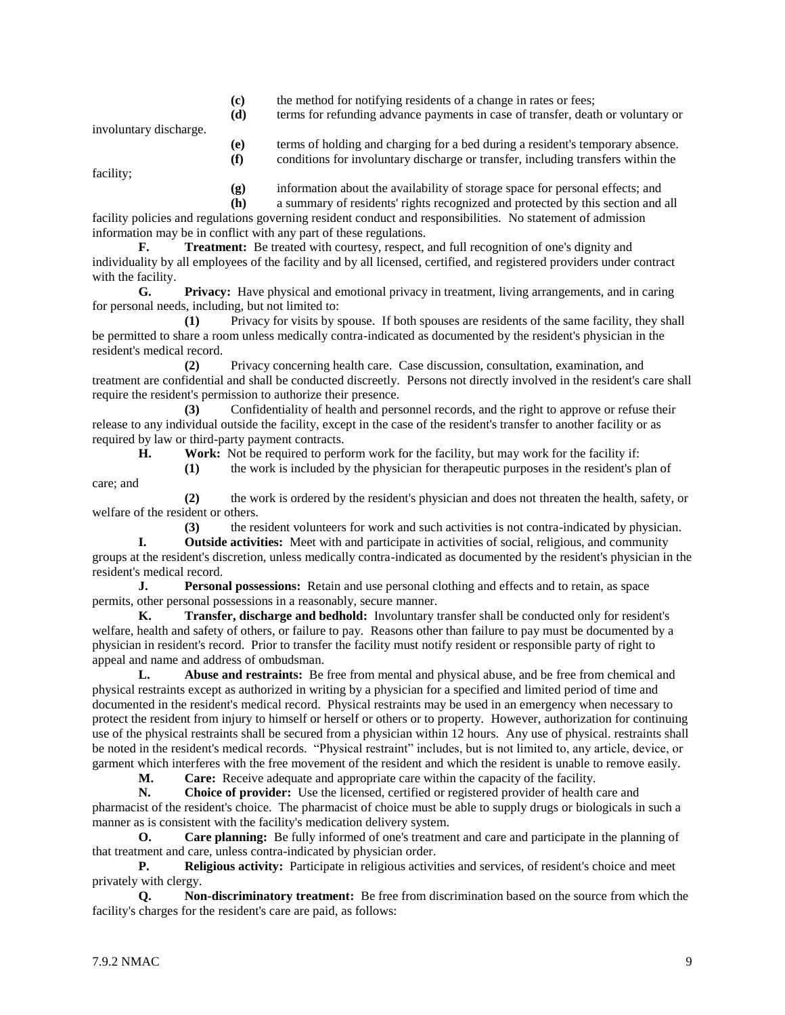**(c)** the method for notifying residents of a change in rates or fees;

**(d)** terms for refunding advance payments in case of transfer, death or voluntary or

involuntary discharge.

**(e)** terms of holding and charging for a bed during a resident's temporary absence. **(f)** conditions for involuntary discharge or transfer, including transfers within the

facility;

care; and

**(g)** information about the availability of storage space for personal effects; and

**(h)** a summary of residents' rights recognized and protected by this section and all facility policies and regulations governing resident conduct and responsibilities. No statement of admission information may be in conflict with any part of these regulations.

**F. Treatment:** Be treated with courtesy, respect, and full recognition of one's dignity and individuality by all employees of the facility and by all licensed, certified, and registered providers under contract with the facility.

**G. Privacy:** Have physical and emotional privacy in treatment, living arrangements, and in caring for personal needs, including, but not limited to:

**(1)** Privacy for visits by spouse. If both spouses are residents of the same facility, they shall be permitted to share a room unless medically contra-indicated as documented by the resident's physician in the resident's medical record.

**(2)** Privacy concerning health care. Case discussion, consultation, examination, and treatment are confidential and shall be conducted discreetly. Persons not directly involved in the resident's care shall require the resident's permission to authorize their presence.

**(3)** Confidentiality of health and personnel records, and the right to approve or refuse their release to any individual outside the facility, except in the case of the resident's transfer to another facility or as required by law or third-party payment contracts.

**H. Work:** Not be required to perform work for the facility, but may work for the facility if:

**(1)** the work is included by the physician for therapeutic purposes in the resident's plan of

**(2)** the work is ordered by the resident's physician and does not threaten the health, safety, or welfare of the resident or others.

**(3)** the resident volunteers for work and such activities is not contra-indicated by physician. **I. Outside activities:** Meet with and participate in activities of social, religious, and community groups at the resident's discretion, unless medically contra-indicated as documented by the resident's physician in the resident's medical record.

**J. Personal possessions:** Retain and use personal clothing and effects and to retain, as space permits, other personal possessions in a reasonably, secure manner.

**K. Transfer, discharge and bedhold:** Involuntary transfer shall be conducted only for resident's welfare, health and safety of others, or failure to pay. Reasons other than failure to pay must be documented by a physician in resident's record. Prior to transfer the facility must notify resident or responsible party of right to appeal and name and address of ombudsman.

**L. Abuse and restraints:** Be free from mental and physical abuse, and be free from chemical and physical restraints except as authorized in writing by a physician for a specified and limited period of time and documented in the resident's medical record. Physical restraints may be used in an emergency when necessary to protect the resident from injury to himself or herself or others or to property. However, authorization for continuing use of the physical restraints shall be secured from a physician within 12 hours. Any use of physical. restraints shall be noted in the resident's medical records. "Physical restraint" includes, but is not limited to, any article, device, or garment which interferes with the free movement of the resident and which the resident is unable to remove easily.

**M. Care:** Receive adequate and appropriate care within the capacity of the facility.

**N. Choice of provider:** Use the licensed, certified or registered provider of health care and pharmacist of the resident's choice. The pharmacist of choice must be able to supply drugs or biologicals in such a manner as is consistent with the facility's medication delivery system.

**O. Care planning:** Be fully informed of one's treatment and care and participate in the planning of that treatment and care, unless contra-indicated by physician order.

**P. Religious activity:** Participate in religious activities and services, of resident's choice and meet privately with clergy.

**Q. Non-discriminatory treatment:** Be free from discrimination based on the source from which the facility's charges for the resident's care are paid, as follows: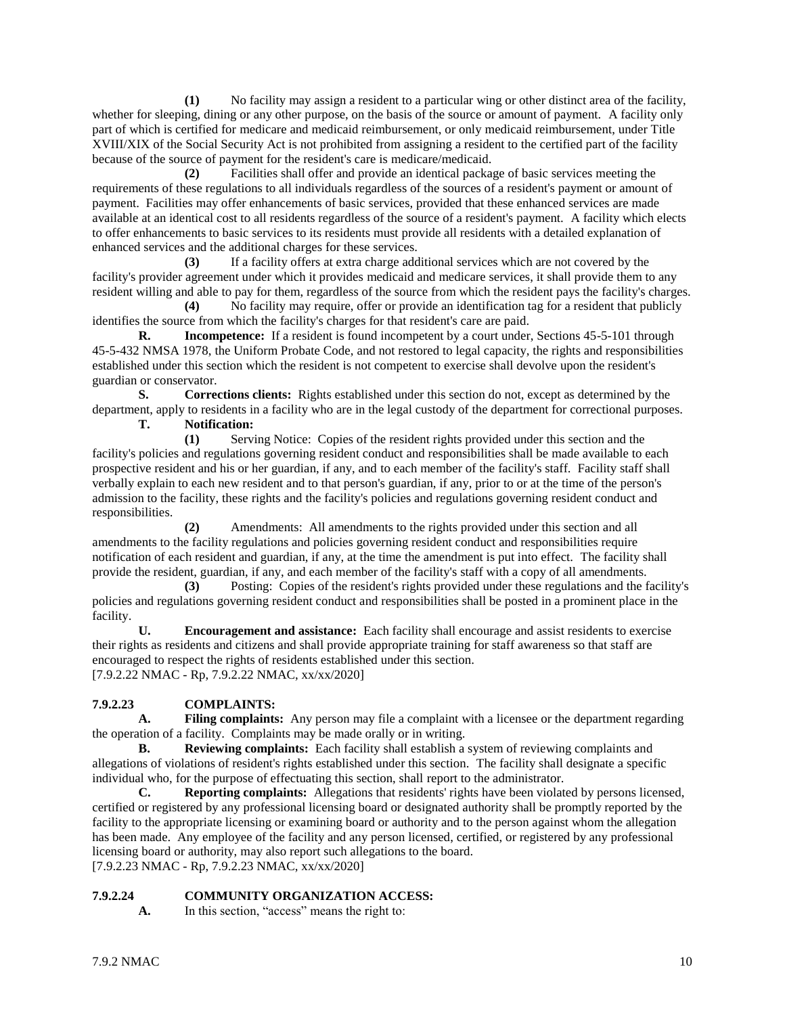**(1)** No facility may assign a resident to a particular wing or other distinct area of the facility, whether for sleeping, dining or any other purpose, on the basis of the source or amount of payment. A facility only part of which is certified for medicare and medicaid reimbursement, or only medicaid reimbursement, under Title XVIII/XIX of the Social Security Act is not prohibited from assigning a resident to the certified part of the facility because of the source of payment for the resident's care is medicare/medicaid.

**(2)** Facilities shall offer and provide an identical package of basic services meeting the requirements of these regulations to all individuals regardless of the sources of a resident's payment or amount of payment. Facilities may offer enhancements of basic services, provided that these enhanced services are made available at an identical cost to all residents regardless of the source of a resident's payment. A facility which elects to offer enhancements to basic services to its residents must provide all residents with a detailed explanation of enhanced services and the additional charges for these services.

**(3)** If a facility offers at extra charge additional services which are not covered by the facility's provider agreement under which it provides medicaid and medicare services, it shall provide them to any resident willing and able to pay for them, regardless of the source from which the resident pays the facility's charges.

**(4)** No facility may require, offer or provide an identification tag for a resident that publicly identifies the source from which the facility's charges for that resident's care are paid.

**R. Incompetence:** If a resident is found incompetent by a court under, Sections 45-5-101 through 45-5-432 NMSA 1978, the Uniform Probate Code, and not restored to legal capacity, the rights and responsibilities established under this section which the resident is not competent to exercise shall devolve upon the resident's guardian or conservator.

**S. Corrections clients:** Rights established under this section do not, except as determined by the department, apply to residents in a facility who are in the legal custody of the department for correctional purposes.

**T. Notification:**

**(1)** Serving Notice: Copies of the resident rights provided under this section and the facility's policies and regulations governing resident conduct and responsibilities shall be made available to each prospective resident and his or her guardian, if any, and to each member of the facility's staff. Facility staff shall verbally explain to each new resident and to that person's guardian, if any, prior to or at the time of the person's admission to the facility, these rights and the facility's policies and regulations governing resident conduct and responsibilities.

**(2)** Amendments: All amendments to the rights provided under this section and all amendments to the facility regulations and policies governing resident conduct and responsibilities require notification of each resident and guardian, if any, at the time the amendment is put into effect. The facility shall provide the resident, guardian, if any, and each member of the facility's staff with a copy of all amendments.

**(3)** Posting: Copies of the resident's rights provided under these regulations and the facility's policies and regulations governing resident conduct and responsibilities shall be posted in a prominent place in the facility.

**U. Encouragement and assistance:** Each facility shall encourage and assist residents to exercise their rights as residents and citizens and shall provide appropriate training for staff awareness so that staff are encouraged to respect the rights of residents established under this section. [7.9.2.22 NMAC - Rp, 7.9.2.22 NMAC, xx/xx/2020]

# **7.9.2.23 COMPLAINTS:**

**A. Filing complaints:** Any person may file a complaint with a licensee or the department regarding the operation of a facility. Complaints may be made orally or in writing.

**B. Reviewing complaints:** Each facility shall establish a system of reviewing complaints and allegations of violations of resident's rights established under this section. The facility shall designate a specific individual who, for the purpose of effectuating this section, shall report to the administrator.

**C. Reporting complaints:** Allegations that residents' rights have been violated by persons licensed, certified or registered by any professional licensing board or designated authority shall be promptly reported by the facility to the appropriate licensing or examining board or authority and to the person against whom the allegation has been made. Any employee of the facility and any person licensed, certified, or registered by any professional licensing board or authority, may also report such allegations to the board. [7.9.2.23 NMAC - Rp, 7.9.2.23 NMAC, xx/xx/2020]

# **7.9.2.24 COMMUNITY ORGANIZATION ACCESS:**

**A.** In this section, "access" means the right to: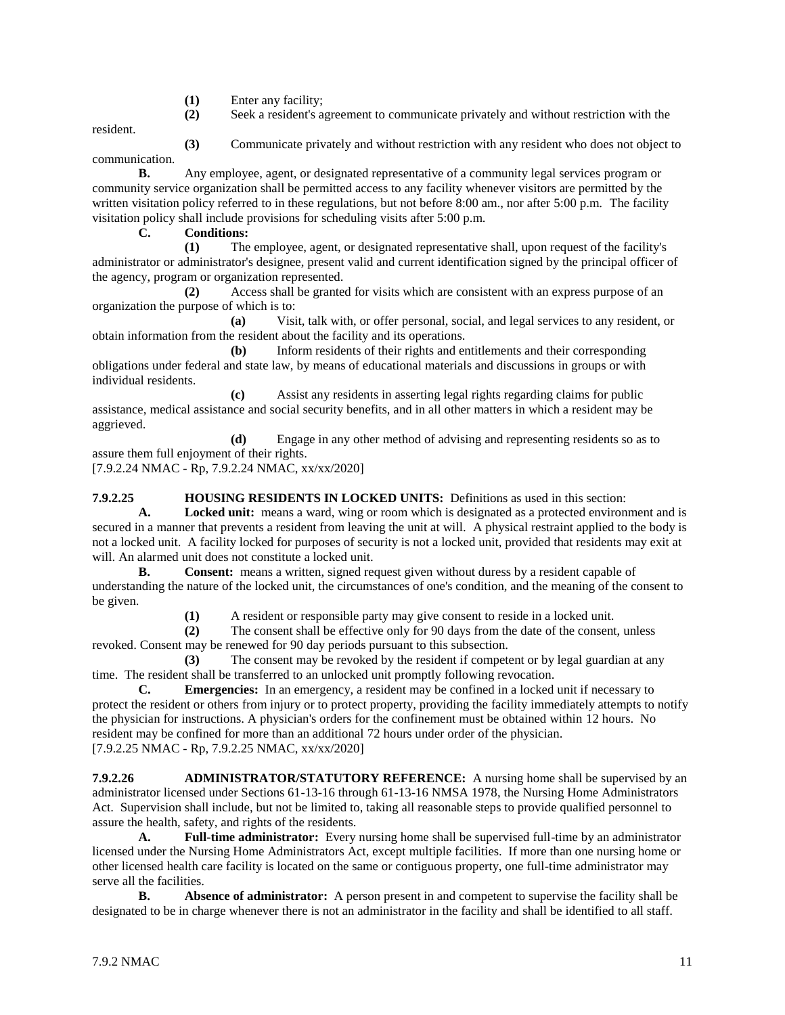- **(1)** Enter any facility;
- **(2)** Seek a resident's agreement to communicate privately and without restriction with the

resident.

**(3)** Communicate privately and without restriction with any resident who does not object to

communication.

**B.** Any employee, agent, or designated representative of a community legal services program or community service organization shall be permitted access to any facility whenever visitors are permitted by the written visitation policy referred to in these regulations, but not before 8:00 am., nor after 5:00 p.m. The facility visitation policy shall include provisions for scheduling visits after 5:00 p.m.

# **C. Conditions:**

**(1)** The employee, agent, or designated representative shall, upon request of the facility's administrator or administrator's designee, present valid and current identification signed by the principal officer of the agency, program or organization represented.

**(2)** Access shall be granted for visits which are consistent with an express purpose of an organization the purpose of which is to:

**(a)** Visit, talk with, or offer personal, social, and legal services to any resident, or obtain information from the resident about the facility and its operations.

**(b)** Inform residents of their rights and entitlements and their corresponding obligations under federal and state law, by means of educational materials and discussions in groups or with individual residents.

**(c)** Assist any residents in asserting legal rights regarding claims for public assistance, medical assistance and social security benefits, and in all other matters in which a resident may be aggrieved.

**(d)** Engage in any other method of advising and representing residents so as to assure them full enjoyment of their rights.

[7.9.2.24 NMAC - Rp, 7.9.2.24 NMAC, xx/xx/2020]

**7.9.2.25 HOUSING RESIDENTS IN LOCKED UNITS:** Definitions as used in this section:

**A. Locked unit:** means a ward, wing or room which is designated as a protected environment and is secured in a manner that prevents a resident from leaving the unit at will. A physical restraint applied to the body is not a locked unit. A facility locked for purposes of security is not a locked unit, provided that residents may exit at will. An alarmed unit does not constitute a locked unit.

**B. Consent:** means a written, signed request given without duress by a resident capable of understanding the nature of the locked unit, the circumstances of one's condition, and the meaning of the consent to be given.

**(1)** A resident or responsible party may give consent to reside in a locked unit.

**(2)** The consent shall be effective only for 90 days from the date of the consent, unless revoked. Consent may be renewed for 90 day periods pursuant to this subsection.

**(3)** The consent may be revoked by the resident if competent or by legal guardian at any time. The resident shall be transferred to an unlocked unit promptly following revocation.

**C. Emergencies:** In an emergency, a resident may be confined in a locked unit if necessary to protect the resident or others from injury or to protect property, providing the facility immediately attempts to notify the physician for instructions. A physician's orders for the confinement must be obtained within 12 hours. No resident may be confined for more than an additional 72 hours under order of the physician. [7.9.2.25 NMAC - Rp, 7.9.2.25 NMAC, xx/xx/2020]

**7.9.2.26 ADMINISTRATOR/STATUTORY REFERENCE:** A nursing home shall be supervised by an administrator licensed under Sections 61-13-16 through 61-13-16 NMSA 1978, the Nursing Home Administrators Act. Supervision shall include, but not be limited to, taking all reasonable steps to provide qualified personnel to assure the health, safety, and rights of the residents.

**A. Full-time administrator:** Every nursing home shall be supervised full-time by an administrator licensed under the Nursing Home Administrators Act, except multiple facilities. If more than one nursing home or other licensed health care facility is located on the same or contiguous property, one full-time administrator may serve all the facilities.

**B. Absence of administrator:** A person present in and competent to supervise the facility shall be designated to be in charge whenever there is not an administrator in the facility and shall be identified to all staff.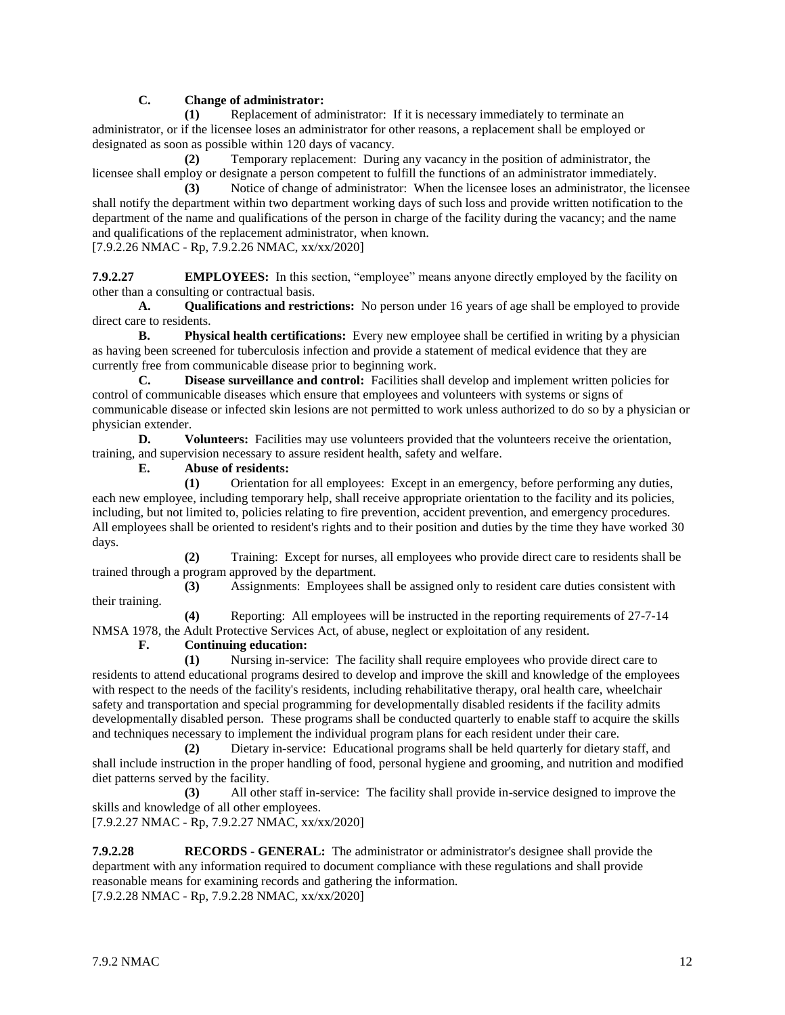# **C. Change of administrator:**

**(1)** Replacement of administrator: If it is necessary immediately to terminate an administrator, or if the licensee loses an administrator for other reasons, a replacement shall be employed or designated as soon as possible within 120 days of vacancy.

**(2)** Temporary replacement: During any vacancy in the position of administrator, the licensee shall employ or designate a person competent to fulfill the functions of an administrator immediately.

**(3)** Notice of change of administrator: When the licensee loses an administrator, the licensee shall notify the department within two department working days of such loss and provide written notification to the department of the name and qualifications of the person in charge of the facility during the vacancy; and the name and qualifications of the replacement administrator, when known.

[7.9.2.26 NMAC - Rp, 7.9.2.26 NMAC, xx/xx/2020]

**7.9.2.27 EMPLOYEES:** In this section, "employee" means anyone directly employed by the facility on other than a consulting or contractual basis.

**A. Qualifications and restrictions:** No person under 16 years of age shall be employed to provide direct care to residents.

**B. Physical health certifications:** Every new employee shall be certified in writing by a physician as having been screened for tuberculosis infection and provide a statement of medical evidence that they are currently free from communicable disease prior to beginning work.

**C. Disease surveillance and control:** Facilities shall develop and implement written policies for control of communicable diseases which ensure that employees and volunteers with systems or signs of communicable disease or infected skin lesions are not permitted to work unless authorized to do so by a physician or physician extender.

**D. Volunteers:** Facilities may use volunteers provided that the volunteers receive the orientation, training, and supervision necessary to assure resident health, safety and welfare.

**E. Abuse of residents:**

**(1)** Orientation for all employees: Except in an emergency, before performing any duties, each new employee, including temporary help, shall receive appropriate orientation to the facility and its policies, including, but not limited to, policies relating to fire prevention, accident prevention, and emergency procedures. All employees shall be oriented to resident's rights and to their position and duties by the time they have worked 30 days.

**(2)** Training: Except for nurses, all employees who provide direct care to residents shall be trained through a program approved by the department.

**(3)** Assignments: Employees shall be assigned only to resident care duties consistent with their training.

**(4)** Reporting: All employees will be instructed in the reporting requirements of 27-7-14 NMSA 1978, the Adult Protective Services Act, of abuse, neglect or exploitation of any resident.

**F. Continuing education:**

**(1)** Nursing in-service: The facility shall require employees who provide direct care to residents to attend educational programs desired to develop and improve the skill and knowledge of the employees with respect to the needs of the facility's residents, including rehabilitative therapy, oral health care, wheelchair safety and transportation and special programming for developmentally disabled residents if the facility admits developmentally disabled person. These programs shall be conducted quarterly to enable staff to acquire the skills and techniques necessary to implement the individual program plans for each resident under their care.

**(2)** Dietary in-service: Educational programs shall be held quarterly for dietary staff, and shall include instruction in the proper handling of food, personal hygiene and grooming, and nutrition and modified diet patterns served by the facility.

**(3)** All other staff in-service: The facility shall provide in-service designed to improve the skills and knowledge of all other employees.

[7.9.2.27 NMAC - Rp, 7.9.2.27 NMAC, xx/xx/2020]

**7.9.2.28 RECORDS - GENERAL:** The administrator or administrator's designee shall provide the department with any information required to document compliance with these regulations and shall provide reasonable means for examining records and gathering the information. [7.9.2.28 NMAC - Rp, 7.9.2.28 NMAC, xx/xx/2020]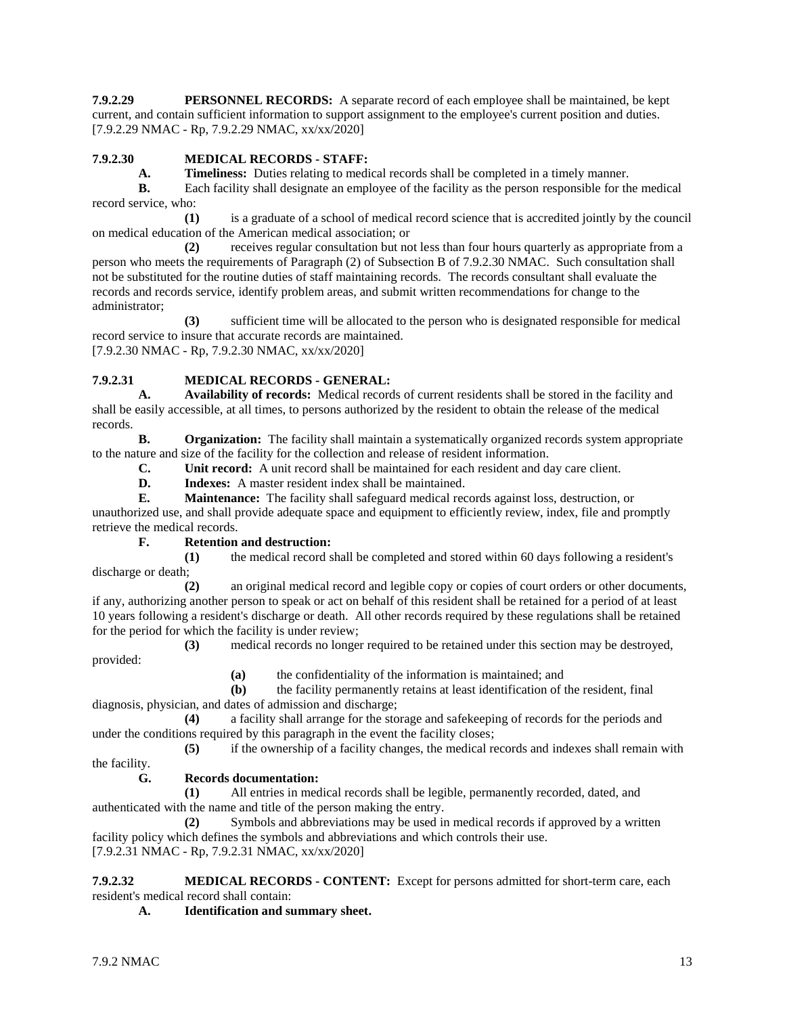**7.9.2.29 PERSONNEL RECORDS:** A separate record of each employee shall be maintained, be kept current, and contain sufficient information to support assignment to the employee's current position and duties. [7.9.2.29 NMAC - Rp, 7.9.2.29 NMAC, xx/xx/2020]

# **7.9.2.30 MEDICAL RECORDS - STAFF:**

**A. Timeliness:** Duties relating to medical records shall be completed in a timely manner.

**B.** Each facility shall designate an employee of the facility as the person responsible for the medical record service, who:

**(1)** is a graduate of a school of medical record science that is accredited jointly by the council on medical education of the American medical association; or

**(2)** receives regular consultation but not less than four hours quarterly as appropriate from a person who meets the requirements of Paragraph (2) of Subsection B of 7.9.2.30 NMAC. Such consultation shall not be substituted for the routine duties of staff maintaining records. The records consultant shall evaluate the records and records service, identify problem areas, and submit written recommendations for change to the administrator;

**(3)** sufficient time will be allocated to the person who is designated responsible for medical record service to insure that accurate records are maintained. [7.9.2.30 NMAC - Rp, 7.9.2.30 NMAC, xx/xx/2020]

# **7.9.2.31 MEDICAL RECORDS - GENERAL:**

**A. Availability of records:** Medical records of current residents shall be stored in the facility and shall be easily accessible, at all times, to persons authorized by the resident to obtain the release of the medical records.

**B. Organization:** The facility shall maintain a systematically organized records system appropriate to the nature and size of the facility for the collection and release of resident information.

**C. Unit record:** A unit record shall be maintained for each resident and day care client.

**D. Indexes:** A master resident index shall be maintained.

**E. Maintenance:** The facility shall safeguard medical records against loss, destruction, or unauthorized use, and shall provide adequate space and equipment to efficiently review, index, file and promptly retrieve the medical records.

#### **F. Retention and destruction:**

**(1)** the medical record shall be completed and stored within 60 days following a resident's discharge or death;

**(2)** an original medical record and legible copy or copies of court orders or other documents, if any, authorizing another person to speak or act on behalf of this resident shall be retained for a period of at least 10 years following a resident's discharge or death. All other records required by these regulations shall be retained for the period for which the facility is under review;

**(3)** medical records no longer required to be retained under this section may be destroyed, provided:

**(a)** the confidentiality of the information is maintained; and

**(b)** the facility permanently retains at least identification of the resident, final diagnosis, physician, and dates of admission and discharge;

**(4)** a facility shall arrange for the storage and safekeeping of records for the periods and under the conditions required by this paragraph in the event the facility closes;

**(5)** if the ownership of a facility changes, the medical records and indexes shall remain with the facility.

#### **G. Records documentation:**

**(1)** All entries in medical records shall be legible, permanently recorded, dated, and authenticated with the name and title of the person making the entry.

**(2)** Symbols and abbreviations may be used in medical records if approved by a written facility policy which defines the symbols and abbreviations and which controls their use. [7.9.2.31 NMAC - Rp, 7.9.2.31 NMAC, xx/xx/2020]

**7.9.2.32 MEDICAL RECORDS - CONTENT:** Except for persons admitted for short-term care, each resident's medical record shall contain:

**A. Identification and summary sheet.**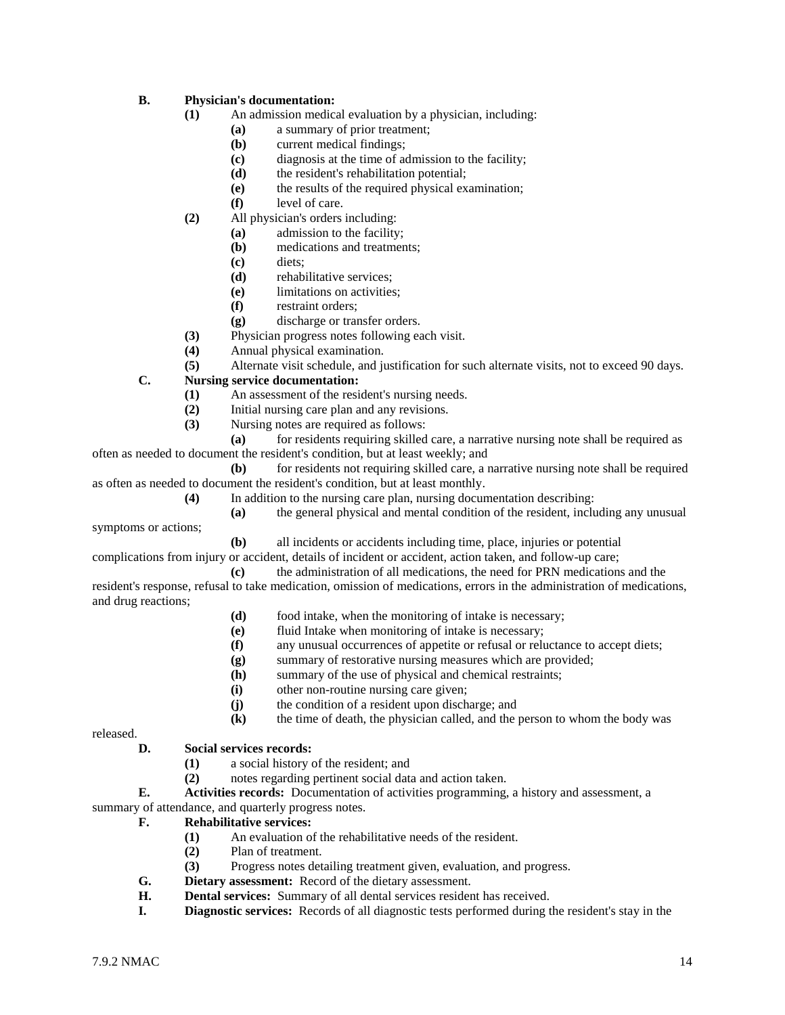# **B. Physician's documentation:**

- **(1)** An admission medical evaluation by a physician, including:
	- **(a)** a summary of prior treatment;
	- **(b)** current medical findings;
	- **(c)** diagnosis at the time of admission to the facility;
	- **(d)** the resident's rehabilitation potential;
	- **(e)** the results of the required physical examination;
	- **(f)** level of care.
- **(2)** All physician's orders including:
	- **(a)** admission to the facility;
	- **(b)** medications and treatments;
	- **(c)** diets;
	- **(d)** rehabilitative services;
	- **(e)** limitations on activities;
	- **(f)** restraint orders;
	- **(g)** discharge or transfer orders.
- **(3)** Physician progress notes following each visit.
- **(4)** Annual physical examination.
- **(5)** Alternate visit schedule, and justification for such alternate visits, not to exceed 90 days.
- **C. Nursing service documentation:**
	- **(1)** An assessment of the resident's nursing needs.
	- **(2)** Initial nursing care plan and any revisions.
	- **(3)** Nursing notes are required as follows:

**(a)** for residents requiring skilled care, a narrative nursing note shall be required as often as needed to document the resident's condition, but at least weekly; and

- **(b)** for residents not requiring skilled care, a narrative nursing note shall be required as often as needed to document the resident's condition, but at least monthly.
	- **(4)** In addition to the nursing care plan, nursing documentation describing:
		- **(a)** the general physical and mental condition of the resident, including any unusual
- symptoms or actions;

**(b)** all incidents or accidents including time, place, injuries or potential

complications from injury or accident, details of incident or accident, action taken, and follow-up care;

**(c)** the administration of all medications, the need for PRN medications and the resident's response, refusal to take medication, omission of medications, errors in the administration of medications, and drug reactions;

- **(d)** food intake, when the monitoring of intake is necessary;
- **(e)** fluid Intake when monitoring of intake is necessary;
- **(f)** any unusual occurrences of appetite or refusal or reluctance to accept diets;
- **(g)** summary of restorative nursing measures which are provided;
- **(h)** summary of the use of physical and chemical restraints;
- **(i)** other non-routine nursing care given;
- **(j)** the condition of a resident upon discharge; and
- **(k)** the time of death, the physician called, and the person to whom the body was

released.

#### **D. Social services records:**

- **(1)** a social history of the resident; and
- **(2)** notes regarding pertinent social data and action taken.

**E. Activities records:** Documentation of activities programming, a history and assessment, a summary of attendance, and quarterly progress notes.

#### **F. Rehabilitative services:**

- **(1)** An evaluation of the rehabilitative needs of the resident.
- **(2)** Plan of treatment.
- **(3)** Progress notes detailing treatment given, evaluation, and progress.
- **G. Dietary assessment:** Record of the dietary assessment.
- **H. Dental services:** Summary of all dental services resident has received.
- **I. Diagnostic services:** Records of all diagnostic tests performed during the resident's stay in the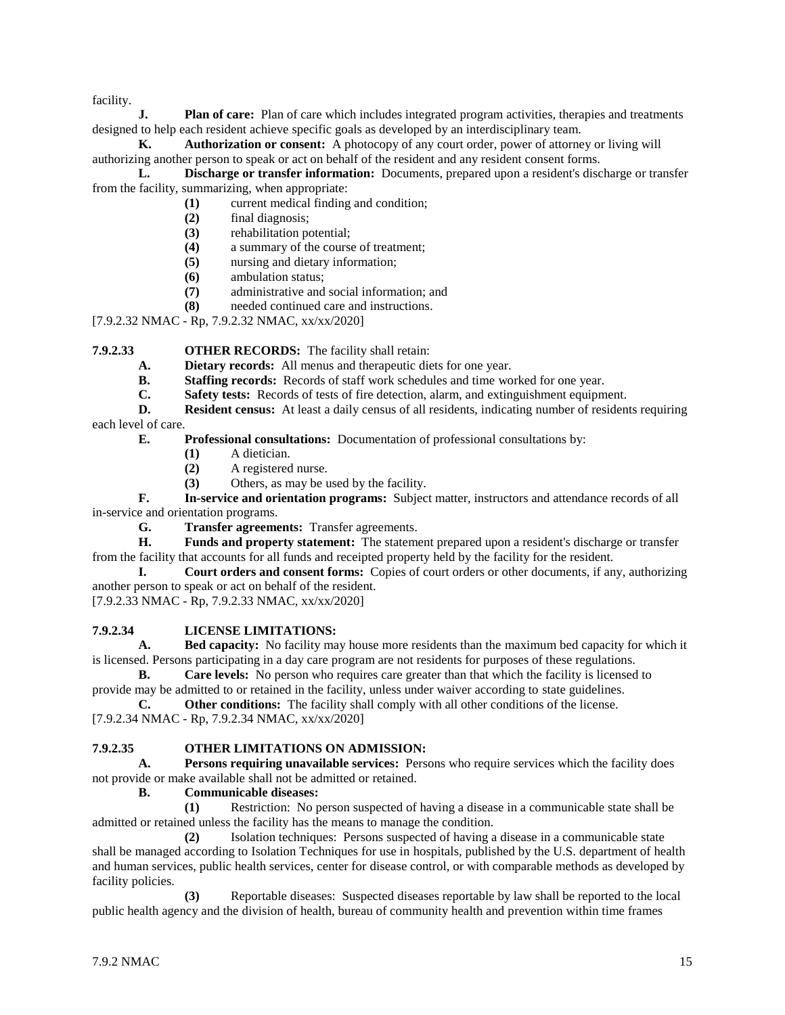facility.

**J. Plan of care:** Plan of care which includes integrated program activities, therapies and treatments designed to help each resident achieve specific goals as developed by an interdisciplinary team.

**K. Authorization or consent:** A photocopy of any court order, power of attorney or living will authorizing another person to speak or act on behalf of the resident and any resident consent forms.

**L. Discharge or transfer information:** Documents, prepared upon a resident's discharge or transfer from the facility, summarizing, when appropriate:

- **(1)** current medical finding and condition;
	- **(2)** final diagnosis;
- **(3)** rehabilitation potential;
- **(4)** a summary of the course of treatment;
- **(5)** nursing and dietary information;
- **(6)** ambulation status;
- **(7)** administrative and social information; and
- **(8)** needed continued care and instructions.

[7.9.2.32 NMAC - Rp, 7.9.2.32 NMAC, xx/xx/2020]

# **7.9.2.33 OTHER RECORDS:** The facility shall retain:

- **A. Dietary records:** All menus and therapeutic diets for one year.
- **B. Staffing records:** Records of staff work schedules and time worked for one year.
- **C. Safety tests:** Records of tests of fire detection, alarm, and extinguishment equipment.

**D. Resident census:** At least a daily census of all residents, indicating number of residents requiring each level of care.

**E. Professional consultations:** Documentation of professional consultations by:

- **(1)** A dietician.
- **(2)** A registered nurse.
- **(3)** Others, as may be used by the facility.

**F. In-service and orientation programs:** Subject matter, instructors and attendance records of all in-service and orientation programs.

**G. Transfer agreements:** Transfer agreements.

**H. Funds and property statement:** The statement prepared upon a resident's discharge or transfer from the facility that accounts for all funds and receipted property held by the facility for the resident.

**I. Court orders and consent forms:** Copies of court orders or other documents, if any, authorizing another person to speak or act on behalf of the resident.

[7.9.2.33 NMAC - Rp, 7.9.2.33 NMAC, xx/xx/2020]

# **7.9.2.34 LICENSE LIMITATIONS:**

**A. Bed capacity:** No facility may house more residents than the maximum bed capacity for which it is licensed. Persons participating in a day care program are not residents for purposes of these regulations.

**B. Care levels:** No person who requires care greater than that which the facility is licensed to provide may be admitted to or retained in the facility, unless under waiver according to state guidelines.

**C. Other conditions:** The facility shall comply with all other conditions of the license. [7.9.2.34 NMAC - Rp, 7.9.2.34 NMAC, xx/xx/2020]

#### **7.9.2.35 OTHER LIMITATIONS ON ADMISSION:**

**A. Persons requiring unavailable services:** Persons who require services which the facility does not provide or make available shall not be admitted or retained.

#### **B. Communicable diseases:**

**(1)** Restriction: No person suspected of having a disease in a communicable state shall be admitted or retained unless the facility has the means to manage the condition.

**(2)** Isolation techniques: Persons suspected of having a disease in a communicable state shall be managed according to Isolation Techniques for use in hospitals, published by the U.S. department of health and human services, public health services, center for disease control, or with comparable methods as developed by facility policies.

**(3)** Reportable diseases: Suspected diseases reportable by law shall be reported to the local public health agency and the division of health, bureau of community health and prevention within time frames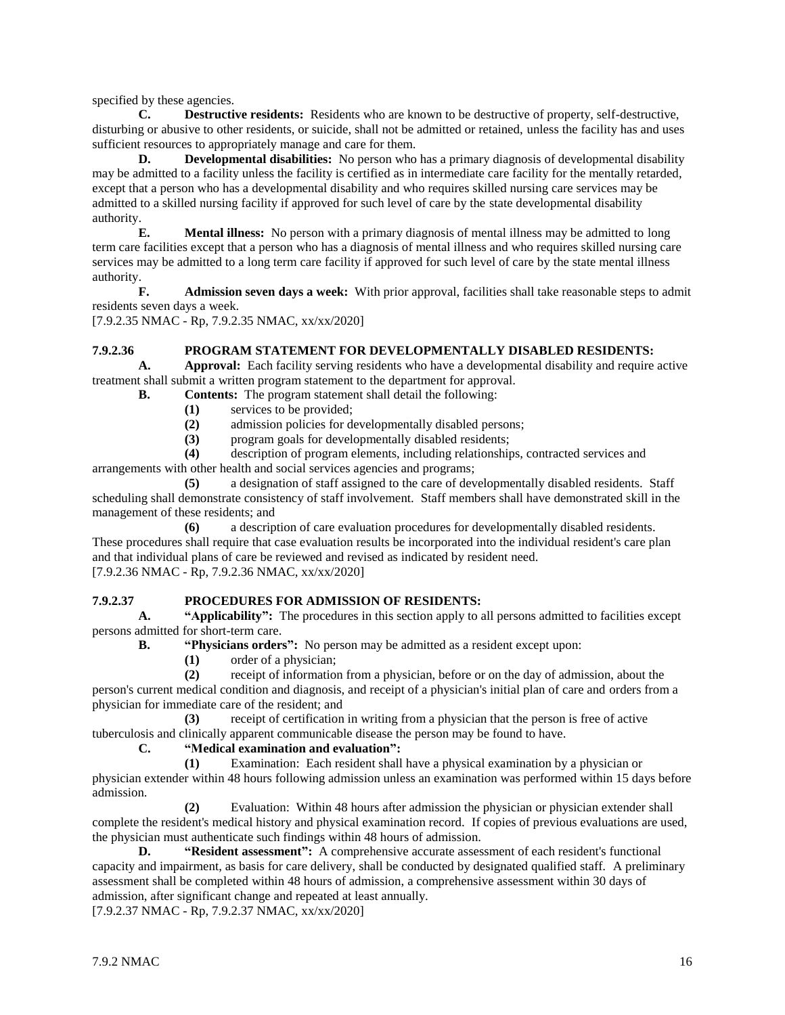specified by these agencies.

**C. Destructive residents:** Residents who are known to be destructive of property, self-destructive, disturbing or abusive to other residents, or suicide, shall not be admitted or retained, unless the facility has and uses sufficient resources to appropriately manage and care for them.

**D. Developmental disabilities:** No person who has a primary diagnosis of developmental disability may be admitted to a facility unless the facility is certified as in intermediate care facility for the mentally retarded, except that a person who has a developmental disability and who requires skilled nursing care services may be admitted to a skilled nursing facility if approved for such level of care by the state developmental disability authority.

**E. Mental illness:** No person with a primary diagnosis of mental illness may be admitted to long term care facilities except that a person who has a diagnosis of mental illness and who requires skilled nursing care services may be admitted to a long term care facility if approved for such level of care by the state mental illness authority.

**F. Admission seven days a week:** With prior approval, facilities shall take reasonable steps to admit residents seven days a week.

[7.9.2.35 NMAC - Rp, 7.9.2.35 NMAC, xx/xx/2020]

# **7.9.2.36 PROGRAM STATEMENT FOR DEVELOPMENTALLY DISABLED RESIDENTS:**

**A. Approval:** Each facility serving residents who have a developmental disability and require active treatment shall submit a written program statement to the department for approval.

- **B. Contents:** The program statement shall detail the following:
	- **(1)** services to be provided;
	- **(2)** admission policies for developmentally disabled persons;
	- **(3)** program goals for developmentally disabled residents;

**(4)** description of program elements, including relationships, contracted services and arrangements with other health and social services agencies and programs;

**(5)** a designation of staff assigned to the care of developmentally disabled residents. Staff scheduling shall demonstrate consistency of staff involvement. Staff members shall have demonstrated skill in the management of these residents; and

**(6)** a description of care evaluation procedures for developmentally disabled residents. These procedures shall require that case evaluation results be incorporated into the individual resident's care plan and that individual plans of care be reviewed and revised as indicated by resident need. [7.9.2.36 NMAC - Rp, 7.9.2.36 NMAC, xx/xx/2020]

# **7.9.2.37 PROCEDURES FOR ADMISSION OF RESIDENTS:**

**A. "Applicability":** The procedures in this section apply to all persons admitted to facilities except persons admitted for short-term care.

**B. "Physicians orders":** No person may be admitted as a resident except upon:

- **(1)** order of a physician;
- **(2)** receipt of information from a physician, before or on the day of admission, about the

person's current medical condition and diagnosis, and receipt of a physician's initial plan of care and orders from a physician for immediate care of the resident; and

**(3)** receipt of certification in writing from a physician that the person is free of active tuberculosis and clinically apparent communicable disease the person may be found to have.

#### **C. "Medical examination and evaluation":**

**(1)** Examination: Each resident shall have a physical examination by a physician or physician extender within 48 hours following admission unless an examination was performed within 15 days before admission.

**(2)** Evaluation: Within 48 hours after admission the physician or physician extender shall complete the resident's medical history and physical examination record. If copies of previous evaluations are used, the physician must authenticate such findings within 48 hours of admission.

**D. "Resident assessment":** A comprehensive accurate assessment of each resident's functional capacity and impairment, as basis for care delivery, shall be conducted by designated qualified staff. A preliminary assessment shall be completed within 48 hours of admission, a comprehensive assessment within 30 days of admission, after significant change and repeated at least annually.

[7.9.2.37 NMAC - Rp, 7.9.2.37 NMAC, xx/xx/2020]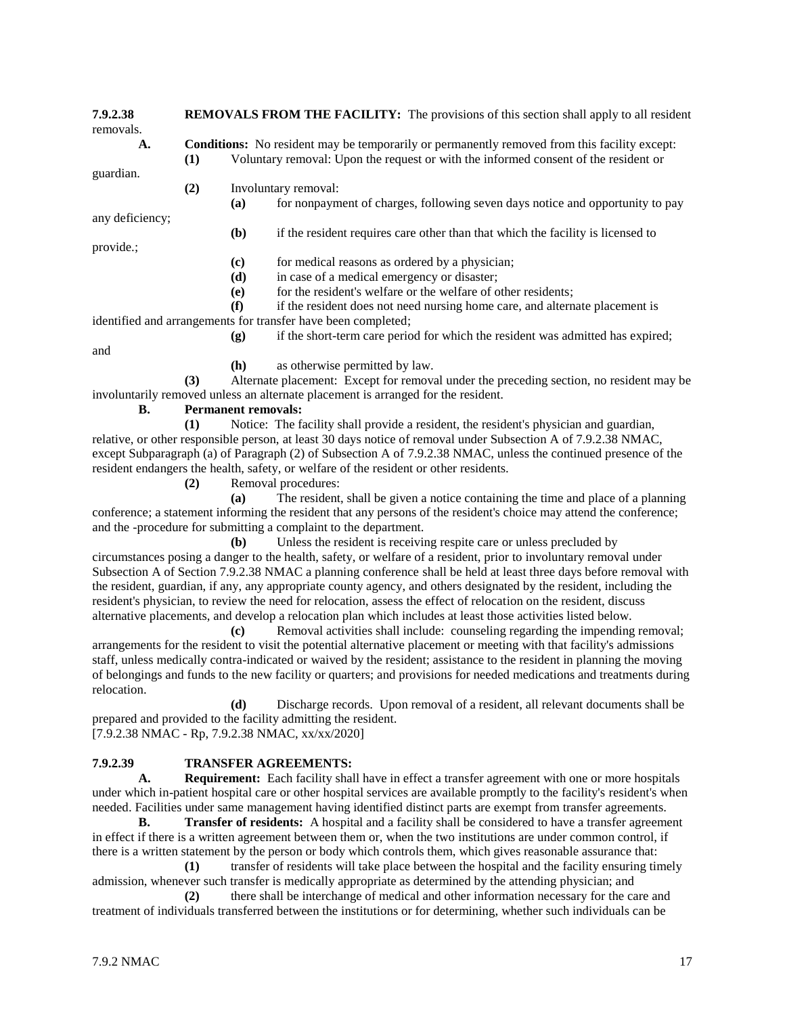| 7.9.2.38<br>removals. | <b>REMOVALS FROM THE FACILITY:</b> The provisions of this section shall apply to all resident |                                                                                                                                                                                            |                                                                                         |  |
|-----------------------|-----------------------------------------------------------------------------------------------|--------------------------------------------------------------------------------------------------------------------------------------------------------------------------------------------|-----------------------------------------------------------------------------------------|--|
| A.                    | (1)                                                                                           | <b>Conditions:</b> No resident may be temporarily or permanently removed from this facility except:<br>Voluntary removal: Upon the request or with the informed consent of the resident or |                                                                                         |  |
| guardian.             |                                                                                               |                                                                                                                                                                                            |                                                                                         |  |
|                       | (2)                                                                                           | Involuntary removal:                                                                                                                                                                       |                                                                                         |  |
|                       |                                                                                               | (a)                                                                                                                                                                                        | for nonpayment of charges, following seven days notice and opportunity to pay           |  |
| any deficiency;       |                                                                                               |                                                                                                                                                                                            |                                                                                         |  |
|                       |                                                                                               | ( <b>b</b> )                                                                                                                                                                               | if the resident requires care other than that which the facility is licensed to         |  |
| provide.;             |                                                                                               |                                                                                                                                                                                            |                                                                                         |  |
|                       |                                                                                               | (c)                                                                                                                                                                                        | for medical reasons as ordered by a physician;                                          |  |
|                       |                                                                                               | (d)                                                                                                                                                                                        | in case of a medical emergency or disaster;                                             |  |
|                       |                                                                                               | (e)                                                                                                                                                                                        | for the resident's welfare or the welfare of other residents;                           |  |
|                       |                                                                                               | (f)                                                                                                                                                                                        | if the resident does not need nursing home care, and alternate placement is             |  |
|                       |                                                                                               |                                                                                                                                                                                            | identified and arrangements for transfer have been completed;                           |  |
|                       |                                                                                               | (g)                                                                                                                                                                                        | if the short-term care period for which the resident was admitted has expired;          |  |
| and                   |                                                                                               |                                                                                                                                                                                            |                                                                                         |  |
|                       |                                                                                               | (h)                                                                                                                                                                                        | as otherwise permitted by law.                                                          |  |
|                       | (3)                                                                                           |                                                                                                                                                                                            | Alternate placement: Except for removal under the preceding section, no resident may be |  |
|                       |                                                                                               |                                                                                                                                                                                            | involuntarily removed unless an alternate placement is arranged for the resident.       |  |
| В.                    | <b>Permanent removals:</b>                                                                    |                                                                                                                                                                                            |                                                                                         |  |
|                       | (1)                                                                                           |                                                                                                                                                                                            | Notice: The facility shall provide a resident, the resident's physician and guardian,   |  |
|                       |                                                                                               |                                                                                                                                                                                            | $\sim$ 0.1 $\sim$ 0.1 $\sim$ 1 0.1 $\sim$ 1 0.500,000 $\sim$ 0.1                        |  |

relative, or other responsible person, at least 30 days notice of removal under Subsection A of 7.9.2.38 NMAC, except Subparagraph (a) of Paragraph (2) of Subsection A of 7.9.2.38 NMAC, unless the continued presence of the resident endangers the health, safety, or welfare of the resident or other residents.

**(2)** Removal procedures:

**(a)** The resident, shall be given a notice containing the time and place of a planning conference; a statement informing the resident that any persons of the resident's choice may attend the conference; and the -procedure for submitting a complaint to the department.

**(b)** Unless the resident is receiving respite care or unless precluded by circumstances posing a danger to the health, safety, or welfare of a resident, prior to involuntary removal under Subsection A of Section 7.9.2.38 NMAC a planning conference shall be held at least three days before removal with the resident, guardian, if any, any appropriate county agency, and others designated by the resident, including the resident's physician, to review the need for relocation, assess the effect of relocation on the resident, discuss alternative placements, and develop a relocation plan which includes at least those activities listed below.

**(c)** Removal activities shall include: counseling regarding the impending removal; arrangements for the resident to visit the potential alternative placement or meeting with that facility's admissions staff, unless medically contra-indicated or waived by the resident; assistance to the resident in planning the moving of belongings and funds to the new facility or quarters; and provisions for needed medications and treatments during relocation.

**(d)** Discharge records. Upon removal of a resident, all relevant documents shall be prepared and provided to the facility admitting the resident. [7.9.2.38 NMAC - Rp, 7.9.2.38 NMAC, xx/xx/2020]

# **7.9.2.39 TRANSFER AGREEMENTS:**

**A. Requirement:** Each facility shall have in effect a transfer agreement with one or more hospitals under which in-patient hospital care or other hospital services are available promptly to the facility's resident's when needed. Facilities under same management having identified distinct parts are exempt from transfer agreements.

**B. Transfer of residents:** A hospital and a facility shall be considered to have a transfer agreement in effect if there is a written agreement between them or, when the two institutions are under common control, if there is a written statement by the person or body which controls them, which gives reasonable assurance that:

**(1)** transfer of residents will take place between the hospital and the facility ensuring timely admission, whenever such transfer is medically appropriate as determined by the attending physician; and

**(2)** there shall be interchange of medical and other information necessary for the care and treatment of individuals transferred between the institutions or for determining, whether such individuals can be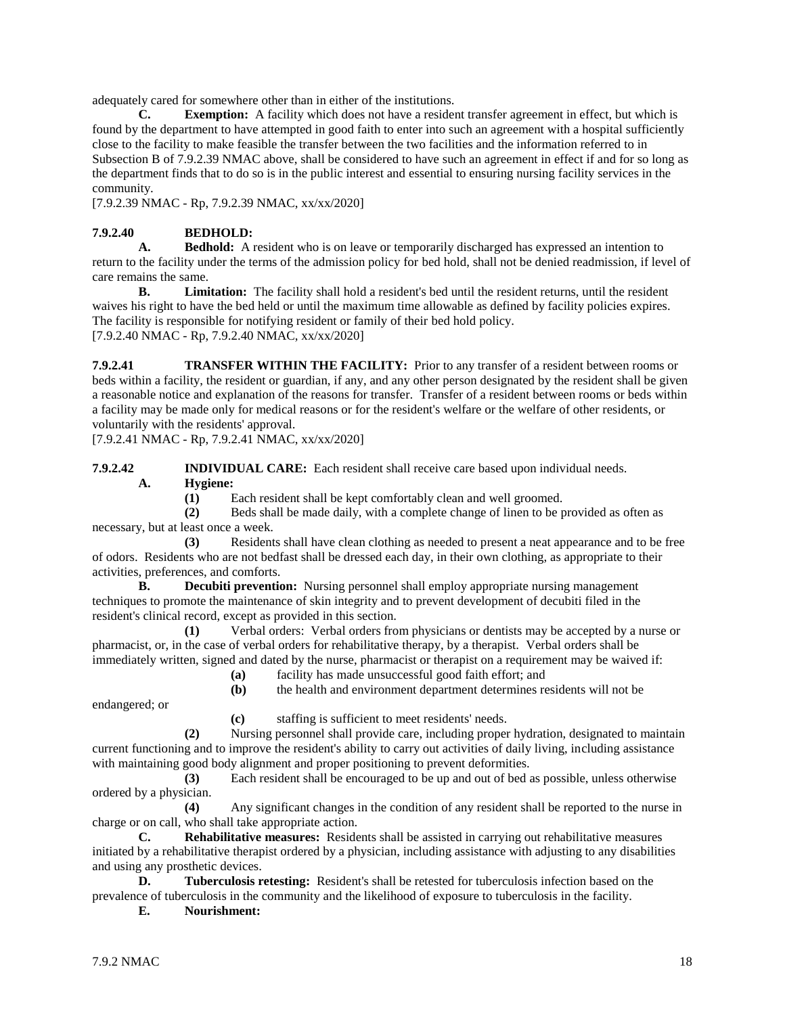adequately cared for somewhere other than in either of the institutions.

**C. Exemption:** A facility which does not have a resident transfer agreement in effect, but which is found by the department to have attempted in good faith to enter into such an agreement with a hospital sufficiently close to the facility to make feasible the transfer between the two facilities and the information referred to in Subsection B of 7.9.2.39 NMAC above, shall be considered to have such an agreement in effect if and for so long as the department finds that to do so is in the public interest and essential to ensuring nursing facility services in the community.

[7.9.2.39 NMAC - Rp, 7.9.2.39 NMAC, xx/xx/2020]

# **7.9.2.40 BEDHOLD:**

**A. Bedhold:** A resident who is on leave or temporarily discharged has expressed an intention to return to the facility under the terms of the admission policy for bed hold, shall not be denied readmission, if level of care remains the same.

**B. Limitation:** The facility shall hold a resident's bed until the resident returns, until the resident waives his right to have the bed held or until the maximum time allowable as defined by facility policies expires. The facility is responsible for notifying resident or family of their bed hold policy. [7.9.2.40 NMAC - Rp, 7.9.2.40 NMAC, xx/xx/2020]

**7.9.2.41 TRANSFER WITHIN THE FACILITY:** Prior to any transfer of a resident between rooms or beds within a facility, the resident or guardian, if any, and any other person designated by the resident shall be given a reasonable notice and explanation of the reasons for transfer. Transfer of a resident between rooms or beds within a facility may be made only for medical reasons or for the resident's welfare or the welfare of other residents, or voluntarily with the residents' approval.

[7.9.2.41 NMAC - Rp, 7.9.2.41 NMAC, xx/xx/2020]

**7.9.2.42 INDIVIDUAL CARE:** Each resident shall receive care based upon individual needs. **A. Hygiene:**

**(1)** Each resident shall be kept comfortably clean and well groomed.

**(2)** Beds shall be made daily, with a complete change of linen to be provided as often as necessary, but at least once a week.

**(3)** Residents shall have clean clothing as needed to present a neat appearance and to be free of odors. Residents who are not bedfast shall be dressed each day, in their own clothing, as appropriate to their activities, preferences, and comforts.

**B. Decubiti prevention:** Nursing personnel shall employ appropriate nursing management techniques to promote the maintenance of skin integrity and to prevent development of decubiti filed in the resident's clinical record, except as provided in this section.

**(1)** Verbal orders: Verbal orders from physicians or dentists may be accepted by a nurse or pharmacist, or, in the case of verbal orders for rehabilitative therapy, by a therapist. Verbal orders shall be immediately written, signed and dated by the nurse, pharmacist or therapist on a requirement may be waived if:

**(a)** facility has made unsuccessful good faith effort; and

**(b)** the health and environment department determines residents will not be

endangered; or

**(c)** staffing is sufficient to meet residents' needs.

**(2)** Nursing personnel shall provide care, including proper hydration, designated to maintain current functioning and to improve the resident's ability to carry out activities of daily living, including assistance with maintaining good body alignment and proper positioning to prevent deformities.

**(3)** Each resident shall be encouraged to be up and out of bed as possible, unless otherwise ordered by a physician.

**(4)** Any significant changes in the condition of any resident shall be reported to the nurse in charge or on call, who shall take appropriate action.

**C. Rehabilitative measures:** Residents shall be assisted in carrying out rehabilitative measures initiated by a rehabilitative therapist ordered by a physician, including assistance with adjusting to any disabilities and using any prosthetic devices.

**D. Tuberculosis retesting:** Resident's shall be retested for tuberculosis infection based on the prevalence of tuberculosis in the community and the likelihood of exposure to tuberculosis in the facility.

**E. Nourishment:**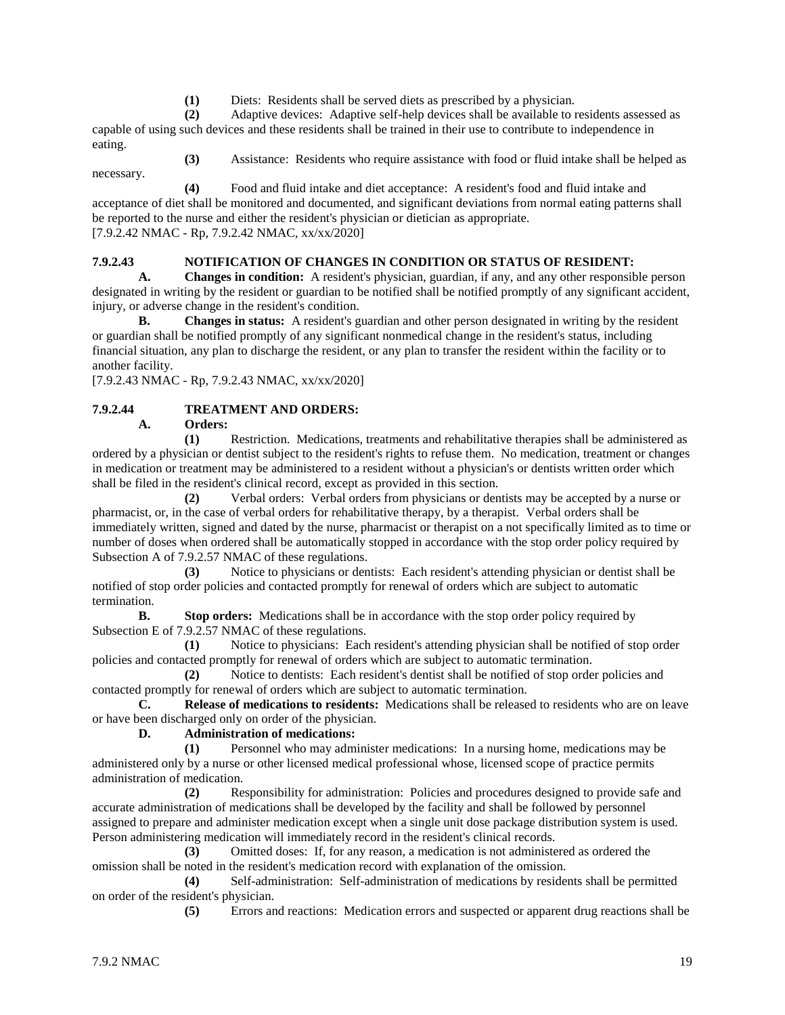**(1)** Diets: Residents shall be served diets as prescribed by a physician.

**(2)** Adaptive devices: Adaptive self-help devices shall be available to residents assessed as capable of using such devices and these residents shall be trained in their use to contribute to independence in eating.

**(3)** Assistance: Residents who require assistance with food or fluid intake shall be helped as necessary.

**(4)** Food and fluid intake and diet acceptance: A resident's food and fluid intake and acceptance of diet shall be monitored and documented, and significant deviations from normal eating patterns shall be reported to the nurse and either the resident's physician or dietician as appropriate. [7.9.2.42 NMAC - Rp, 7.9.2.42 NMAC, xx/xx/2020]

# **7.9.2.43 NOTIFICATION OF CHANGES IN CONDITION OR STATUS OF RESIDENT:**

**A. Changes in condition:** A resident's physician, guardian, if any, and any other responsible person designated in writing by the resident or guardian to be notified shall be notified promptly of any significant accident, injury, or adverse change in the resident's condition.

**B. Changes in status:** A resident's guardian and other person designated in writing by the resident or guardian shall be notified promptly of any significant nonmedical change in the resident's status, including financial situation, any plan to discharge the resident, or any plan to transfer the resident within the facility or to another facility.

[7.9.2.43 NMAC - Rp, 7.9.2.43 NMAC, xx/xx/2020]

# **7.9.2.44 TREATMENT AND ORDERS:**

**A. Orders:**

**(1)** Restriction. Medications, treatments and rehabilitative therapies shall be administered as ordered by a physician or dentist subject to the resident's rights to refuse them. No medication, treatment or changes in medication or treatment may be administered to a resident without a physician's or dentists written order which shall be filed in the resident's clinical record, except as provided in this section.

**(2)** Verbal orders: Verbal orders from physicians or dentists may be accepted by a nurse or pharmacist, or, in the case of verbal orders for rehabilitative therapy, by a therapist. Verbal orders shall be immediately written, signed and dated by the nurse, pharmacist or therapist on a not specifically limited as to time or number of doses when ordered shall be automatically stopped in accordance with the stop order policy required by Subsection A of 7.9.2.57 NMAC of these regulations.

**(3)** Notice to physicians or dentists: Each resident's attending physician or dentist shall be notified of stop order policies and contacted promptly for renewal of orders which are subject to automatic termination.

**B. Stop orders:** Medications shall be in accordance with the stop order policy required by Subsection E of 7.9.2.57 NMAC of these regulations.

**(1)** Notice to physicians: Each resident's attending physician shall be notified of stop order policies and contacted promptly for renewal of orders which are subject to automatic termination.

**(2)** Notice to dentists: Each resident's dentist shall be notified of stop order policies and contacted promptly for renewal of orders which are subject to automatic termination.

**C. Release of medications to residents:** Medications shall be released to residents who are on leave or have been discharged only on order of the physician.

# **D. Administration of medications:**

**(1)** Personnel who may administer medications: In a nursing home, medications may be administered only by a nurse or other licensed medical professional whose, licensed scope of practice permits administration of medication.

**(2)** Responsibility for administration: Policies and procedures designed to provide safe and accurate administration of medications shall be developed by the facility and shall be followed by personnel assigned to prepare and administer medication except when a single unit dose package distribution system is used. Person administering medication will immediately record in the resident's clinical records.

**(3)** Omitted doses: If, for any reason, a medication is not administered as ordered the omission shall be noted in the resident's medication record with explanation of the omission.

**(4)** Self-administration: Self-administration of medications by residents shall be permitted on order of the resident's physician.

**(5)** Errors and reactions: Medication errors and suspected or apparent drug reactions shall be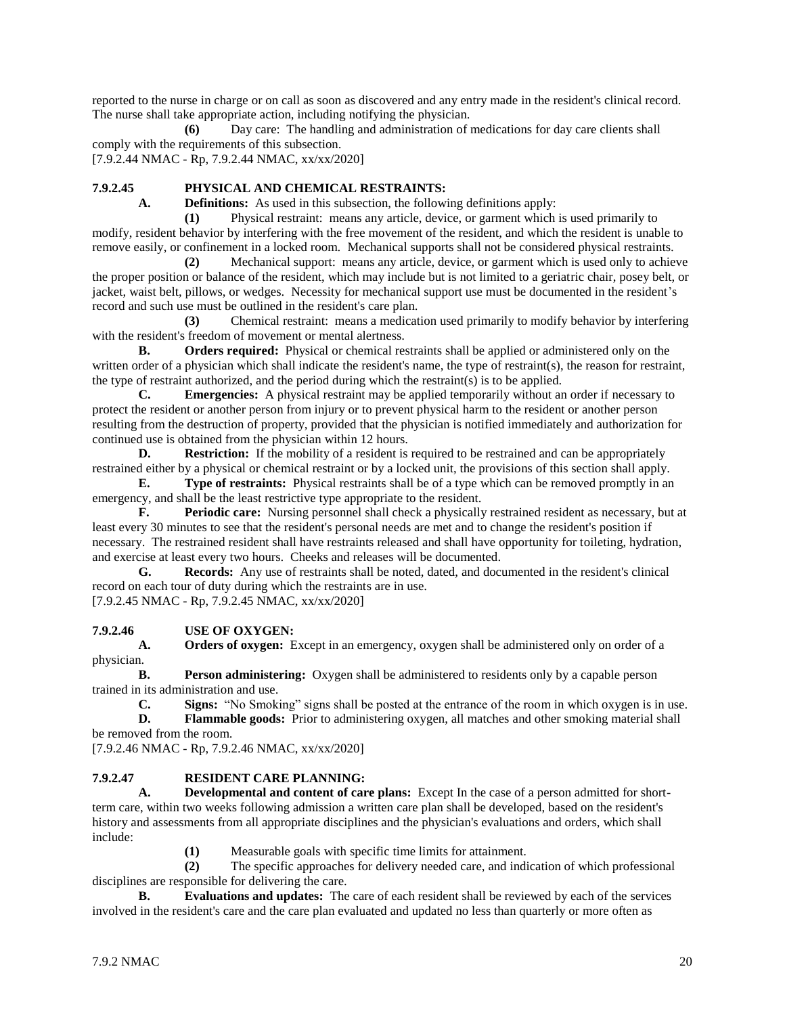reported to the nurse in charge or on call as soon as discovered and any entry made in the resident's clinical record. The nurse shall take appropriate action, including notifying the physician.

**(6)** Day care: The handling and administration of medications for day care clients shall comply with the requirements of this subsection. [7.9.2.44 NMAC - Rp, 7.9.2.44 NMAC, xx/xx/2020]

# **7.9.2.45 PHYSICAL AND CHEMICAL RESTRAINTS:**

**A. Definitions:** As used in this subsection, the following definitions apply:

**(1)** Physical restraint: means any article, device, or garment which is used primarily to modify, resident behavior by interfering with the free movement of the resident, and which the resident is unable to remove easily, or confinement in a locked room. Mechanical supports shall not be considered physical restraints.

**(2)** Mechanical support: means any article, device, or garment which is used only to achieve the proper position or balance of the resident, which may include but is not limited to a geriatric chair, posey belt, or jacket, waist belt, pillows, or wedges. Necessity for mechanical support use must be documented in the resident's record and such use must be outlined in the resident's care plan.

**(3)** Chemical restraint: means a medication used primarily to modify behavior by interfering with the resident's freedom of movement or mental alertness.

**B. Orders required:** Physical or chemical restraints shall be applied or administered only on the written order of a physician which shall indicate the resident's name, the type of restraint(s), the reason for restraint, the type of restraint authorized, and the period during which the restraint(s) is to be applied.

**C. Emergencies:** A physical restraint may be applied temporarily without an order if necessary to protect the resident or another person from injury or to prevent physical harm to the resident or another person resulting from the destruction of property, provided that the physician is notified immediately and authorization for continued use is obtained from the physician within 12 hours.

**D. Restriction:** If the mobility of a resident is required to be restrained and can be appropriately restrained either by a physical or chemical restraint or by a locked unit, the provisions of this section shall apply.

**E. Type of restraints:** Physical restraints shall be of a type which can be removed promptly in an emergency, and shall be the least restrictive type appropriate to the resident.

**F. Periodic care:** Nursing personnel shall check a physically restrained resident as necessary, but at least every 30 minutes to see that the resident's personal needs are met and to change the resident's position if necessary. The restrained resident shall have restraints released and shall have opportunity for toileting, hydration, and exercise at least every two hours. Cheeks and releases will be documented.

**G. Records:** Any use of restraints shall be noted, dated, and documented in the resident's clinical record on each tour of duty during which the restraints are in use.

[7.9.2.45 NMAC - Rp, 7.9.2.45 NMAC, xx/xx/2020]

#### **7.9.2.46 USE OF OXYGEN:**

**A. Orders of oxygen:** Except in an emergency, oxygen shall be administered only on order of a physician.

**B. Person administering:** Oxygen shall be administered to residents only by a capable person trained in its administration and use.

**C. Signs:** "No Smoking" signs shall be posted at the entrance of the room in which oxygen is in use.

**D. Flammable goods:** Prior to administering oxygen, all matches and other smoking material shall be removed from the room.

[7.9.2.46 NMAC - Rp, 7.9.2.46 NMAC, xx/xx/2020]

#### **7.9.2.47 RESIDENT CARE PLANNING:**

**A. Developmental and content of care plans:** Except In the case of a person admitted for shortterm care, within two weeks following admission a written care plan shall be developed, based on the resident's history and assessments from all appropriate disciplines and the physician's evaluations and orders, which shall include:

**(1)** Measurable goals with specific time limits for attainment.

**(2)** The specific approaches for delivery needed care, and indication of which professional disciplines are responsible for delivering the care.

**B. Evaluations and updates:** The care of each resident shall be reviewed by each of the services involved in the resident's care and the care plan evaluated and updated no less than quarterly or more often as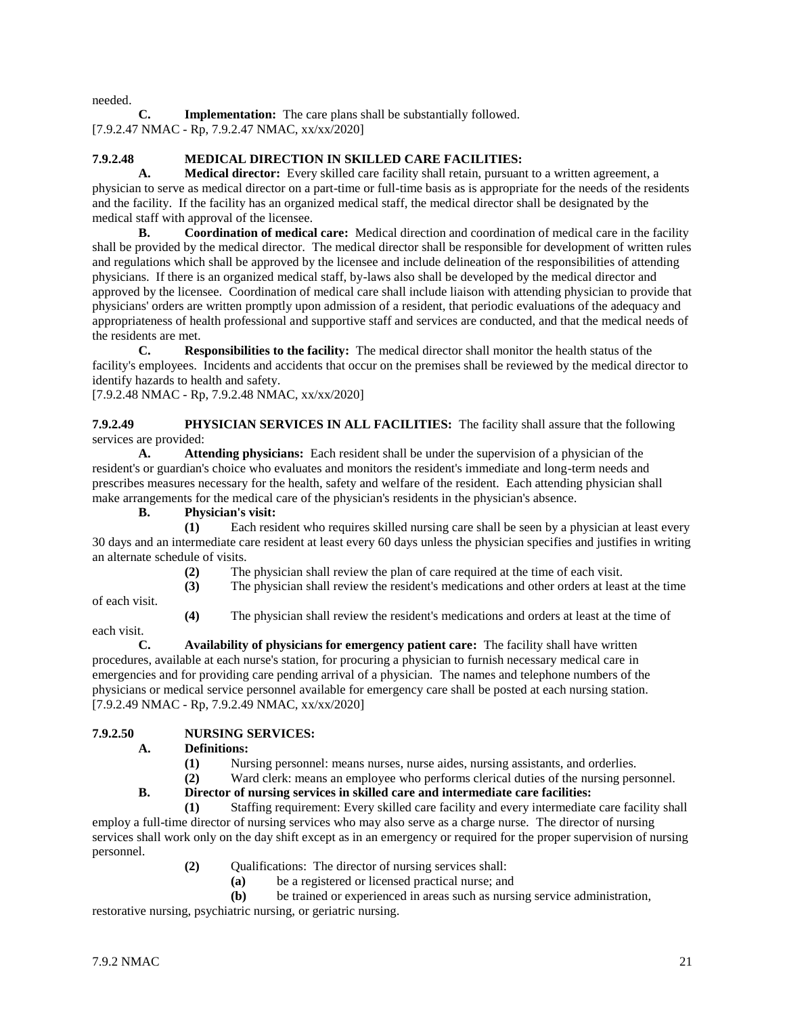needed.

**C. Implementation:** The care plans shall be substantially followed. [7.9.2.47 NMAC - Rp, 7.9.2.47 NMAC, xx/xx/2020]

# **7.9.2.48 MEDICAL DIRECTION IN SKILLED CARE FACILITIES:**

**A. Medical director:** Every skilled care facility shall retain, pursuant to a written agreement, a physician to serve as medical director on a part-time or full-time basis as is appropriate for the needs of the residents and the facility. If the facility has an organized medical staff, the medical director shall be designated by the medical staff with approval of the licensee.

**B. Coordination of medical care:** Medical direction and coordination of medical care in the facility shall be provided by the medical director. The medical director shall be responsible for development of written rules and regulations which shall be approved by the licensee and include delineation of the responsibilities of attending physicians. If there is an organized medical staff, by-laws also shall be developed by the medical director and approved by the licensee. Coordination of medical care shall include liaison with attending physician to provide that physicians' orders are written promptly upon admission of a resident, that periodic evaluations of the adequacy and appropriateness of health professional and supportive staff and services are conducted, and that the medical needs of the residents are met.

**C. Responsibilities to the facility:** The medical director shall monitor the health status of the facility's employees. Incidents and accidents that occur on the premises shall be reviewed by the medical director to identify hazards to health and safety.

[7.9.2.48 NMAC - Rp, 7.9.2.48 NMAC, xx/xx/2020]

**7.9.2.49 PHYSICIAN SERVICES IN ALL FACILITIES:** The facility shall assure that the following services are provided:

**A. Attending physicians:** Each resident shall be under the supervision of a physician of the resident's or guardian's choice who evaluates and monitors the resident's immediate and long-term needs and prescribes measures necessary for the health, safety and welfare of the resident. Each attending physician shall make arrangements for the medical care of the physician's residents in the physician's absence.

# **B. Physician's visit:**

**(1)** Each resident who requires skilled nursing care shall be seen by a physician at least every 30 days and an intermediate care resident at least every 60 days unless the physician specifies and justifies in writing an alternate schedule of visits.

- **(2)** The physician shall review the plan of care required at the time of each visit.
- **(3)** The physician shall review the resident's medications and other orders at least at the time

of each visit.

**(4)** The physician shall review the resident's medications and orders at least at the time of

each visit.

**C. Availability of physicians for emergency patient care:** The facility shall have written procedures, available at each nurse's station, for procuring a physician to furnish necessary medical care in emergencies and for providing care pending arrival of a physician. The names and telephone numbers of the physicians or medical service personnel available for emergency care shall be posted at each nursing station. [7.9.2.49 NMAC - Rp, 7.9.2.49 NMAC, xx/xx/2020]

# **7.9.2.50 NURSING SERVICES:**

- **A. Definitions:**
	- **(1)** Nursing personnel: means nurses, nurse aides, nursing assistants, and orderlies.

**(2)** Ward clerk: means an employee who performs clerical duties of the nursing personnel.

**B. Director of nursing services in skilled care and intermediate care facilities:**

**(1)** Staffing requirement: Every skilled care facility and every intermediate care facility shall employ a full-time director of nursing services who may also serve as a charge nurse. The director of nursing services shall work only on the day shift except as in an emergency or required for the proper supervision of nursing personnel.

- **(2)** Qualifications: The director of nursing services shall:
	- **(a)** be a registered or licensed practical nurse; and
	- **(b)** be trained or experienced in areas such as nursing service administration,

restorative nursing, psychiatric nursing, or geriatric nursing.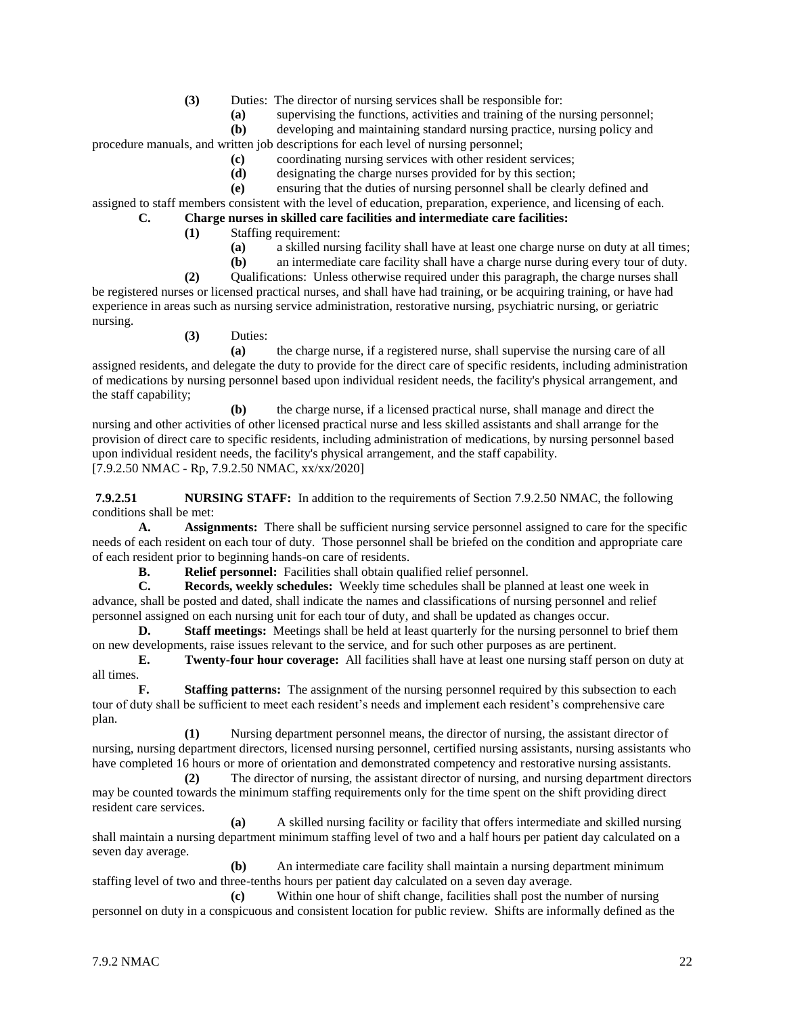- **(3)** Duties: The director of nursing services shall be responsible for:
	- **(a)** supervising the functions, activities and training of the nursing personnel;
	- **(b)** developing and maintaining standard nursing practice, nursing policy and

procedure manuals, and written job descriptions for each level of nursing personnel;

- **(c)** coordinating nursing services with other resident services;
- **(d)** designating the charge nurses provided for by this section;
- **(e)** ensuring that the duties of nursing personnel shall be clearly defined and

assigned to staff members consistent with the level of education, preparation, experience, and licensing of each.

- **C. Charge nurses in skilled care facilities and intermediate care facilities:**
	- **(1)** Staffing requirement:
		- **(a)** a skilled nursing facility shall have at least one charge nurse on duty at all times;
		- **(b)** an intermediate care facility shall have a charge nurse during every tour of duty.

**(2)** Qualifications: Unless otherwise required under this paragraph, the charge nurses shall be registered nurses or licensed practical nurses, and shall have had training, or be acquiring training, or have had experience in areas such as nursing service administration, restorative nursing, psychiatric nursing, or geriatric nursing.

**(3)** Duties:

**(a)** the charge nurse, if a registered nurse, shall supervise the nursing care of all assigned residents, and delegate the duty to provide for the direct care of specific residents, including administration of medications by nursing personnel based upon individual resident needs, the facility's physical arrangement, and the staff capability;

**(b)** the charge nurse, if a licensed practical nurse, shall manage and direct the nursing and other activities of other licensed practical nurse and less skilled assistants and shall arrange for the provision of direct care to specific residents, including administration of medications, by nursing personnel based upon individual resident needs, the facility's physical arrangement, and the staff capability. [7.9.2.50 NMAC - Rp, 7.9.2.50 NMAC, xx/xx/2020]

**7.9.2.51 NURSING STAFF:** In addition to the requirements of Section 7.9.2.50 NMAC, the following conditions shall be met:

**A. Assignments:** There shall be sufficient nursing service personnel assigned to care for the specific needs of each resident on each tour of duty. Those personnel shall be briefed on the condition and appropriate care of each resident prior to beginning hands-on care of residents.

**B. Relief personnel:** Facilities shall obtain qualified relief personnel.

**C. Records, weekly schedules:** Weekly time schedules shall be planned at least one week in advance, shall be posted and dated, shall indicate the names and classifications of nursing personnel and relief personnel assigned on each nursing unit for each tour of duty, and shall be updated as changes occur.

**D. Staff meetings:** Meetings shall be held at least quarterly for the nursing personnel to brief them on new developments, raise issues relevant to the service, and for such other purposes as are pertinent.

**E. Twenty-four hour coverage:** All facilities shall have at least one nursing staff person on duty at all times.

**F. Staffing patterns:** The assignment of the nursing personnel required by this subsection to each tour of duty shall be sufficient to meet each resident's needs and implement each resident's comprehensive care plan.

**(1)** Nursing department personnel means, the director of nursing, the assistant director of nursing, nursing department directors, licensed nursing personnel, certified nursing assistants, nursing assistants who have completed 16 hours or more of orientation and demonstrated competency and restorative nursing assistants.

**(2)** The director of nursing, the assistant director of nursing, and nursing department directors may be counted towards the minimum staffing requirements only for the time spent on the shift providing direct resident care services.

**(a)** A skilled nursing facility or facility that offers intermediate and skilled nursing shall maintain a nursing department minimum staffing level of two and a half hours per patient day calculated on a seven day average.

**(b)** An intermediate care facility shall maintain a nursing department minimum staffing level of two and three-tenths hours per patient day calculated on a seven day average.

**(c)** Within one hour of shift change, facilities shall post the number of nursing personnel on duty in a conspicuous and consistent location for public review. Shifts are informally defined as the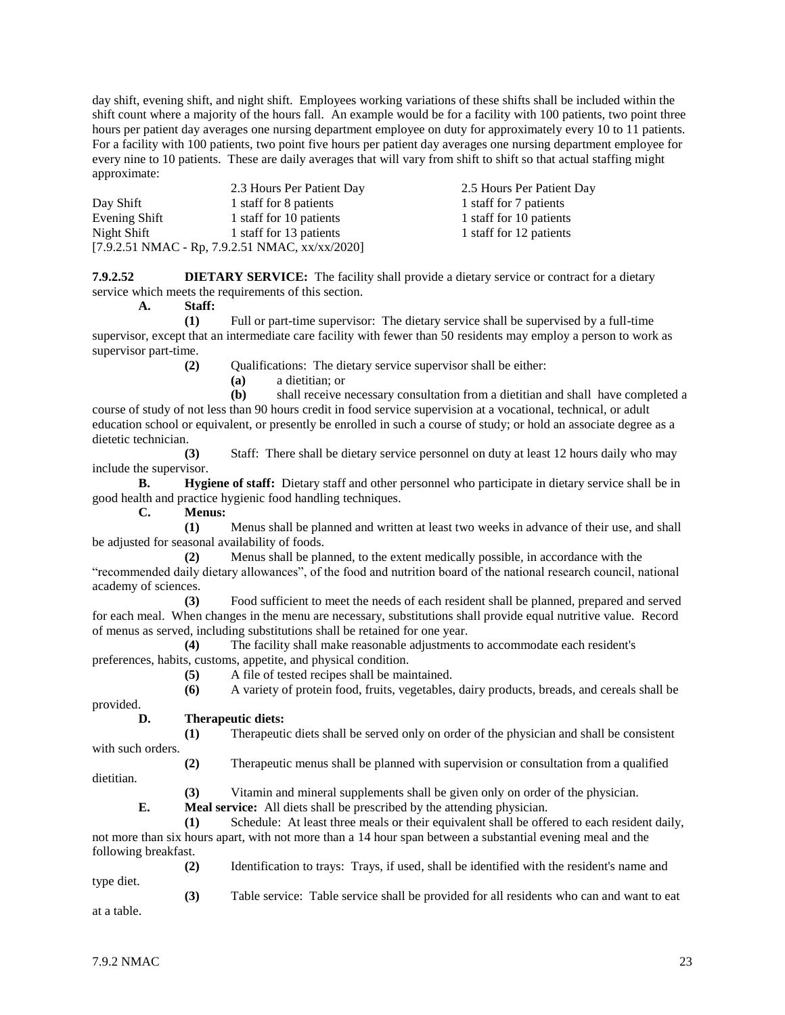day shift, evening shift, and night shift. Employees working variations of these shifts shall be included within the shift count where a majority of the hours fall. An example would be for a facility with 100 patients, two point three hours per patient day averages one nursing department employee on duty for approximately every 10 to 11 patients. For a facility with 100 patients, two point five hours per patient day averages one nursing department employee for every nine to 10 patients. These are daily averages that will vary from shift to shift so that actual staffing might approximate:

|               | 2.3 Hours Per Patient Day                                                | 2.5 Hours Per Patient Day |
|---------------|--------------------------------------------------------------------------|---------------------------|
| Day Shift     | 1 staff for 8 patients                                                   | 1 staff for 7 patients    |
| Evening Shift | 1 staff for 10 patients                                                  | 1 staff for 10 patients   |
| Night Shift   | 1 staff for 13 patients                                                  | 1 staff for 12 patients   |
|               | $[7.9.2.51 \text{ NMAC} - \text{Rp}, 7.9.2.51 \text{ NMAC}, xx/xx/2020]$ |                           |

**7.9.2.52 DIETARY SERVICE:** The facility shall provide a dietary service or contract for a dietary service which meets the requirements of this section.

**A. Staff:**

**(1)** Full or part-time supervisor: The dietary service shall be supervised by a full-time supervisor, except that an intermediate care facility with fewer than 50 residents may employ a person to work as supervisor part-time.

**(2)** Qualifications: The dietary service supervisor shall be either:

**(a)** a dietitian; or

**(b)** shall receive necessary consultation from a dietitian and shall have completed a course of study of not less than 90 hours credit in food service supervision at a vocational, technical, or adult education school or equivalent, or presently be enrolled in such a course of study; or hold an associate degree as a dietetic technician.

**(3)** Staff: There shall be dietary service personnel on duty at least 12 hours daily who may include the supervisor.

**B. Hygiene of staff:** Dietary staff and other personnel who participate in dietary service shall be in good health and practice hygienic food handling techniques.

**C. Menus:**

**(1)** Menus shall be planned and written at least two weeks in advance of their use, and shall be adjusted for seasonal availability of foods.

**(2)** Menus shall be planned, to the extent medically possible, in accordance with the "recommended daily dietary allowances", of the food and nutrition board of the national research council, national academy of sciences.

**(3)** Food sufficient to meet the needs of each resident shall be planned, prepared and served for each meal. When changes in the menu are necessary, substitutions shall provide equal nutritive value. Record of menus as served, including substitutions shall be retained for one year.

**(4)** The facility shall make reasonable adjustments to accommodate each resident's preferences, habits, customs, appetite, and physical condition.

**(5)** A file of tested recipes shall be maintained.

**(6)** A variety of protein food, fruits, vegetables, dairy products, breads, and cereals shall be

**(2)** Therapeutic menus shall be planned with supervision or consultation from a qualified

provided.

#### **D. Therapeutic diets:**

**(1)** Therapeutic diets shall be served only on order of the physician and shall be consistent with such orders.

dietitian.

**(3)** Vitamin and mineral supplements shall be given only on order of the physician.

**E. Meal service:** All diets shall be prescribed by the attending physician.

**(1)** Schedule: At least three meals or their equivalent shall be offered to each resident daily, not more than six hours apart, with not more than a 14 hour span between a substantial evening meal and the following breakfast.

**(2)** Identification to trays: Trays, if used, shall be identified with the resident's name and type diet.

**(3)** Table service: Table service shall be provided for all residents who can and want to eat at a table.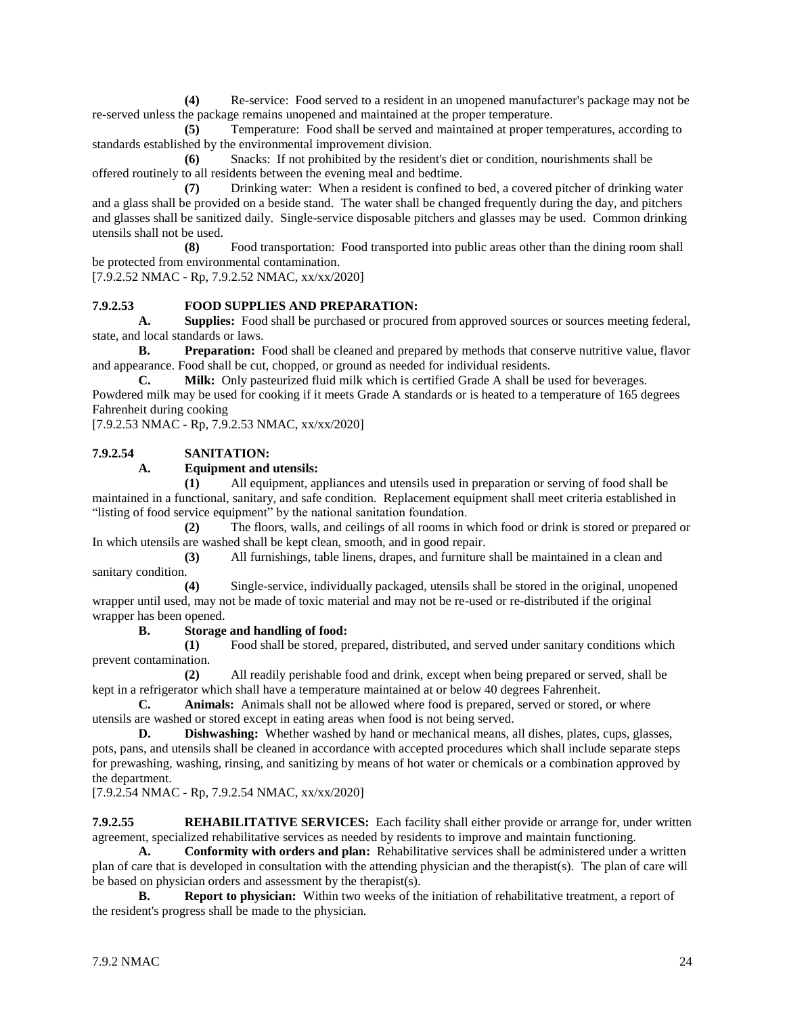**(4)** Re-service: Food served to a resident in an unopened manufacturer's package may not be re-served unless the package remains unopened and maintained at the proper temperature.

**(5)** Temperature: Food shall be served and maintained at proper temperatures, according to standards established by the environmental improvement division.

**(6)** Snacks: If not prohibited by the resident's diet or condition, nourishments shall be offered routinely to all residents between the evening meal and bedtime.

**(7)** Drinking water: When a resident is confined to bed, a covered pitcher of drinking water and a glass shall be provided on a beside stand. The water shall be changed frequently during the day, and pitchers and glasses shall be sanitized daily. Single-service disposable pitchers and glasses may be used. Common drinking utensils shall not be used.

**(8)** Food transportation: Food transported into public areas other than the dining room shall be protected from environmental contamination.

[7.9.2.52 NMAC - Rp, 7.9.2.52 NMAC, xx/xx/2020]

#### **7.9.2.53 FOOD SUPPLIES AND PREPARATION:**

**A. Supplies:** Food shall be purchased or procured from approved sources or sources meeting federal, state, and local standards or laws.

**B. Preparation:** Food shall be cleaned and prepared by methods that conserve nutritive value, flavor and appearance. Food shall be cut, chopped, or ground as needed for individual residents.

**C. Milk:** Only pasteurized fluid milk which is certified Grade A shall be used for beverages. Powdered milk may be used for cooking if it meets Grade A standards or is heated to a temperature of 165 degrees Fahrenheit during cooking

[7.9.2.53 NMAC - Rp, 7.9.2.53 NMAC, xx/xx/2020]

#### **7.9.2.54 SANITATION:**

#### **A. Equipment and utensils:**

**(1)** All equipment, appliances and utensils used in preparation or serving of food shall be maintained in a functional, sanitary, and safe condition. Replacement equipment shall meet criteria established in "listing of food service equipment" by the national sanitation foundation.

**(2)** The floors, walls, and ceilings of all rooms in which food or drink is stored or prepared or In which utensils are washed shall be kept clean, smooth, and in good repair.

**(3)** All furnishings, table linens, drapes, and furniture shall be maintained in a clean and sanitary condition.

**(4)** Single-service, individually packaged, utensils shall be stored in the original, unopened wrapper until used, may not be made of toxic material and may not be re-used or re-distributed if the original wrapper has been opened.

#### **B. Storage and handling of food:**

**(1)** Food shall be stored, prepared, distributed, and served under sanitary conditions which prevent contamination.

**(2)** All readily perishable food and drink, except when being prepared or served, shall be kept in a refrigerator which shall have a temperature maintained at or below 40 degrees Fahrenheit.

**C. Animals:** Animals shall not be allowed where food is prepared, served or stored, or where utensils are washed or stored except in eating areas when food is not being served.

**D. Dishwashing:** Whether washed by hand or mechanical means, all dishes, plates, cups, glasses, pots, pans, and utensils shall be cleaned in accordance with accepted procedures which shall include separate steps for prewashing, washing, rinsing, and sanitizing by means of hot water or chemicals or a combination approved by the department.

[7.9.2.54 NMAC - Rp, 7.9.2.54 NMAC, xx/xx/2020]

**7.9.2.55 REHABILITATIVE SERVICES:** Each facility shall either provide or arrange for, under written agreement, specialized rehabilitative services as needed by residents to improve and maintain functioning.

**A. Conformity with orders and plan:** Rehabilitative services shall be administered under a written plan of care that is developed in consultation with the attending physician and the therapist(s). The plan of care will be based on physician orders and assessment by the therapist(s).

**B. Report to physician:** Within two weeks of the initiation of rehabilitative treatment, a report of the resident's progress shall be made to the physician.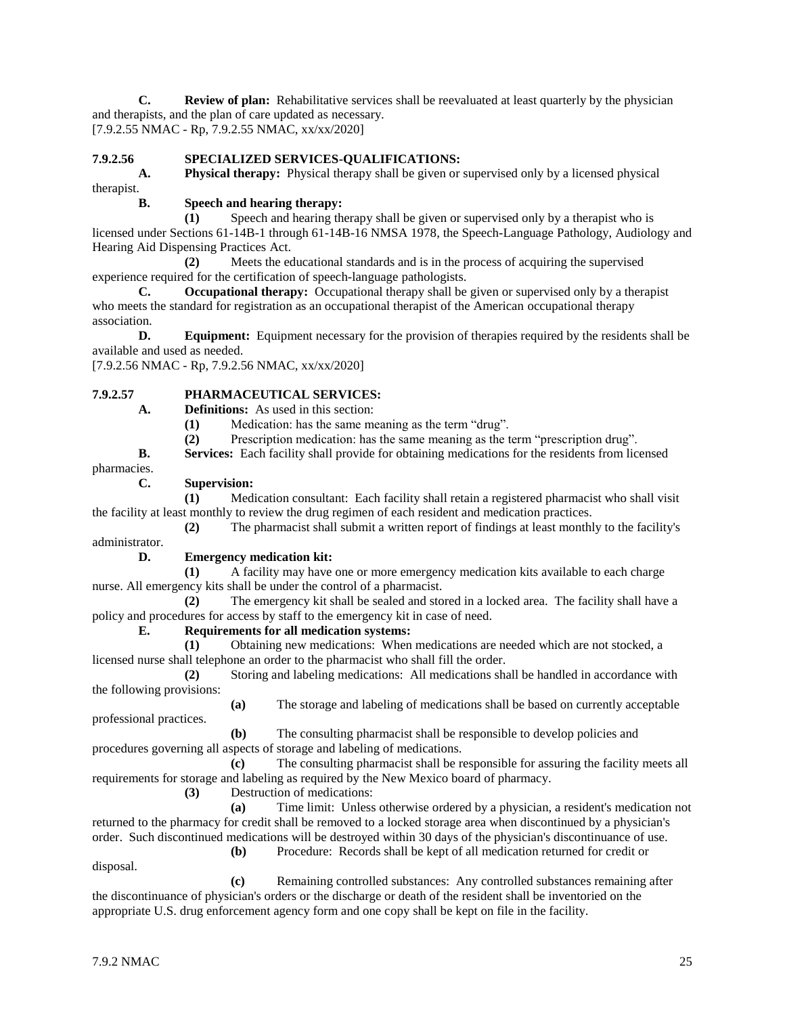**C. Review of plan:** Rehabilitative services shall be reevaluated at least quarterly by the physician and therapists, and the plan of care updated as necessary. [7.9.2.55 NMAC - Rp, 7.9.2.55 NMAC, xx/xx/2020]

#### **7.9.2.56 SPECIALIZED SERVICES-QUALIFICATIONS:**

**A. Physical therapy:** Physical therapy shall be given or supervised only by a licensed physical therapist.

#### **B. Speech and hearing therapy:**

**(1)** Speech and hearing therapy shall be given or supervised only by a therapist who is licensed under Sections 61-14B-1 through 61-14B-16 NMSA 1978, the Speech-Language Pathology, Audiology and Hearing Aid Dispensing Practices Act.

**(2)** Meets the educational standards and is in the process of acquiring the supervised experience required for the certification of speech-language pathologists.

**C. Occupational therapy:** Occupational therapy shall be given or supervised only by a therapist who meets the standard for registration as an occupational therapist of the American occupational therapy association.

**D. Equipment:** Equipment necessary for the provision of therapies required by the residents shall be available and used as needed.

[7.9.2.56 NMAC - Rp, 7.9.2.56 NMAC, xx/xx/2020]

# **7.9.2.57 PHARMACEUTICAL SERVICES:**

**A. Definitions:** As used in this section:

**(1)** Medication: has the same meaning as the term "drug".

**(2)** Prescription medication: has the same meaning as the term "prescription drug".

**B. Services:** Each facility shall provide for obtaining medications for the residents from licensed

pharmacies.

# **C. Supervision:**

**(1)** Medication consultant: Each facility shall retain a registered pharmacist who shall visit the facility at least monthly to review the drug regimen of each resident and medication practices.

**(2)** The pharmacist shall submit a written report of findings at least monthly to the facility's administrator.

#### **D. Emergency medication kit:**

**(1)** A facility may have one or more emergency medication kits available to each charge nurse. All emergency kits shall be under the control of a pharmacist.

**(2)** The emergency kit shall be sealed and stored in a locked area. The facility shall have a policy and procedures for access by staff to the emergency kit in case of need.

# **E. Requirements for all medication systems:**

**(1)** Obtaining new medications: When medications are needed which are not stocked, a licensed nurse shall telephone an order to the pharmacist who shall fill the order.

**(2)** Storing and labeling medications: All medications shall be handled in accordance with the following provisions:

**(a)** The storage and labeling of medications shall be based on currently acceptable

**(b)** The consulting pharmacist shall be responsible to develop policies and procedures governing all aspects of storage and labeling of medications.

**(c)** The consulting pharmacist shall be responsible for assuring the facility meets all requirements for storage and labeling as required by the New Mexico board of pharmacy.

**(3)** Destruction of medications:

**(a)** Time limit: Unless otherwise ordered by a physician, a resident's medication not returned to the pharmacy for credit shall be removed to a locked storage area when discontinued by a physician's order. Such discontinued medications will be destroyed within 30 days of the physician's discontinuance of use.

**(b)** Procedure: Records shall be kept of all medication returned for credit or

**(c)** Remaining controlled substances: Any controlled substances remaining after the discontinuance of physician's orders or the discharge or death of the resident shall be inventoried on the appropriate U.S. drug enforcement agency form and one copy shall be kept on file in the facility.

disposal.

professional practices.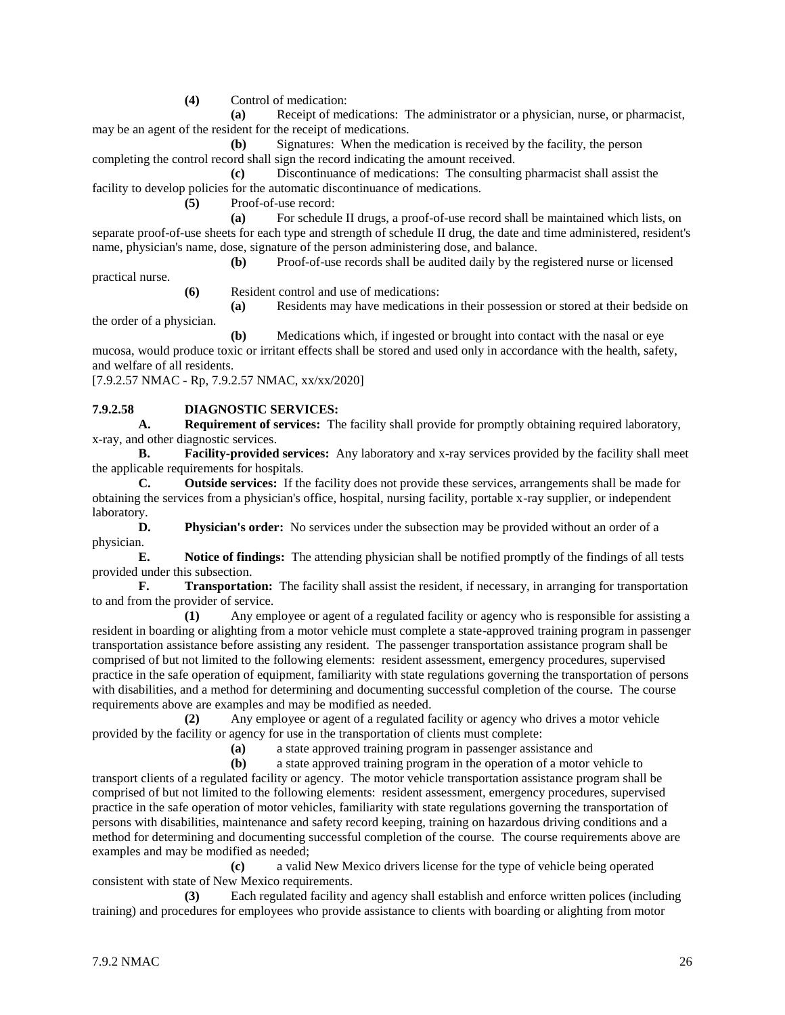**(4)** Control of medication:

**(a)** Receipt of medications: The administrator or a physician, nurse, or pharmacist, may be an agent of the resident for the receipt of medications.

**(b)** Signatures: When the medication is received by the facility, the person completing the control record shall sign the record indicating the amount received.

**(c)** Discontinuance of medications: The consulting pharmacist shall assist the facility to develop policies for the automatic discontinuance of medications.

**(5)** Proof-of-use record:

**(a)** For schedule II drugs, a proof-of-use record shall be maintained which lists, on separate proof-of-use sheets for each type and strength of schedule II drug, the date and time administered, resident's name, physician's name, dose, signature of the person administering dose, and balance.

**(b)** Proof-of-use records shall be audited daily by the registered nurse or licensed

practical nurse.

**(6)** Resident control and use of medications:

**(a)** Residents may have medications in their possession or stored at their bedside on the order of a physician.

**(b)** Medications which, if ingested or brought into contact with the nasal or eye mucosa, would produce toxic or irritant effects shall be stored and used only in accordance with the health, safety, and welfare of all residents.

[7.9.2.57 NMAC - Rp, 7.9.2.57 NMAC, xx/xx/2020]

# **7.9.2.58 DIAGNOSTIC SERVICES:**

**A. Requirement of services:** The facility shall provide for promptly obtaining required laboratory, x-ray, and other diagnostic services.

**B. Facility-provided services:** Any laboratory and x-ray services provided by the facility shall meet the applicable requirements for hospitals.

**C. Outside services:** If the facility does not provide these services, arrangements shall be made for obtaining the services from a physician's office, hospital, nursing facility, portable x-ray supplier, or independent laboratory.

**D. Physician's order:** No services under the subsection may be provided without an order of a physician.

**E. Notice of findings:** The attending physician shall be notified promptly of the findings of all tests provided under this subsection.

**F. Transportation:** The facility shall assist the resident, if necessary, in arranging for transportation to and from the provider of service.

**(1)** Any employee or agent of a regulated facility or agency who is responsible for assisting a resident in boarding or alighting from a motor vehicle must complete a state-approved training program in passenger transportation assistance before assisting any resident. The passenger transportation assistance program shall be comprised of but not limited to the following elements: resident assessment, emergency procedures, supervised practice in the safe operation of equipment, familiarity with state regulations governing the transportation of persons with disabilities, and a method for determining and documenting successful completion of the course. The course requirements above are examples and may be modified as needed.

**(2)** Any employee or agent of a regulated facility or agency who drives a motor vehicle provided by the facility or agency for use in the transportation of clients must complete:

**(a)** a state approved training program in passenger assistance and

**(b)** a state approved training program in the operation of a motor vehicle to

transport clients of a regulated facility or agency. The motor vehicle transportation assistance program shall be comprised of but not limited to the following elements: resident assessment, emergency procedures, supervised practice in the safe operation of motor vehicles, familiarity with state regulations governing the transportation of persons with disabilities, maintenance and safety record keeping, training on hazardous driving conditions and a method for determining and documenting successful completion of the course. The course requirements above are examples and may be modified as needed;

**(c)** a valid New Mexico drivers license for the type of vehicle being operated consistent with state of New Mexico requirements.

**(3)** Each regulated facility and agency shall establish and enforce written polices (including training) and procedures for employees who provide assistance to clients with boarding or alighting from motor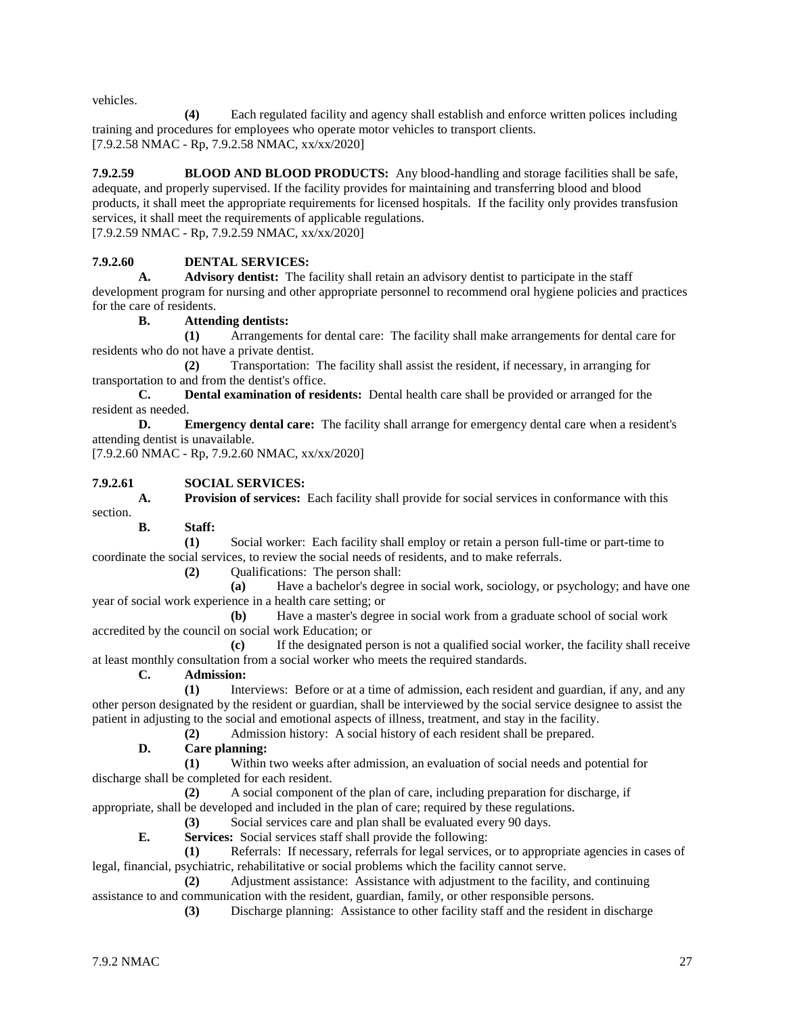vehicles.

**(4)** Each regulated facility and agency shall establish and enforce written polices including training and procedures for employees who operate motor vehicles to transport clients. [7.9.2.58 NMAC - Rp, 7.9.2.58 NMAC, xx/xx/2020]

**7.9.2.59 BLOOD AND BLOOD PRODUCTS:** Any blood-handling and storage facilities shall be safe, adequate, and properly supervised. If the facility provides for maintaining and transferring blood and blood products, it shall meet the appropriate requirements for licensed hospitals. If the facility only provides transfusion services, it shall meet the requirements of applicable regulations. [7.9.2.59 NMAC - Rp, 7.9.2.59 NMAC, xx/xx/2020]

# **7.9.2.60 DENTAL SERVICES:**

**A. Advisory dentist:** The facility shall retain an advisory dentist to participate in the staff development program for nursing and other appropriate personnel to recommend oral hygiene policies and practices for the care of residents.

#### **B. Attending dentists:**

**(1)** Arrangements for dental care: The facility shall make arrangements for dental care for residents who do not have a private dentist.

**(2)** Transportation: The facility shall assist the resident, if necessary, in arranging for transportation to and from the dentist's office.

**C. Dental examination of residents:** Dental health care shall be provided or arranged for the resident as needed.

**D. Emergency dental care:** The facility shall arrange for emergency dental care when a resident's attending dentist is unavailable.

[7.9.2.60 NMAC - Rp, 7.9.2.60 NMAC, xx/xx/2020]

#### **7.9.2.61 SOCIAL SERVICES:**

**A. Provision of services:** Each facility shall provide for social services in conformance with this section.

**B. Staff:**

**(1)** Social worker: Each facility shall employ or retain a person full-time or part-time to coordinate the social services, to review the social needs of residents, and to make referrals.

**(2)** Qualifications: The person shall:

**(a)** Have a bachelor's degree in social work, sociology, or psychology; and have one year of social work experience in a health care setting; or

**(b)** Have a master's degree in social work from a graduate school of social work accredited by the council on social work Education; or

**(c)** If the designated person is not a qualified social worker, the facility shall receive at least monthly consultation from a social worker who meets the required standards.

**C. Admission:**

**(1)** Interviews: Before or at a time of admission, each resident and guardian, if any, and any other person designated by the resident or guardian, shall be interviewed by the social service designee to assist the patient in adjusting to the social and emotional aspects of illness, treatment, and stay in the facility.

**(2)** Admission history: A social history of each resident shall be prepared.

#### **D. Care planning:**

**(1)** Within two weeks after admission, an evaluation of social needs and potential for discharge shall be completed for each resident.

**(2)** A social component of the plan of care, including preparation for discharge, if appropriate, shall be developed and included in the plan of care; required by these regulations.

**(3)** Social services care and plan shall be evaluated every 90 days.

**E. Services:** Social services staff shall provide the following:

**(1)** Referrals: If necessary, referrals for legal services, or to appropriate agencies in cases of legal, financial, psychiatric, rehabilitative or social problems which the facility cannot serve.

**(2)** Adjustment assistance: Assistance with adjustment to the facility, and continuing assistance to and communication with the resident, guardian, family, or other responsible persons.

**(3)** Discharge planning: Assistance to other facility staff and the resident in discharge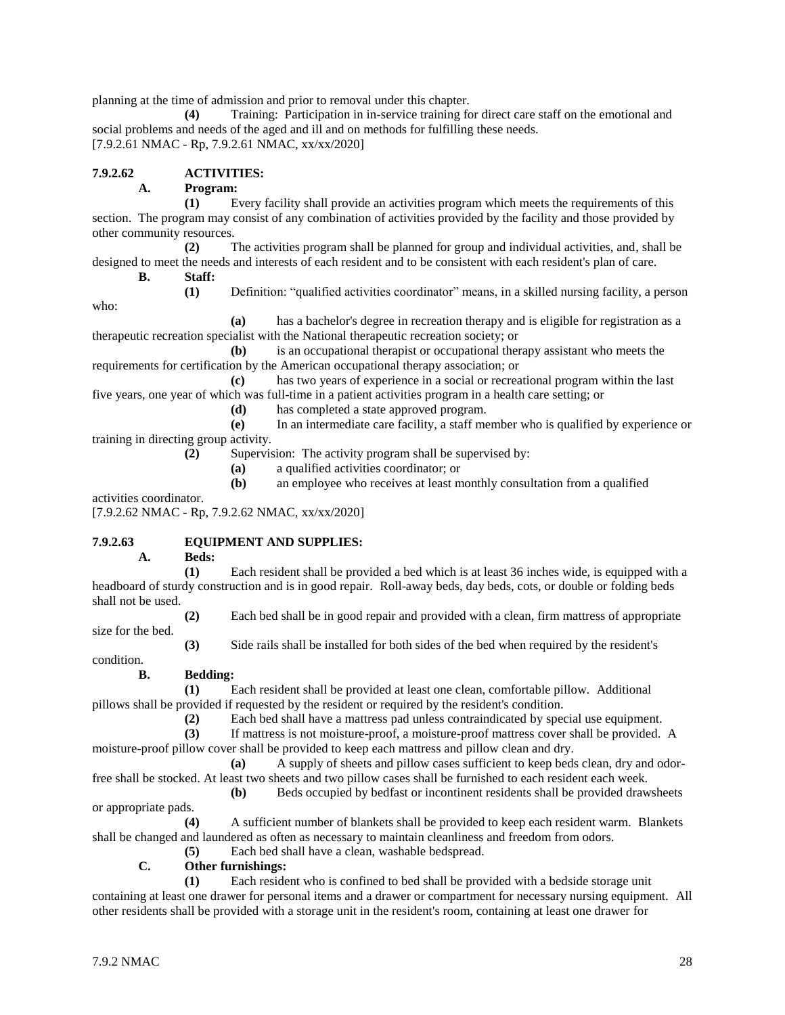planning at the time of admission and prior to removal under this chapter.

**(4)** Training: Participation in in-service training for direct care staff on the emotional and social problems and needs of the aged and ill and on methods for fulfilling these needs. [7.9.2.61 NMAC - Rp, 7.9.2.61 NMAC, xx/xx/2020]

# **7.9.2.62 ACTIVITIES:**

# **A. Program:**

**(1)** Every facility shall provide an activities program which meets the requirements of this section. The program may consist of any combination of activities provided by the facility and those provided by other community resources.

**(2)** The activities program shall be planned for group and individual activities, and, shall be designed to meet the needs and interests of each resident and to be consistent with each resident's plan of care.

**B. Staff:**

**(1)** Definition: "qualified activities coordinator" means, in a skilled nursing facility, a person

**(a)** has a bachelor's degree in recreation therapy and is eligible for registration as a therapeutic recreation specialist with the National therapeutic recreation society; or

**(b)** is an occupational therapist or occupational therapy assistant who meets the requirements for certification by the American occupational therapy association; or

**(c)** has two years of experience in a social or recreational program within the last five years, one year of which was full-time in a patient activities program in a health care setting; or

**(d)** has completed a state approved program.

**(e)** In an intermediate care facility, a staff member who is qualified by experience or training in directing group activity.

**(2)** Supervision: The activity program shall be supervised by:

**(a)** a qualified activities coordinator; or

**(b)** an employee who receives at least monthly consultation from a qualified

activities coordinator.

who:

[7.9.2.62 NMAC - Rp, 7.9.2.62 NMAC, xx/xx/2020]

# **7.9.2.63 EQUIPMENT AND SUPPLIES:**

**A. Beds:**

**(1)** Each resident shall be provided a bed which is at least 36 inches wide, is equipped with a headboard of sturdy construction and is in good repair. Roll-away beds, day beds, cots, or double or folding beds shall not be used.

**(2)** Each bed shall be in good repair and provided with a clean, firm mattress of appropriate

condition.

size for the bed.

**(3)** Side rails shall be installed for both sides of the bed when required by the resident's

**B. Bedding:**

**(1)** Each resident shall be provided at least one clean, comfortable pillow. Additional pillows shall be provided if requested by the resident or required by the resident's condition.

**(2)** Each bed shall have a mattress pad unless contraindicated by special use equipment.

**(3)** If mattress is not moisture-proof, a moisture-proof mattress cover shall be provided. A moisture-proof pillow cover shall be provided to keep each mattress and pillow clean and dry.

**(a)** A supply of sheets and pillow cases sufficient to keep beds clean, dry and odorfree shall be stocked. At least two sheets and two pillow cases shall be furnished to each resident each week.

**(b)** Beds occupied by bedfast or incontinent residents shall be provided drawsheets

or appropriate pads.

**(4)** A sufficient number of blankets shall be provided to keep each resident warm. Blankets shall be changed and laundered as often as necessary to maintain cleanliness and freedom from odors.

**(5)** Each bed shall have a clean, washable bedspread.

**C. Other furnishings:**

**(1)** Each resident who is confined to bed shall be provided with a bedside storage unit containing at least one drawer for personal items and a drawer or compartment for necessary nursing equipment. All other residents shall be provided with a storage unit in the resident's room, containing at least one drawer for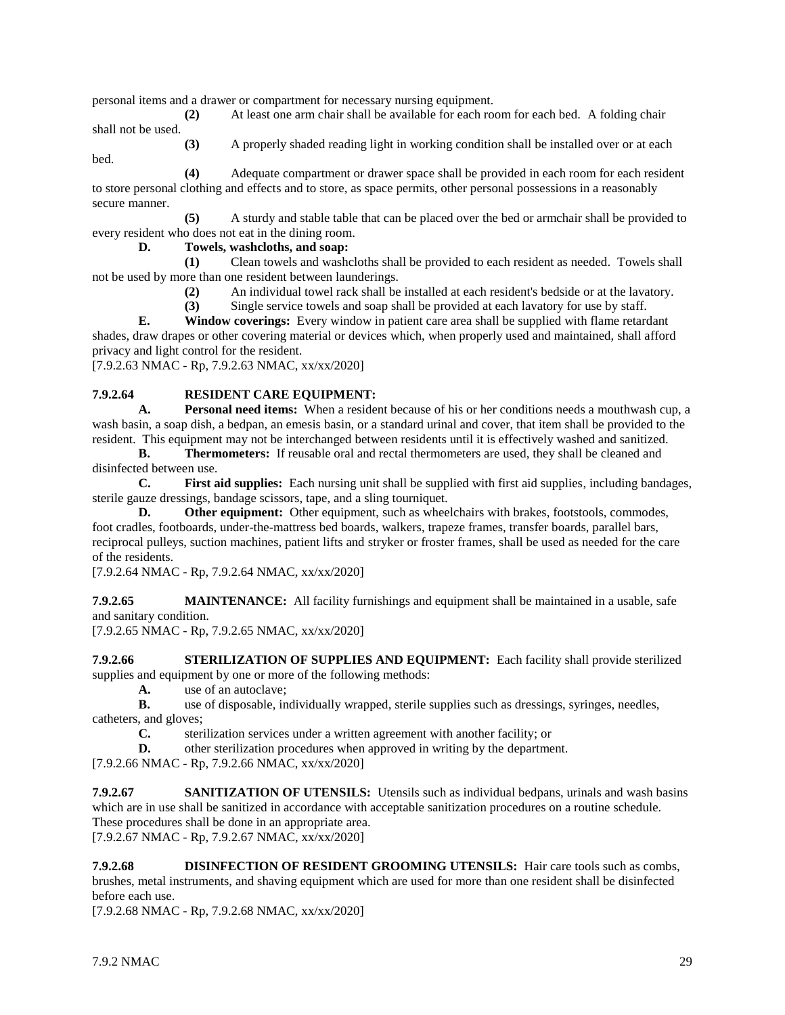personal items and a drawer or compartment for necessary nursing equipment.

**(2)** At least one arm chair shall be available for each room for each bed. A folding chair shall not be used.

**(3)** A properly shaded reading light in working condition shall be installed over or at each bed.

**(4)** Adequate compartment or drawer space shall be provided in each room for each resident to store personal clothing and effects and to store, as space permits, other personal possessions in a reasonably secure manner.

**(5)** A sturdy and stable table that can be placed over the bed or armchair shall be provided to every resident who does not eat in the dining room.

#### **D. Towels, washcloths, and soap:**

**(1)** Clean towels and washcloths shall be provided to each resident as needed. Towels shall not be used by more than one resident between launderings.

**(2)** An individual towel rack shall be installed at each resident's bedside or at the lavatory.

**(3)** Single service towels and soap shall be provided at each lavatory for use by staff.

**E. Window coverings:** Every window in patient care area shall be supplied with flame retardant shades, draw drapes or other covering material or devices which, when properly used and maintained, shall afford privacy and light control for the resident.

[7.9.2.63 NMAC - Rp, 7.9.2.63 NMAC, xx/xx/2020]

# **7.9.2.64 RESIDENT CARE EQUIPMENT:**

**A. Personal need items:** When a resident because of his or her conditions needs a mouthwash cup, a wash basin, a soap dish, a bedpan, an emesis basin, or a standard urinal and cover, that item shall be provided to the resident. This equipment may not be interchanged between residents until it is effectively washed and sanitized.

**B. Thermometers:** If reusable oral and rectal thermometers are used, they shall be cleaned and disinfected between use.

**C. First aid supplies:** Each nursing unit shall be supplied with first aid supplies, including bandages, sterile gauze dressings, bandage scissors, tape, and a sling tourniquet.

**D. Other equipment:** Other equipment, such as wheelchairs with brakes, footstools, commodes, foot cradles, footboards, under-the-mattress bed boards, walkers, trapeze frames, transfer boards, parallel bars, reciprocal pulleys, suction machines, patient lifts and stryker or froster frames, shall be used as needed for the care of the residents.

[7.9.2.64 NMAC - Rp, 7.9.2.64 NMAC, xx/xx/2020]

**7.9.2.65 MAINTENANCE:** All facility furnishings and equipment shall be maintained in a usable, safe and sanitary condition.

[7.9.2.65 NMAC - Rp, 7.9.2.65 NMAC, xx/xx/2020]

**7.9.2.66 STERILIZATION OF SUPPLIES AND EQUIPMENT:** Each facility shall provide sterilized supplies and equipment by one or more of the following methods:

**A.** use of an autoclave;

**B.** use of disposable, individually wrapped, sterile supplies such as dressings, syringes, needles, catheters, and gloves;

**C.** sterilization services under a written agreement with another facility; or

**D.** other sterilization procedures when approved in writing by the department.

[7.9.2.66 NMAC - Rp, 7.9.2.66 NMAC, xx/xx/2020]

**7.9.2.67 SANITIZATION OF UTENSILS:** Utensils such as individual bedpans, urinals and wash basins which are in use shall be sanitized in accordance with acceptable sanitization procedures on a routine schedule. These procedures shall be done in an appropriate area. [7.9.2.67 NMAC - Rp, 7.9.2.67 NMAC, xx/xx/2020]

**7.9.2.68 DISINFECTION OF RESIDENT GROOMING UTENSILS:** Hair care tools such as combs, brushes, metal instruments, and shaving equipment which are used for more than one resident shall be disinfected before each use.

[7.9.2.68 NMAC - Rp, 7.9.2.68 NMAC, xx/xx/2020]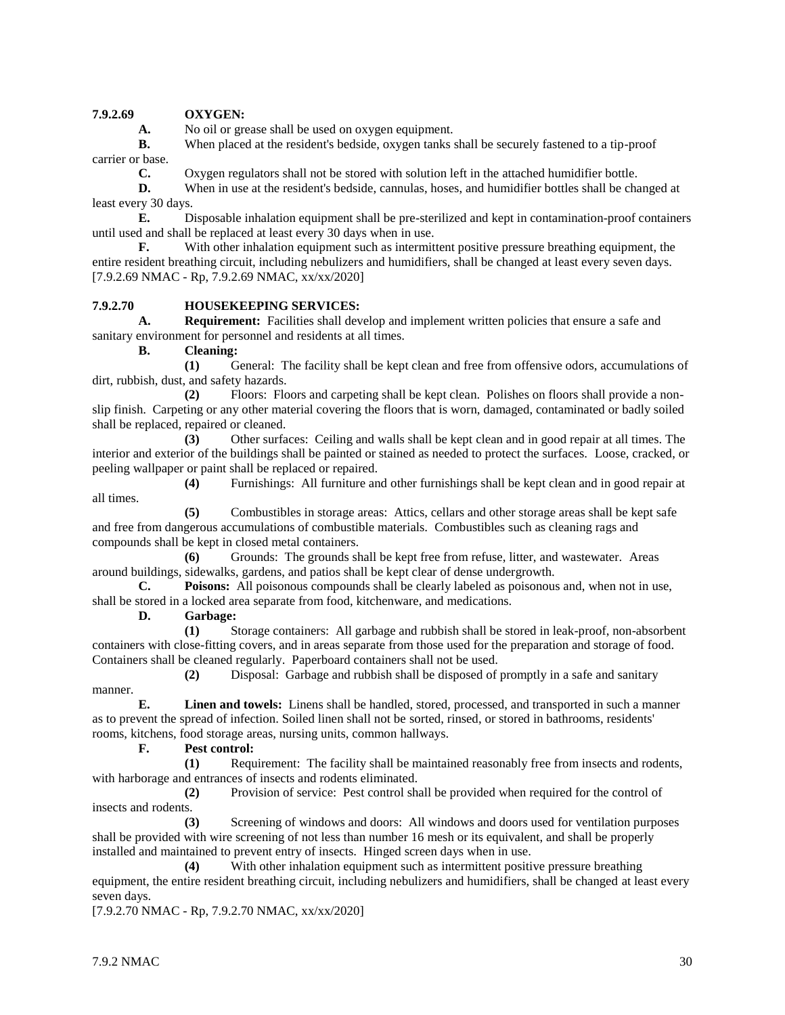# **7.9.2.69 OXYGEN:**

**A.** No oil or grease shall be used on oxygen equipment.

**B.** When placed at the resident's bedside, oxygen tanks shall be securely fastened to a tip-proof carrier or base.

**C.** Oxygen regulators shall not be stored with solution left in the attached humidifier bottle.

**D.** When in use at the resident's bedside, cannulas, hoses, and humidifier bottles shall be changed at least every 30 days.

**E.** Disposable inhalation equipment shall be pre-sterilized and kept in contamination-proof containers until used and shall be replaced at least every 30 days when in use.

**F.** With other inhalation equipment such as intermittent positive pressure breathing equipment, the entire resident breathing circuit, including nebulizers and humidifiers, shall be changed at least every seven days. [7.9.2.69 NMAC - Rp, 7.9.2.69 NMAC, xx/xx/2020]

#### **7.9.2.70 HOUSEKEEPING SERVICES:**

**A. Requirement:** Facilities shall develop and implement written policies that ensure a safe and sanitary environment for personnel and residents at all times.

**B. Cleaning:**

**(1)** General: The facility shall be kept clean and free from offensive odors, accumulations of dirt, rubbish, dust, and safety hazards.

**(2)** Floors: Floors and carpeting shall be kept clean. Polishes on floors shall provide a nonslip finish. Carpeting or any other material covering the floors that is worn, damaged, contaminated or badly soiled shall be replaced, repaired or cleaned.

**(3)** Other surfaces: Ceiling and walls shall be kept clean and in good repair at all times. The interior and exterior of the buildings shall be painted or stained as needed to protect the surfaces. Loose, cracked, or peeling wallpaper or paint shall be replaced or repaired.

**(4)** Furnishings: All furniture and other furnishings shall be kept clean and in good repair at all times.

**(5)** Combustibles in storage areas: Attics, cellars and other storage areas shall be kept safe and free from dangerous accumulations of combustible materials. Combustibles such as cleaning rags and compounds shall be kept in closed metal containers.

**(6)** Grounds: The grounds shall be kept free from refuse, litter, and wastewater. Areas around buildings, sidewalks, gardens, and patios shall be kept clear of dense undergrowth.

**C. Poisons:** All poisonous compounds shall be clearly labeled as poisonous and, when not in use, shall be stored in a locked area separate from food, kitchenware, and medications.

**D. Garbage:**

**(1)** Storage containers: All garbage and rubbish shall be stored in leak-proof, non-absorbent containers with close-fitting covers, and in areas separate from those used for the preparation and storage of food. Containers shall be cleaned regularly. Paperboard containers shall not be used.

**(2)** Disposal: Garbage and rubbish shall be disposed of promptly in a safe and sanitary manner.

**E. Linen and towels:** Linens shall be handled, stored, processed, and transported in such a manner as to prevent the spread of infection. Soiled linen shall not be sorted, rinsed, or stored in bathrooms, residents' rooms, kitchens, food storage areas, nursing units, common hallways.

#### **F. Pest control:**

**(1)** Requirement: The facility shall be maintained reasonably free from insects and rodents, with harborage and entrances of insects and rodents eliminated.

**(2)** Provision of service: Pest control shall be provided when required for the control of insects and rodents.

**(3)** Screening of windows and doors: All windows and doors used for ventilation purposes shall be provided with wire screening of not less than number 16 mesh or its equivalent, and shall be properly installed and maintained to prevent entry of insects. Hinged screen days when in use.

**(4)** With other inhalation equipment such as intermittent positive pressure breathing equipment, the entire resident breathing circuit, including nebulizers and humidifiers, shall be changed at least every seven days.

[7.9.2.70 NMAC - Rp, 7.9.2.70 NMAC, xx/xx/2020]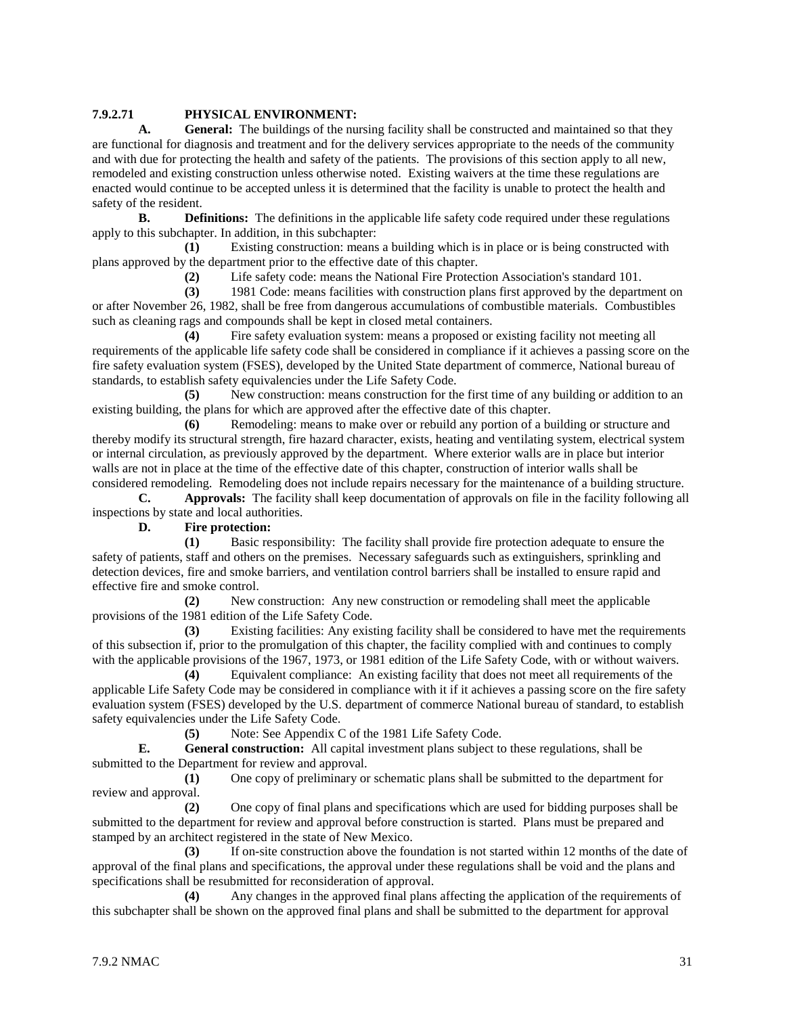# **7.9.2.71 PHYSICAL ENVIRONMENT:**

**A. General:** The buildings of the nursing facility shall be constructed and maintained so that they are functional for diagnosis and treatment and for the delivery services appropriate to the needs of the community and with due for protecting the health and safety of the patients. The provisions of this section apply to all new, remodeled and existing construction unless otherwise noted. Existing waivers at the time these regulations are enacted would continue to be accepted unless it is determined that the facility is unable to protect the health and safety of the resident.

**B. Definitions:** The definitions in the applicable life safety code required under these regulations apply to this subchapter. In addition, in this subchapter:

**(1)** Existing construction: means a building which is in place or is being constructed with plans approved by the department prior to the effective date of this chapter.

**(2)** Life safety code: means the National Fire Protection Association's standard 101.

**(3)** 1981 Code: means facilities with construction plans first approved by the department on or after November 26, 1982, shall be free from dangerous accumulations of combustible materials. Combustibles such as cleaning rags and compounds shall be kept in closed metal containers.

**(4)** Fire safety evaluation system: means a proposed or existing facility not meeting all requirements of the applicable life safety code shall be considered in compliance if it achieves a passing score on the fire safety evaluation system (FSES), developed by the United State department of commerce, National bureau of standards, to establish safety equivalencies under the Life Safety Code.

**(5)** New construction: means construction for the first time of any building or addition to an existing building, the plans for which are approved after the effective date of this chapter.

**(6)** Remodeling: means to make over or rebuild any portion of a building or structure and thereby modify its structural strength, fire hazard character, exists, heating and ventilating system, electrical system or internal circulation, as previously approved by the department. Where exterior walls are in place but interior walls are not in place at the time of the effective date of this chapter, construction of interior walls shall be considered remodeling. Remodeling does not include repairs necessary for the maintenance of a building structure.

**C. Approvals:** The facility shall keep documentation of approvals on file in the facility following all inspections by state and local authorities.

**D. Fire protection:**

**(1)** Basic responsibility: The facility shall provide fire protection adequate to ensure the safety of patients, staff and others on the premises. Necessary safeguards such as extinguishers, sprinkling and detection devices, fire and smoke barriers, and ventilation control barriers shall be installed to ensure rapid and effective fire and smoke control.

**(2)** New construction: Any new construction or remodeling shall meet the applicable provisions of the 1981 edition of the Life Safety Code.

**(3)** Existing facilities: Any existing facility shall be considered to have met the requirements of this subsection if, prior to the promulgation of this chapter, the facility complied with and continues to comply with the applicable provisions of the 1967, 1973, or 1981 edition of the Life Safety Code, with or without waivers.

**(4)** Equivalent compliance: An existing facility that does not meet all requirements of the applicable Life Safety Code may be considered in compliance with it if it achieves a passing score on the fire safety evaluation system (FSES) developed by the U.S. department of commerce National bureau of standard, to establish safety equivalencies under the Life Safety Code.

**(5)** Note: See Appendix C of the 1981 Life Safety Code.

**E. General construction:** All capital investment plans subject to these regulations, shall be submitted to the Department for review and approval.

**(1)** One copy of preliminary or schematic plans shall be submitted to the department for review and approval.

**(2)** One copy of final plans and specifications which are used for bidding purposes shall be submitted to the department for review and approval before construction is started. Plans must be prepared and stamped by an architect registered in the state of New Mexico.

**(3)** If on-site construction above the foundation is not started within 12 months of the date of approval of the final plans and specifications, the approval under these regulations shall be void and the plans and specifications shall be resubmitted for reconsideration of approval.

**(4)** Any changes in the approved final plans affecting the application of the requirements of this subchapter shall be shown on the approved final plans and shall be submitted to the department for approval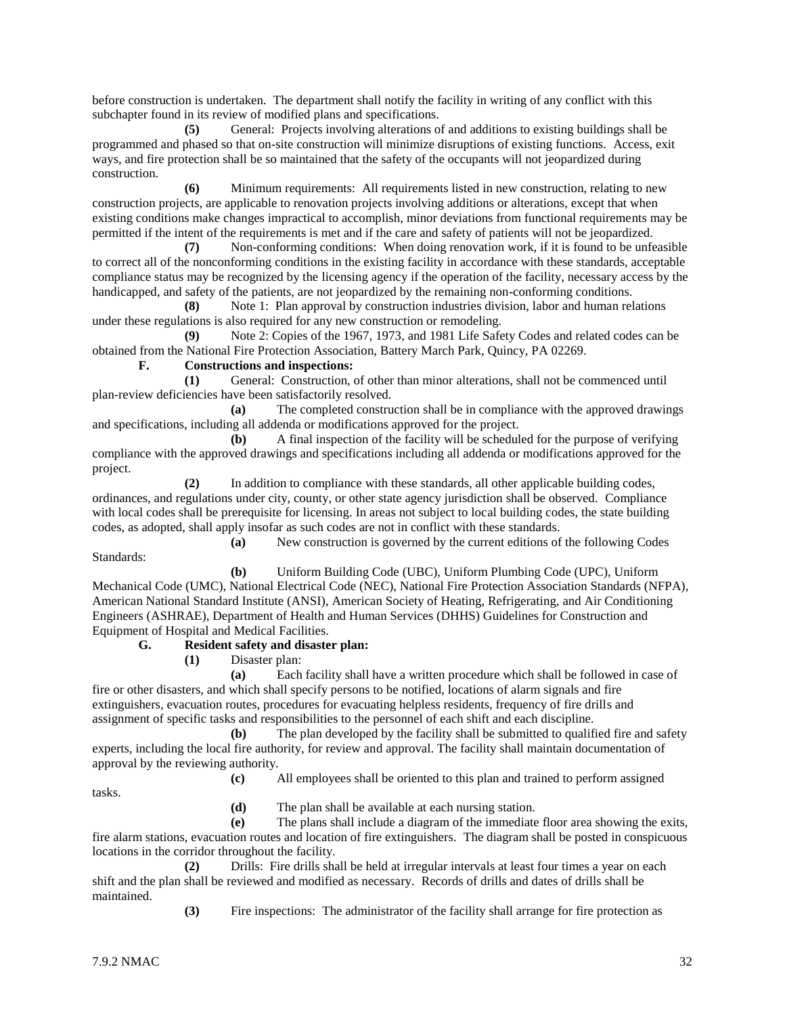before construction is undertaken. The department shall notify the facility in writing of any conflict with this subchapter found in its review of modified plans and specifications.

**(5)** General: Projects involving alterations of and additions to existing buildings shall be programmed and phased so that on-site construction will minimize disruptions of existing functions. Access, exit ways, and fire protection shall be so maintained that the safety of the occupants will not jeopardized during construction.

**(6)** Minimum requirements: All requirements listed in new construction, relating to new construction projects, are applicable to renovation projects involving additions or alterations, except that when existing conditions make changes impractical to accomplish, minor deviations from functional requirements may be permitted if the intent of the requirements is met and if the care and safety of patients will not be jeopardized.

**(7)** Non-conforming conditions: When doing renovation work, if it is found to be unfeasible to correct all of the nonconforming conditions in the existing facility in accordance with these standards, acceptable compliance status may be recognized by the licensing agency if the operation of the facility, necessary access by the handicapped, and safety of the patients, are not jeopardized by the remaining non-conforming conditions.

**(8)** Note 1: Plan approval by construction industries division, labor and human relations under these regulations is also required for any new construction or remodeling.

**(9)** Note 2: Copies of the 1967, 1973, and 1981 Life Safety Codes and related codes can be obtained from the National Fire Protection Association, Battery March Park, Quincy, PA 02269.

#### **F. Constructions and inspections:**

**(1)** General: Construction, of other than minor alterations, shall not be commenced until plan-review deficiencies have been satisfactorily resolved.

**(a)** The completed construction shall be in compliance with the approved drawings and specifications, including all addenda or modifications approved for the project.

**(b)** A final inspection of the facility will be scheduled for the purpose of verifying compliance with the approved drawings and specifications including all addenda or modifications approved for the project.

**(2)** In addition to compliance with these standards, all other applicable building codes, ordinances, and regulations under city, county, or other state agency jurisdiction shall be observed. Compliance with local codes shall be prerequisite for licensing. In areas not subject to local building codes, the state building codes, as adopted, shall apply insofar as such codes are not in conflict with these standards.

**(a)** New construction is governed by the current editions of the following Codes Standards:

**(b)** Uniform Building Code (UBC), Uniform Plumbing Code (UPC), Uniform Mechanical Code (UMC), National Electrical Code (NEC), National Fire Protection Association Standards (NFPA), American National Standard Institute (ANSI), American Society of Heating, Refrigerating, and Air Conditioning Engineers (ASHRAE), Department of Health and Human Services (DHHS) Guidelines for Construction and Equipment of Hospital and Medical Facilities.

#### **G. Resident safety and disaster plan:**

**(1)** Disaster plan:

**(a)** Each facility shall have a written procedure which shall be followed in case of fire or other disasters, and which shall specify persons to be notified, locations of alarm signals and fire extinguishers, evacuation routes, procedures for evacuating helpless residents, frequency of fire drills and assignment of specific tasks and responsibilities to the personnel of each shift and each discipline.

**(b)** The plan developed by the facility shall be submitted to qualified fire and safety experts, including the local fire authority, for review and approval. The facility shall maintain documentation of approval by the reviewing authority.

**(c)** All employees shall be oriented to this plan and trained to perform assigned

tasks.

**(d)** The plan shall be available at each nursing station.

**(e)** The plans shall include a diagram of the immediate floor area showing the exits, fire alarm stations, evacuation routes and location of fire extinguishers. The diagram shall be posted in conspicuous locations in the corridor throughout the facility.

**(2)** Drills: Fire drills shall be held at irregular intervals at least four times a year on each shift and the plan shall be reviewed and modified as necessary. Records of drills and dates of drills shall be maintained.

**(3)** Fire inspections: The administrator of the facility shall arrange for fire protection as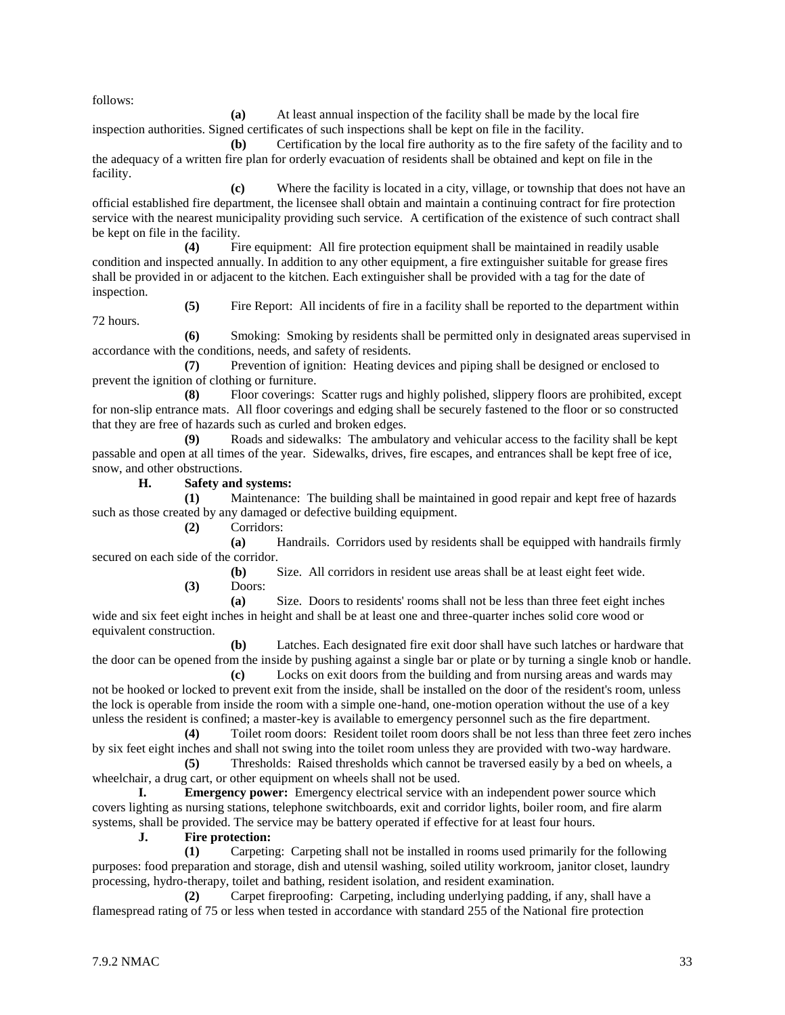follows:

**(a)** At least annual inspection of the facility shall be made by the local fire inspection authorities. Signed certificates of such inspections shall be kept on file in the facility.

**(b)** Certification by the local fire authority as to the fire safety of the facility and to the adequacy of a written fire plan for orderly evacuation of residents shall be obtained and kept on file in the facility.

**(c)** Where the facility is located in a city, village, or township that does not have an official established fire department, the licensee shall obtain and maintain a continuing contract for fire protection service with the nearest municipality providing such service. A certification of the existence of such contract shall be kept on file in the facility.

**(4)** Fire equipment: All fire protection equipment shall be maintained in readily usable condition and inspected annually. In addition to any other equipment, a fire extinguisher suitable for grease fires shall be provided in or adjacent to the kitchen. Each extinguisher shall be provided with a tag for the date of inspection.

72 hours.

**(5)** Fire Report: All incidents of fire in a facility shall be reported to the department within

**(6)** Smoking: Smoking by residents shall be permitted only in designated areas supervised in accordance with the conditions, needs, and safety of residents.

**(7)** Prevention of ignition: Heating devices and piping shall be designed or enclosed to prevent the ignition of clothing or furniture.

**(8)** Floor coverings: Scatter rugs and highly polished, slippery floors are prohibited, except for non-slip entrance mats. All floor coverings and edging shall be securely fastened to the floor or so constructed that they are free of hazards such as curled and broken edges.

**(9)** Roads and sidewalks: The ambulatory and vehicular access to the facility shall be kept passable and open at all times of the year. Sidewalks, drives, fire escapes, and entrances shall be kept free of ice, snow, and other obstructions.

**H. Safety and systems:**

**(1)** Maintenance: The building shall be maintained in good repair and kept free of hazards such as those created by any damaged or defective building equipment.

**(2)** Corridors:

**(a)** Handrails. Corridors used by residents shall be equipped with handrails firmly secured on each side of the corridor.

> **(b)** Size. All corridors in resident use areas shall be at least eight feet wide. **(3)** Doors:

**(a)** Size. Doors to residents' rooms shall not be less than three feet eight inches wide and six feet eight inches in height and shall be at least one and three-quarter inches solid core wood or equivalent construction.

**(b)** Latches. Each designated fire exit door shall have such latches or hardware that the door can be opened from the inside by pushing against a single bar or plate or by turning a single knob or handle.

**(c)** Locks on exit doors from the building and from nursing areas and wards may not be hooked or locked to prevent exit from the inside, shall be installed on the door of the resident's room, unless the lock is operable from inside the room with a simple one-hand, one-motion operation without the use of a key unless the resident is confined; a master-key is available to emergency personnel such as the fire department.

**(4)** Toilet room doors: Resident toilet room doors shall be not less than three feet zero inches by six feet eight inches and shall not swing into the toilet room unless they are provided with two-way hardware.

**(5)** Thresholds: Raised thresholds which cannot be traversed easily by a bed on wheels, a wheelchair, a drug cart, or other equipment on wheels shall not be used.

**I. Emergency power:** Emergency electrical service with an independent power source which covers lighting as nursing stations, telephone switchboards, exit and corridor lights, boiler room, and fire alarm systems, shall be provided. The service may be battery operated if effective for at least four hours.

**J. Fire protection:**

**(1)** Carpeting: Carpeting shall not be installed in rooms used primarily for the following purposes: food preparation and storage, dish and utensil washing, soiled utility workroom, janitor closet, laundry processing, hydro-therapy, toilet and bathing, resident isolation, and resident examination.

**(2)** Carpet fireproofing: Carpeting, including underlying padding, if any, shall have a flamespread rating of 75 or less when tested in accordance with standard 255 of the National fire protection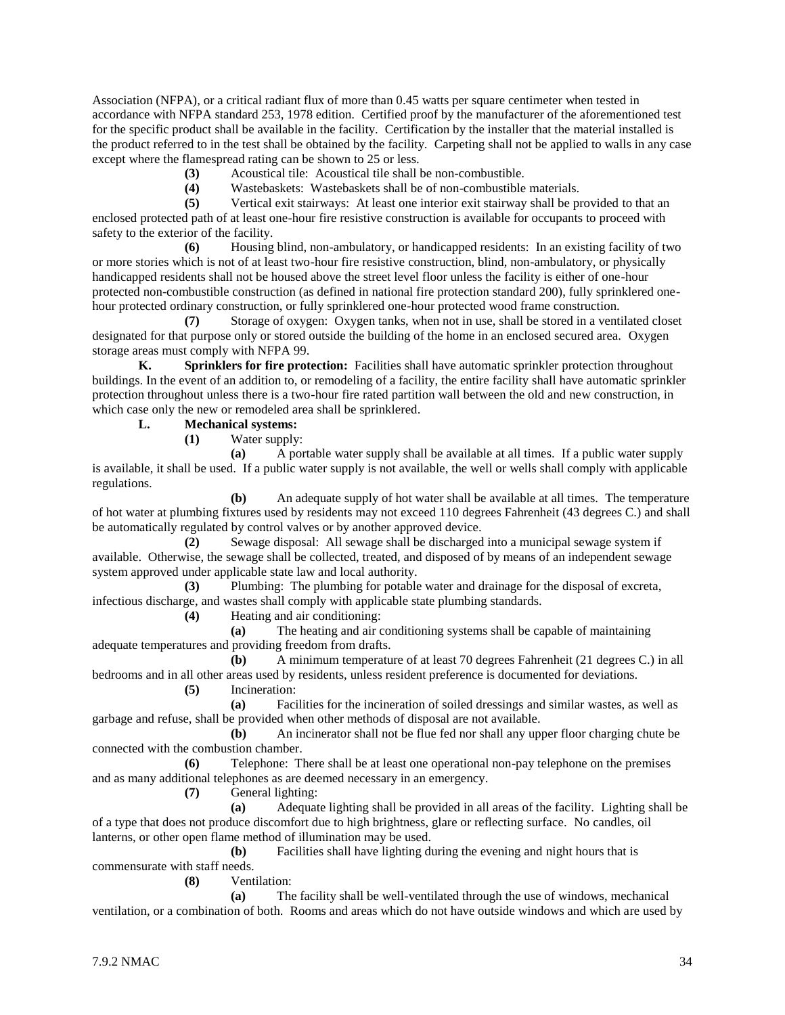Association (NFPA), or a critical radiant flux of more than 0.45 watts per square centimeter when tested in accordance with NFPA standard 253, 1978 edition. Certified proof by the manufacturer of the aforementioned test for the specific product shall be available in the facility. Certification by the installer that the material installed is the product referred to in the test shall be obtained by the facility. Carpeting shall not be applied to walls in any case except where the flamespread rating can be shown to 25 or less.

**(3)** Acoustical tile: Acoustical tile shall be non-combustible.

**(4)** Wastebaskets: Wastebaskets shall be of non-combustible materials.

**(5)** Vertical exit stairways: At least one interior exit stairway shall be provided to that an enclosed protected path of at least one-hour fire resistive construction is available for occupants to proceed with safety to the exterior of the facility.

**(6)** Housing blind, non-ambulatory, or handicapped residents: In an existing facility of two or more stories which is not of at least two-hour fire resistive construction, blind, non-ambulatory, or physically handicapped residents shall not be housed above the street level floor unless the facility is either of one-hour protected non-combustible construction (as defined in national fire protection standard 200), fully sprinklered onehour protected ordinary construction, or fully sprinklered one-hour protected wood frame construction.

**(7)** Storage of oxygen: Oxygen tanks, when not in use, shall be stored in a ventilated closet designated for that purpose only or stored outside the building of the home in an enclosed secured area. Oxygen storage areas must comply with NFPA 99.

**K. Sprinklers for fire protection:** Facilities shall have automatic sprinkler protection throughout buildings. In the event of an addition to, or remodeling of a facility, the entire facility shall have automatic sprinkler protection throughout unless there is a two-hour fire rated partition wall between the old and new construction, in which case only the new or remodeled area shall be sprinklered.

# **L. Mechanical systems:**

**(1)** Water supply:

**(a)** A portable water supply shall be available at all times. If a public water supply is available, it shall be used. If a public water supply is not available, the well or wells shall comply with applicable regulations.

**(b)** An adequate supply of hot water shall be available at all times. The temperature of hot water at plumbing fixtures used by residents may not exceed 110 degrees Fahrenheit (43 degrees C.) and shall be automatically regulated by control valves or by another approved device.

**(2)** Sewage disposal: All sewage shall be discharged into a municipal sewage system if available. Otherwise, the sewage shall be collected, treated, and disposed of by means of an independent sewage system approved under applicable state law and local authority.

**(3)** Plumbing: The plumbing for potable water and drainage for the disposal of excreta, infectious discharge, and wastes shall comply with applicable state plumbing standards.

**(4)** Heating and air conditioning:

**(a)** The heating and air conditioning systems shall be capable of maintaining adequate temperatures and providing freedom from drafts.

**(b)** A minimum temperature of at least 70 degrees Fahrenheit (21 degrees C.) in all bedrooms and in all other areas used by residents, unless resident preference is documented for deviations. **(5)** Incineration:

**(a)** Facilities for the incineration of soiled dressings and similar wastes, as well as garbage and refuse, shall be provided when other methods of disposal are not available.

**(b)** An incinerator shall not be flue fed nor shall any upper floor charging chute be connected with the combustion chamber.

**(6)** Telephone: There shall be at least one operational non-pay telephone on the premises and as many additional telephones as are deemed necessary in an emergency.

**(7)** General lighting:

**(a)** Adequate lighting shall be provided in all areas of the facility. Lighting shall be of a type that does not produce discomfort due to high brightness, glare or reflecting surface. No candles, oil lanterns, or other open flame method of illumination may be used.

**(b)** Facilities shall have lighting during the evening and night hours that is commensurate with staff needs.

**(8)** Ventilation:

**(a)** The facility shall be well-ventilated through the use of windows, mechanical ventilation, or a combination of both. Rooms and areas which do not have outside windows and which are used by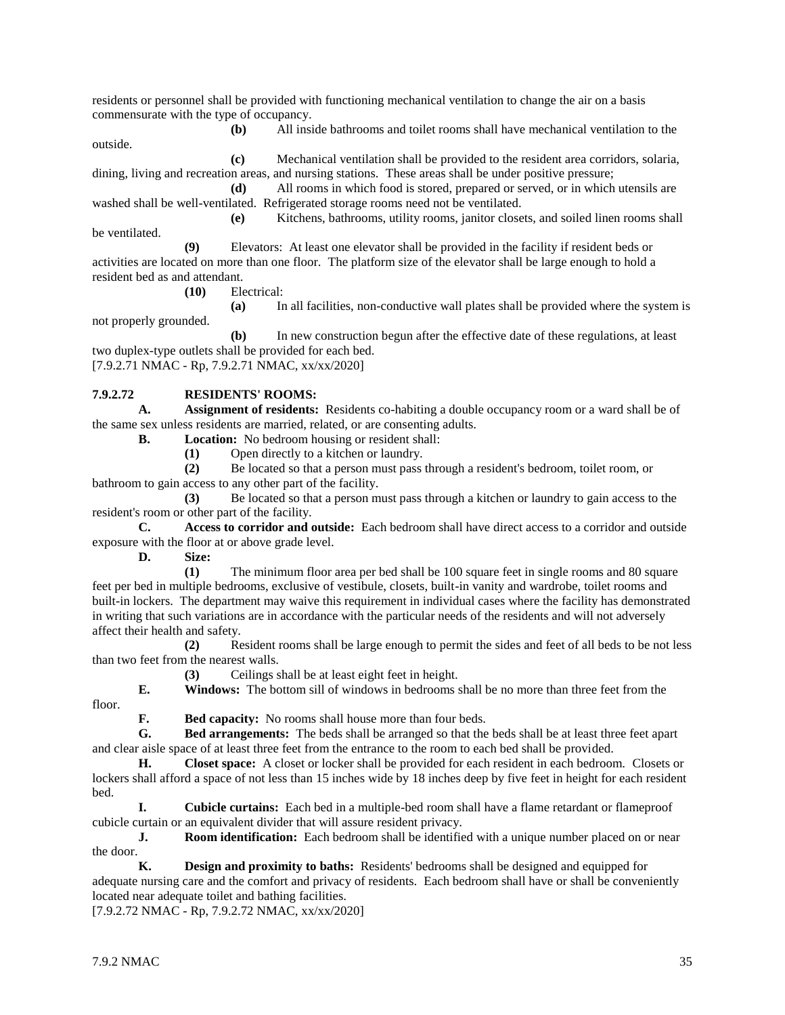residents or personnel shall be provided with functioning mechanical ventilation to change the air on a basis commensurate with the type of occupancy.

**(b)** All inside bathrooms and toilet rooms shall have mechanical ventilation to the outside. **(c)** Mechanical ventilation shall be provided to the resident area corridors, solaria,

dining, living and recreation areas, and nursing stations. These areas shall be under positive pressure;

**(d)** All rooms in which food is stored, prepared or served, or in which utensils are washed shall be well-ventilated. Refrigerated storage rooms need not be ventilated.

**(e)** Kitchens, bathrooms, utility rooms, janitor closets, and soiled linen rooms shall be ventilated.

**(9)** Elevators: At least one elevator shall be provided in the facility if resident beds or activities are located on more than one floor. The platform size of the elevator shall be large enough to hold a resident bed as and attendant.

**(10)** Electrical:

**(a)** In all facilities, non-conductive wall plates shall be provided where the system is not properly grounded.

**(b)** In new construction begun after the effective date of these regulations, at least two duplex-type outlets shall be provided for each bed. [7.9.2.71 NMAC - Rp, 7.9.2.71 NMAC, xx/xx/2020]

# **7.9.2.72 RESIDENTS' ROOMS:**

**A. Assignment of residents:** Residents co-habiting a double occupancy room or a ward shall be of the same sex unless residents are married, related, or are consenting adults.

**B. Location:** No bedroom housing or resident shall:

**(1)** Open directly to a kitchen or laundry.

**(2)** Be located so that a person must pass through a resident's bedroom, toilet room, or bathroom to gain access to any other part of the facility.

**(3)** Be located so that a person must pass through a kitchen or laundry to gain access to the resident's room or other part of the facility.

**C. Access to corridor and outside:** Each bedroom shall have direct access to a corridor and outside exposure with the floor at or above grade level.

**D. Size:**

**(1)** The minimum floor area per bed shall be 100 square feet in single rooms and 80 square feet per bed in multiple bedrooms, exclusive of vestibule, closets, built-in vanity and wardrobe, toilet rooms and built-in lockers. The department may waive this requirement in individual cases where the facility has demonstrated in writing that such variations are in accordance with the particular needs of the residents and will not adversely affect their health and safety.

**(2)** Resident rooms shall be large enough to permit the sides and feet of all beds to be not less than two feet from the nearest walls.

**(3)** Ceilings shall be at least eight feet in height.

**E. Windows:** The bottom sill of windows in bedrooms shall be no more than three feet from the floor.

**F. Bed capacity:** No rooms shall house more than four beds.

**G. Bed arrangements:** The beds shall be arranged so that the beds shall be at least three feet apart and clear aisle space of at least three feet from the entrance to the room to each bed shall be provided.

**H. Closet space:** A closet or locker shall be provided for each resident in each bedroom. Closets or lockers shall afford a space of not less than 15 inches wide by 18 inches deep by five feet in height for each resident bed.

**I. Cubicle curtains:** Each bed in a multiple-bed room shall have a flame retardant or flameproof cubicle curtain or an equivalent divider that will assure resident privacy.

**J. Room identification:** Each bedroom shall be identified with a unique number placed on or near the door.  $K$ .

**Design and proximity to baths:** Residents' bedrooms shall be designed and equipped for adequate nursing care and the comfort and privacy of residents. Each bedroom shall have or shall be conveniently located near adequate toilet and bathing facilities.

[7.9.2.72 NMAC - Rp, 7.9.2.72 NMAC, xx/xx/2020]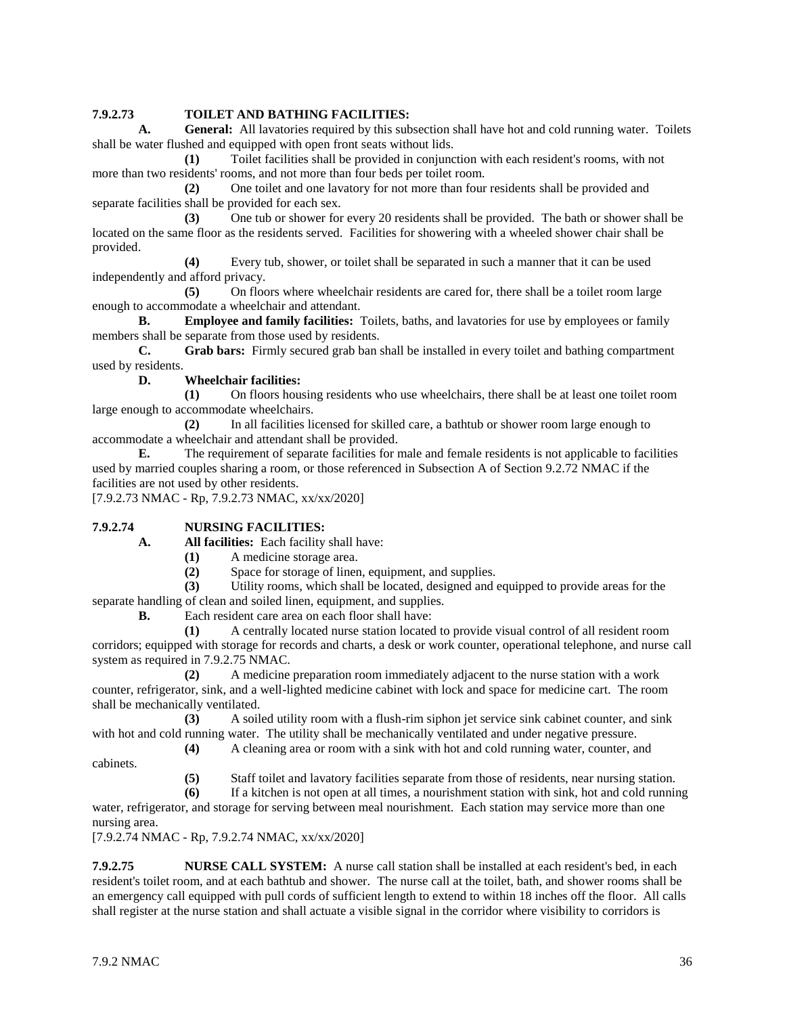#### **7.9.2.73 TOILET AND BATHING FACILITIES:**

**A. General:** All lavatories required by this subsection shall have hot and cold running water. Toilets shall be water flushed and equipped with open front seats without lids.

**(1)** Toilet facilities shall be provided in conjunction with each resident's rooms, with not more than two residents' rooms, and not more than four beds per toilet room.

**(2)** One toilet and one lavatory for not more than four residents shall be provided and separate facilities shall be provided for each sex.

**(3)** One tub or shower for every 20 residents shall be provided. The bath or shower shall be located on the same floor as the residents served. Facilities for showering with a wheeled shower chair shall be provided.

**(4)** Every tub, shower, or toilet shall be separated in such a manner that it can be used independently and afford privacy.

**(5)** On floors where wheelchair residents are cared for, there shall be a toilet room large enough to accommodate a wheelchair and attendant.

**B. Employee and family facilities:** Toilets, baths, and lavatories for use by employees or family members shall be separate from those used by residents.

**C. Grab bars:** Firmly secured grab ban shall be installed in every toilet and bathing compartment used by residents.

#### **D. Wheelchair facilities:**

**(1)** On floors housing residents who use wheelchairs, there shall be at least one toilet room large enough to accommodate wheelchairs.

**(2)** In all facilities licensed for skilled care, a bathtub or shower room large enough to accommodate a wheelchair and attendant shall be provided.

**E.** The requirement of separate facilities for male and female residents is not applicable to facilities used by married couples sharing a room, or those referenced in Subsection A of Section 9.2.72 NMAC if the facilities are not used by other residents.

[7.9.2.73 NMAC - Rp, 7.9.2.73 NMAC, xx/xx/2020]

#### **7.9.2.74 NURSING FACILITIES:**

**A. All facilities:** Each facility shall have:

- **(1)** A medicine storage area.
- **(2)** Space for storage of linen, equipment, and supplies.

**(3)** Utility rooms, which shall be located, designed and equipped to provide areas for the separate handling of clean and soiled linen, equipment, and supplies.

**B.** Each resident care area on each floor shall have:

**(1)** A centrally located nurse station located to provide visual control of all resident room corridors; equipped with storage for records and charts, a desk or work counter, operational telephone, and nurse call system as required in 7.9.2.75 NMAC.

**(2)** A medicine preparation room immediately adjacent to the nurse station with a work counter, refrigerator, sink, and a well-lighted medicine cabinet with lock and space for medicine cart. The room shall be mechanically ventilated.

**(3)** A soiled utility room with a flush-rim siphon jet service sink cabinet counter, and sink with hot and cold running water. The utility shall be mechanically ventilated and under negative pressure.

**(4)** A cleaning area or room with a sink with hot and cold running water, counter, and

**(5)** Staff toilet and lavatory facilities separate from those of residents, near nursing station.

**(6)** If a kitchen is not open at all times, a nourishment station with sink, hot and cold running water, refrigerator, and storage for serving between meal nourishment. Each station may service more than one nursing area.

[7.9.2.74 NMAC - Rp, 7.9.2.74 NMAC, xx/xx/2020]

**7.9.2.75 NURSE CALL SYSTEM:** A nurse call station shall be installed at each resident's bed, in each resident's toilet room, and at each bathtub and shower. The nurse call at the toilet, bath, and shower rooms shall be an emergency call equipped with pull cords of sufficient length to extend to within 18 inches off the floor. All calls shall register at the nurse station and shall actuate a visible signal in the corridor where visibility to corridors is

cabinets.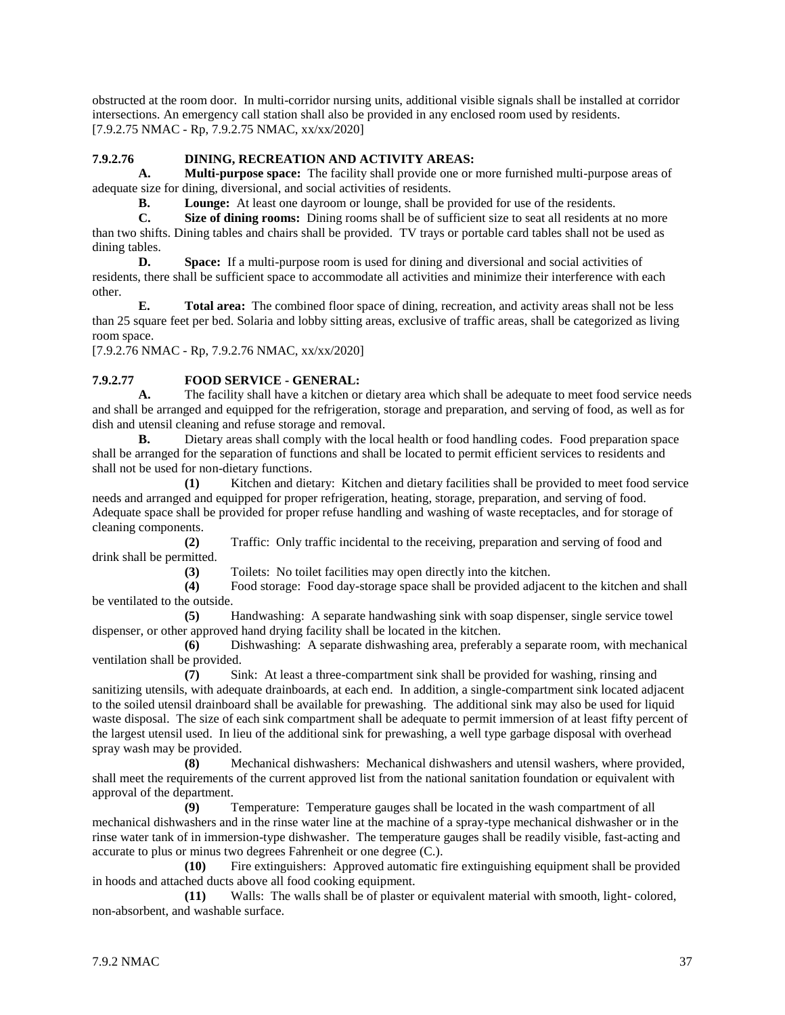obstructed at the room door. In multi-corridor nursing units, additional visible signals shall be installed at corridor intersections. An emergency call station shall also be provided in any enclosed room used by residents. [7.9.2.75 NMAC - Rp, 7.9.2.75 NMAC, xx/xx/2020]

# **7.9.2.76 DINING, RECREATION AND ACTIVITY AREAS:**

**A. Multi-purpose space:** The facility shall provide one or more furnished multi-purpose areas of adequate size for dining, diversional, and social activities of residents.

**B. Lounge:** At least one dayroom or lounge, shall be provided for use of the residents.

**C. Size of dining rooms:** Dining rooms shall be of sufficient size to seat all residents at no more than two shifts. Dining tables and chairs shall be provided. TV trays or portable card tables shall not be used as dining tables.

**D. Space:** If a multi-purpose room is used for dining and diversional and social activities of residents, there shall be sufficient space to accommodate all activities and minimize their interference with each other.

**E. Total area:** The combined floor space of dining, recreation, and activity areas shall not be less than 25 square feet per bed. Solaria and lobby sitting areas, exclusive of traffic areas, shall be categorized as living room space.

[7.9.2.76 NMAC - Rp, 7.9.2.76 NMAC, xx/xx/2020]

# **7.9.2.77 FOOD SERVICE - GENERAL:**

**A.** The facility shall have a kitchen or dietary area which shall be adequate to meet food service needs and shall be arranged and equipped for the refrigeration, storage and preparation, and serving of food, as well as for dish and utensil cleaning and refuse storage and removal.

**B.** Dietary areas shall comply with the local health or food handling codes. Food preparation space shall be arranged for the separation of functions and shall be located to permit efficient services to residents and shall not be used for non-dietary functions.

**(1)** Kitchen and dietary: Kitchen and dietary facilities shall be provided to meet food service needs and arranged and equipped for proper refrigeration, heating, storage, preparation, and serving of food. Adequate space shall be provided for proper refuse handling and washing of waste receptacles, and for storage of cleaning components.

**(2)** Traffic: Only traffic incidental to the receiving, preparation and serving of food and drink shall be permitted.

**(3)** Toilets: No toilet facilities may open directly into the kitchen.

**(4)** Food storage: Food day-storage space shall be provided adjacent to the kitchen and shall be ventilated to the outside.

**(5)** Handwashing: A separate handwashing sink with soap dispenser, single service towel dispenser, or other approved hand drying facility shall be located in the kitchen.

**(6)** Dishwashing: A separate dishwashing area, preferably a separate room, with mechanical ventilation shall be provided.

**(7)** Sink: At least a three-compartment sink shall be provided for washing, rinsing and sanitizing utensils, with adequate drainboards, at each end. In addition, a single-compartment sink located adjacent to the soiled utensil drainboard shall be available for prewashing. The additional sink may also be used for liquid waste disposal. The size of each sink compartment shall be adequate to permit immersion of at least fifty percent of the largest utensil used. In lieu of the additional sink for prewashing, a well type garbage disposal with overhead spray wash may be provided.

**(8)** Mechanical dishwashers: Mechanical dishwashers and utensil washers, where provided, shall meet the requirements of the current approved list from the national sanitation foundation or equivalent with approval of the department.

**(9)** Temperature: Temperature gauges shall be located in the wash compartment of all mechanical dishwashers and in the rinse water line at the machine of a spray-type mechanical dishwasher or in the rinse water tank of in immersion-type dishwasher. The temperature gauges shall be readily visible, fast-acting and accurate to plus or minus two degrees Fahrenheit or one degree (C.).

**(10)** Fire extinguishers: Approved automatic fire extinguishing equipment shall be provided in hoods and attached ducts above all food cooking equipment.

**(11)** Walls: The walls shall be of plaster or equivalent material with smooth, light- colored, non-absorbent, and washable surface.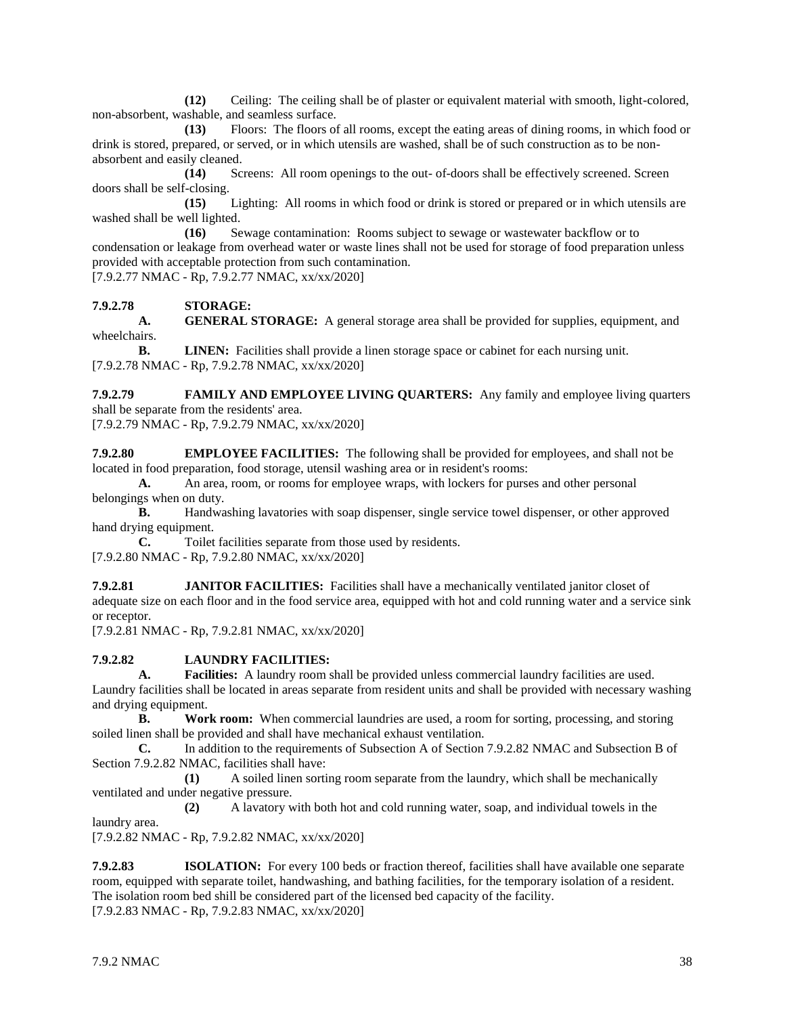**(12)** Ceiling: The ceiling shall be of plaster or equivalent material with smooth, light-colored, non-absorbent, washable, and seamless surface.

**(13)** Floors: The floors of all rooms, except the eating areas of dining rooms, in which food or drink is stored, prepared, or served, or in which utensils are washed, shall be of such construction as to be nonabsorbent and easily cleaned.

**(14)** Screens: All room openings to the out- of-doors shall be effectively screened. Screen doors shall be self-closing.

**(15)** Lighting: All rooms in which food or drink is stored or prepared or in which utensils are washed shall be well lighted.

**(16)** Sewage contamination: Rooms subject to sewage or wastewater backflow or to condensation or leakage from overhead water or waste lines shall not be used for storage of food preparation unless provided with acceptable protection from such contamination.

[7.9.2.77 NMAC - Rp, 7.9.2.77 NMAC, xx/xx/2020]

**7.9.2.78 STORAGE:**

**A. GENERAL STORAGE:** A general storage area shall be provided for supplies, equipment, and wheelchairs.

**B. LINEN:** Facilities shall provide a linen storage space or cabinet for each nursing unit. [7.9.2.78 NMAC - Rp, 7.9.2.78 NMAC, xx/xx/2020]

**7.9.2.79 FAMILY AND EMPLOYEE LIVING QUARTERS:** Any family and employee living quarters shall be separate from the residents' area.

[7.9.2.79 NMAC - Rp, 7.9.2.79 NMAC, xx/xx/2020]

**7.9.2.80 EMPLOYEE FACILITIES:** The following shall be provided for employees, and shall not be located in food preparation, food storage, utensil washing area or in resident's rooms:

**A.** An area, room, or rooms for employee wraps, with lockers for purses and other personal belongings when on duty.

**B.** Handwashing lavatories with soap dispenser, single service towel dispenser, or other approved hand drying equipment.

**C.** Toilet facilities separate from those used by residents. [7.9.2.80 NMAC - Rp, 7.9.2.80 NMAC, xx/xx/2020]

**7.9.2.81 JANITOR FACILITIES:** Facilities shall have a mechanically ventilated janitor closet of adequate size on each floor and in the food service area, equipped with hot and cold running water and a service sink or receptor.

[7.9.2.81 NMAC - Rp, 7.9.2.81 NMAC, xx/xx/2020]

#### **7.9.2.82 LAUNDRY FACILITIES:**

**A. Facilities:** A laundry room shall be provided unless commercial laundry facilities are used. Laundry facilities shall be located in areas separate from resident units and shall be provided with necessary washing and drying equipment.

**B. Work room:** When commercial laundries are used, a room for sorting, processing, and storing soiled linen shall be provided and shall have mechanical exhaust ventilation.

**C.** In addition to the requirements of Subsection A of Section 7.9.2.82 NMAC and Subsection B of Section 7.9.2.82 NMAC, facilities shall have:

**(1)** A soiled linen sorting room separate from the laundry, which shall be mechanically ventilated and under negative pressure.

**(2)** A lavatory with both hot and cold running water, soap, and individual towels in the laundry area.

[7.9.2.82 NMAC - Rp, 7.9.2.82 NMAC, xx/xx/2020]

**7.9.2.83 ISOLATION:** For every 100 beds or fraction thereof, facilities shall have available one separate room, equipped with separate toilet, handwashing, and bathing facilities, for the temporary isolation of a resident. The isolation room bed shill be considered part of the licensed bed capacity of the facility. [7.9.2.83 NMAC - Rp, 7.9.2.83 NMAC, xx/xx/2020]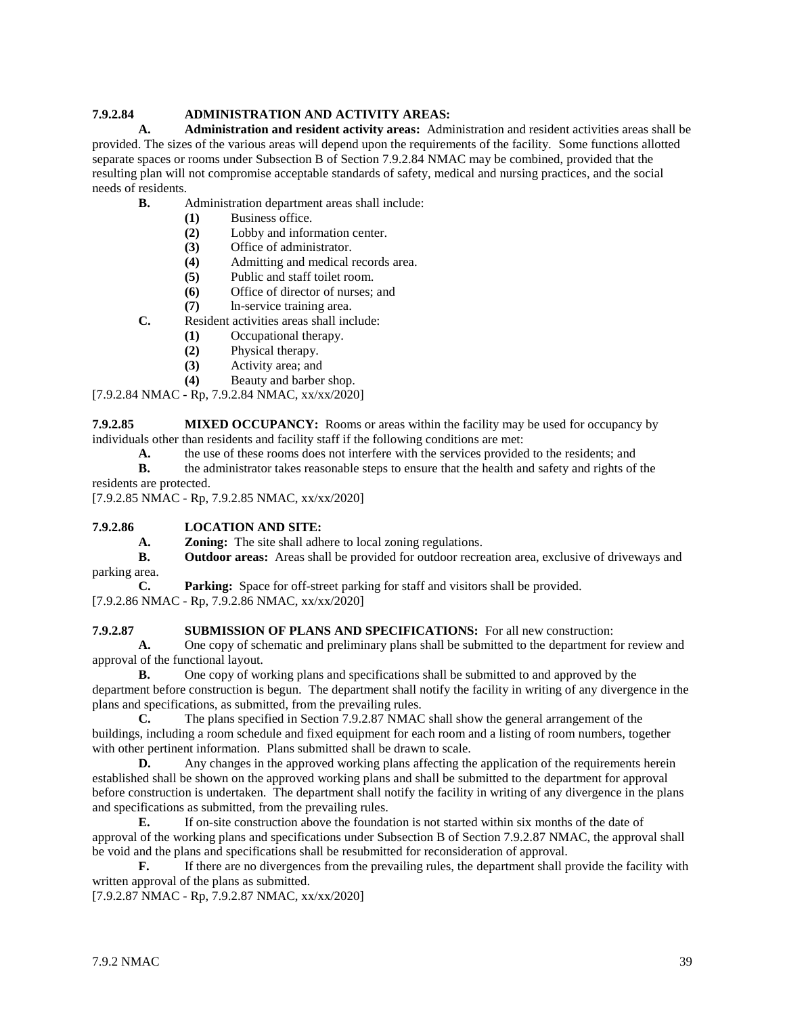# **7.9.2.84 ADMINISTRATION AND ACTIVITY AREAS:**

**A. Administration and resident activity areas:** Administration and resident activities areas shall be provided. The sizes of the various areas will depend upon the requirements of the facility. Some functions allotted separate spaces or rooms under Subsection B of Section 7.9.2.84 NMAC may be combined, provided that the resulting plan will not compromise acceptable standards of safety, medical and nursing practices, and the social needs of residents.

- **B.** Administration department areas shall include:
	- **(1)** Business office.
	- **(2)** Lobby and information center.
	- **(3)** Office of administrator.
	- **(4)** Admitting and medical records area.
	- **(5)** Public and staff toilet room.
	- **(6)** Office of director of nurses; and
	- **(7)** ln-service training area.
- **C.** Resident activities areas shall include:
	- **(1)** Occupational therapy.
	- **(2)** Physical therapy.
	- **(3)** Activity area; and
	- **(4)** Beauty and barber shop.

[7.9.2.84 NMAC - Rp, 7.9.2.84 NMAC, xx/xx/2020]

**7.9.2.85 MIXED OCCUPANCY:** Rooms or areas within the facility may be used for occupancy by individuals other than residents and facility staff if the following conditions are met:

- **A.** the use of these rooms does not interfere with the services provided to the residents; and
- **B.** the administrator takes reasonable steps to ensure that the health and safety and rights of the residents are protected.

[7.9.2.85 NMAC - Rp, 7.9.2.85 NMAC, xx/xx/2020]

# **7.9.2.86 LOCATION AND SITE:**

**A. Zoning:** The site shall adhere to local zoning regulations.

**B. Outdoor areas:** Areas shall be provided for outdoor recreation area, exclusive of driveways and parking area.

**C. Parking:** Space for off-street parking for staff and visitors shall be provided.

[7.9.2.86 NMAC - Rp, 7.9.2.86 NMAC, xx/xx/2020]

#### **7.9.2.87 SUBMISSION OF PLANS AND SPECIFICATIONS:** For all new construction:

**A.** One copy of schematic and preliminary plans shall be submitted to the department for review and approval of the functional layout.

**B.** One copy of working plans and specifications shall be submitted to and approved by the department before construction is begun. The department shall notify the facility in writing of any divergence in the plans and specifications, as submitted, from the prevailing rules.

**C.** The plans specified in Section 7.9.2.87 NMAC shall show the general arrangement of the buildings, including a room schedule and fixed equipment for each room and a listing of room numbers, together with other pertinent information. Plans submitted shall be drawn to scale.

**D.** Any changes in the approved working plans affecting the application of the requirements herein established shall be shown on the approved working plans and shall be submitted to the department for approval before construction is undertaken. The department shall notify the facility in writing of any divergence in the plans and specifications as submitted, from the prevailing rules.

**E.** If on-site construction above the foundation is not started within six months of the date of approval of the working plans and specifications under Subsection B of Section 7.9.2.87 NMAC, the approval shall be void and the plans and specifications shall be resubmitted for reconsideration of approval.

**F.** If there are no divergences from the prevailing rules, the department shall provide the facility with written approval of the plans as submitted.

[7.9.2.87 NMAC - Rp, 7.9.2.87 NMAC, xx/xx/2020]